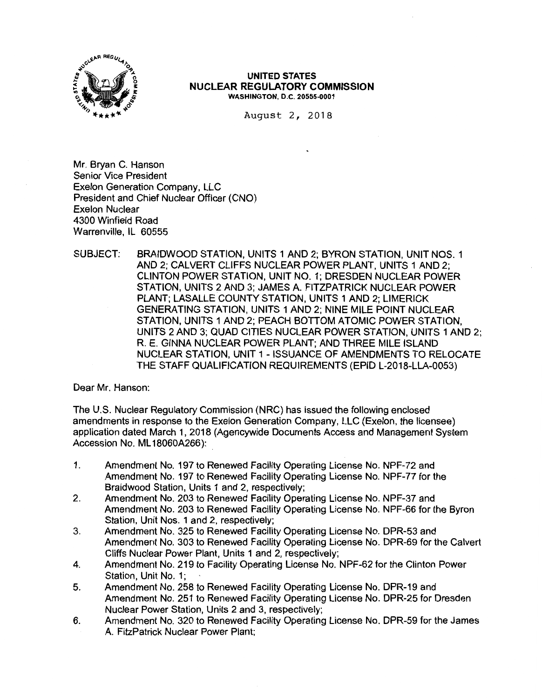

August 2, 2018

Mr. Bryan C. Hanson Senior Vice President Exelon Generation Company, LLC President and Chief Nuclear Officer (CNO) Exelon Nuclear 4300 Winfield Road Warrenville, IL 60555

SUBJECT: BRAIDWOOD STATION, UNITS 1 AND 2; BYRON STATION, UNIT NOS. 1 AND 2; CALVERT CLIFFS NUCLEAR POWER PLANT, UNITS 1 AND 2; CLINTON POWER STATION, UNIT NO. 1; DRESDEN NUCLEAR POWER STATION, UNITS 2 AND 3; JAMES A. FITZPATRICK NUCLEAR POWER PLANT; LASALLE COUNTY STATION, UNITS 1 AND 2; LIMERICK GENERATING STATION, UNITS 1 AND 2; NINE MILE POINT NUCLEAR STATION, UNITS 1 AND 2; PEACH BOTTOM ATOMIC POWER STATION, UNITS 2 AND 3; QUAD CITIES NUCLEAR POWER STATION, UNITS 1 AND 2; R. E. GINNA NUCLEAR POWER PLANT; AND THREE MILE ISLAND NUCLEAR STATION, UNIT 1 - ISSUANCE OF AMENDMENTS TO RELOCATE THE STAFF QUALIFICATION REQUIREMENTS (EPID L-2018-LLA-0053)

Dear Mr. Hanson:

The U.S. Nuclear Regulatory Commission (NRC) has issued the following enclosed amendments in response to the Exelon Generation Company, LLC (Exelon, the licensee) application dated March 1, 2018 (Agencywide Documents Access and Management System Accession No. ML 18060A266):

- 1. Amendment No. 197 to Renewed Facility Operating License No. NPF-72 and Amendment No. 197 to Renewed Facility Operating License No. NPF-77 for the Braidwood Station, Units 1 and 2, respectively;
- 2. Amendment No. 203 to Renewed Facility Operating License No. NPF-37 and Amendment No. 203 to Renewed Facility Operating License No. NPF-66 for the Byron Station, Unit Nos. 1 and 2, respectively;
- 3. Amendment No. 325 to Renewed Facility Operating License No. DPR-53 and Amendment No. 303 to Renewed Facility Operating License No. DPR-69 for the Calvert Cliffs Nuclear Power Plant, Units 1 and 2, respectively;
- 4. Amendment No. 219 to Facility Operating License No. NPF-62 for the Clinton Power Station, Unit No. 1;
- 5. Amendment No. 258 to Renewed Facility Operating License No. DPR-19 and Amendment No. 251 to Renewed Facility Operating License No. DPR-25 for Dresden Nuclear Power Station, Units 2 and 3, respectively;
- 6. Amendment No. 320 to Renewed Facility Operating License No. DPR-59 for the James A. FitzPatrick Nuclear Power Plant;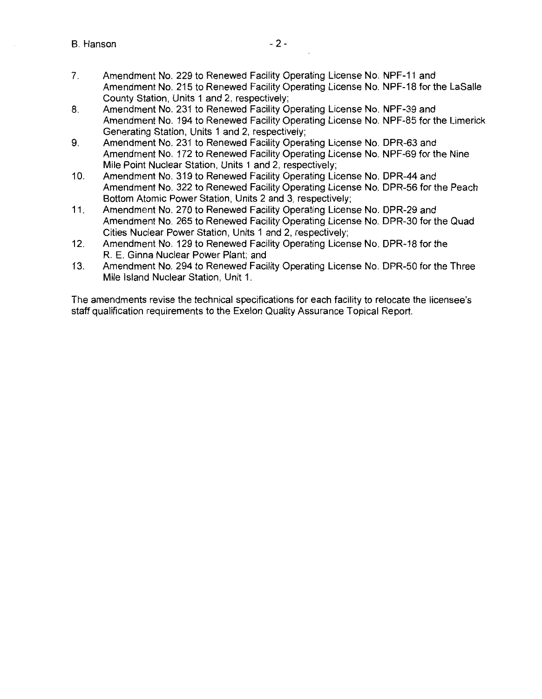- 7. Amendment No. 229 to Renewed Facility Operating License No. NPF-11 and Amendment No. 215 to Renewed Facility Operating License No. NPF-18 for the LaSalle County Station, Units 1 and 2, respectively;
- 8. Amendment No. 231 to Renewed Facility Operating License No. NPF-39 and Amendment No. 194 to Renewed Facility Operating License No. NPF-85 for the Limerick Generating Station, Units 1 and 2, respectively;
- 9. Amendment No. 231 to Renewed Facility Operating License No. DPR-63 and Amendment No. 172 to Renewed Facility Operating License No. NPF-69 for the Nine Mile Point Nuclear Station, Units 1 and 2, respectively;
- 10. Amendment No. 319 to Renewed Facility Operating License No. DPR-44 and Amendment No. 322 to Renewed Facility Operating License No. DPR-56 for the Peach Bottom Atomic Power Station, Units 2 and 3, respectively;
- 11. Amendment No. 270 to Renewed Facility Operating License No. DPR-29 and Amendment No. 265 to Renewed Facility Operating License No. DPR-30 for the Quad Cities Nuclear Power Station, Units 1 and 2, respectively;
- 12. Amendment No. 129 to Renewed Facility Operating License No. DPR-18 for the R. E. Ginna Nuclear Power Plant; and
- 13. Amendment No. 294 to Renewed Facility Operating License No. DPR-50 for the Three Mile Island Nuclear Station, Unit 1.

The amendments revise the technical specifications for each facility to relocate the licensee's staff qualification requirements to the Exelon Quality Assurance Topical Report.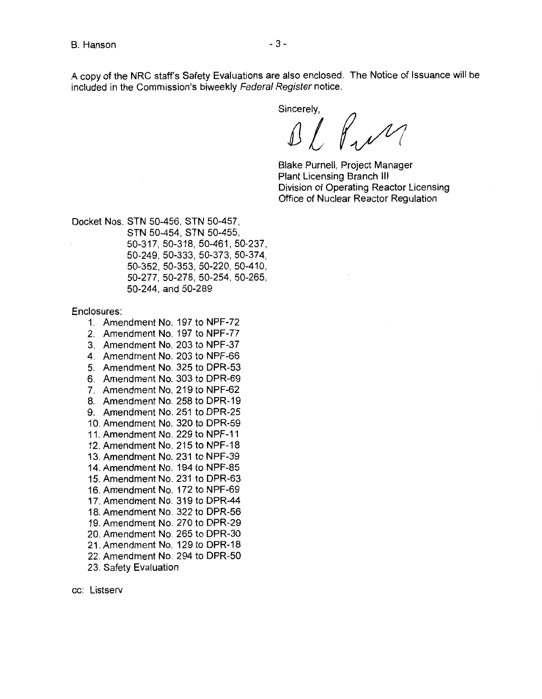A copy of the NRC staff's Safety Evaluations are also enclosed. The Notice of Issuance will be included in the Commission's biweekly Federal Register notice.

Sincerely.

Bl Pull

Blake Purnell, Project Manager Plant Licensing Branch Ill Division of Operating Reactor Licensing Office of Nuclear Reactor Regulation

Docket Nos. STN 50-456, STN 50-457, STN 50-454, STN 50-455, 50-317, 50-318, 50-461, 50-237, 50-249, 50-333, 50-373, 50-374, 50-352, 50-353, 50-220, 50-410, 50-277, 50-278, 50-254, 50-265, 50-244, and 50-289

Enclosures:

- 1. Amendment No. 197 to NPF-72
- 2. Amendment No. 197 to NPF-77
- 3. Amendment No. 203 to NPF-37
- 4. Amendment No. 203 to NPF-66
- 5. Amendment No. 325 to DPR-53
- 6. Amendment No. 303 to DPR-69
- 7. Amendment No. 219 to NPF-62
- 8. Amendment No. 258 to DPR-19
- 9. Amendment No. 251 to DPR-25
- 10. Amendment No. 320 to DPR-59
- 11. Amendment No. 229 to NPF-11
- 12. Amendment No. 215 to NPF-18
- 13. Amendment No. 231 to NPF-39
- 14. Amendment No. 194 to NPF-85
- 15. Amendment No. 231 to DPR-63
- 16. Amendment No. 172 to NPF-69
- 17. Amendment No. 319 to DPR-44
- 18. Amendment No. 322 to DPR-56
- 19. Amendment No. 270 to DPR-29
- 20. Amendment No. 265 to DPR-30
- 21. Amendment No. 129 to DPR-18
- 22. Amendment No. 294 to DPR-50
- 23. Safety Evaluation

cc: Listserv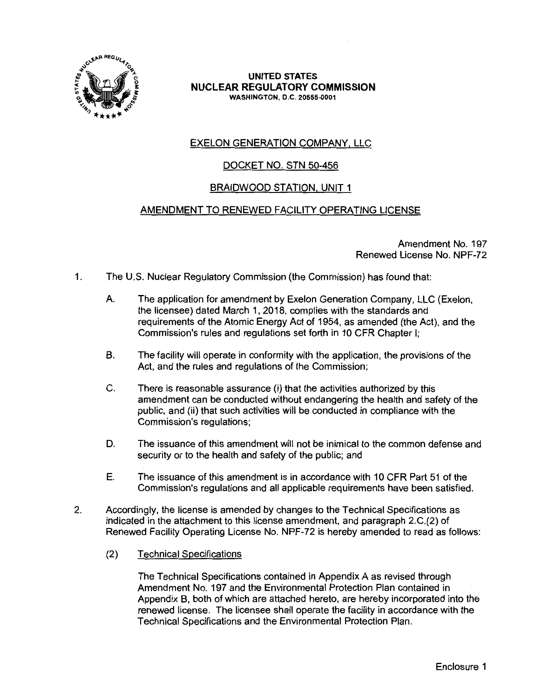

### EXELON GENERATION COMPANY, LLC

### DOCKET NO. STN 50-456

#### BRAIDWOOD STATION, UNIT 1

#### AMENDMENT TO RENEWED FACILITY OPERATING LICENSE

Amendment No. 197 Renewed License No. NPF-72

- 1. The U.S. Nuclear Regulatory Commission (the Commission) has found that:
	- A. The application for amendment by Exelon Generation Company, LLC (Exelon, the licensee) dated March 1, 2018, complies with the standards and requirements of the Atomic Energy Act of 1954, as amended (the Act), and the Commission's rules and regulations set forth in 10 CFR Chapter I;
	- B. The facility will operate in conformity with the application, the provisions of the Act, and the rules and regulations of the Commission;
	- C. There is reasonable assurance (i) that the activities authorized by this amendment can be conducted without endangering the health and safety of the public, and (ii) that such activities will be conducted in compliance with the Commission's regulations;
	- D. The issuance of this amendment will not be inimical to the common defense and security or to the health and safety of the public; and
	- E. The issuance of this amendment is in accordance with 10 CFR Part 51 of the Commission's regulations and all applicable requirements have been satisfied.
- 2. Accordingly, the license is amended by changes to the Technical Specifications as indicated in the attachment to this license amendment, and paragraph 2.C.(2) of Renewed Facility Operating License No. NPF-72 is hereby amended to read as follows:
	- (2) Technical Specifications

The Technical Specifications contained in Appendix A as revised through Amendment No. 197 and the Environmental Protection Plan contained in Appendix B, both of which are attached hereto, are hereby incorporated into the renewed license. The licensee shall operate the facility in accordance with the Technical Specifications and the Environmental Protection Plan.

Enclosure 1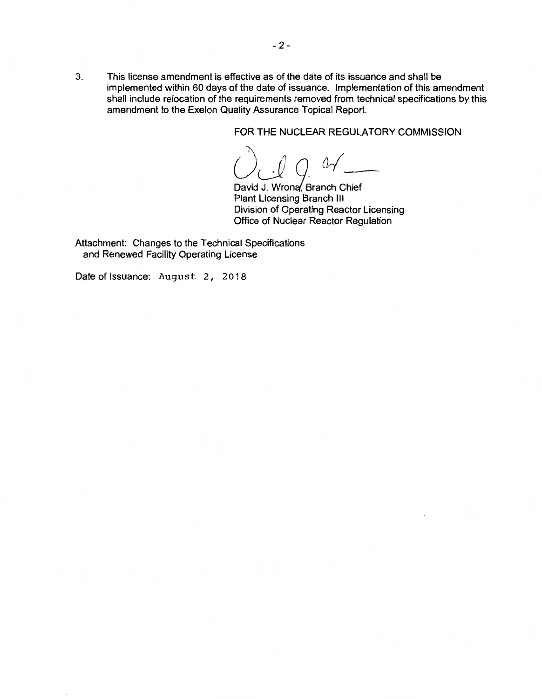FOR THE NUCLEAR REGULATORY COMMISSION

*C) J Q <sup>0</sup>*<br>David J. Wrona, Branch Chief

Plant Licensing Branch Ill Division of Operating Reactor Licensing Office of Nuclear Reactor Regulation

Attachment: Changes to the Technical Specifications and Renewed Facility Operating License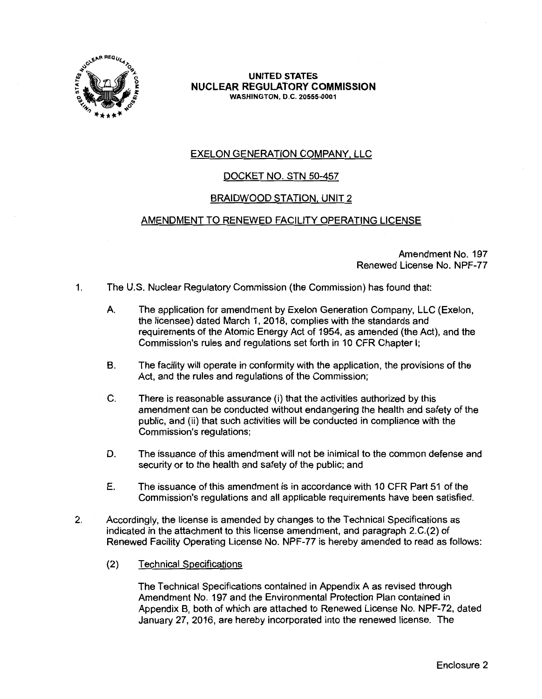

### EXELON GENERATION COMPANY, LLC

### DOCKET NO. STN 50-457

### BRAIDWOOD STATION, UNIT 2

#### AMENDMENT TO RENEWED FACILITY OPERATING LICENSE

Amendment No. 197 Renewed License No. NPF-77

- 1. The U.S. Nuclear Regulatory Commission (the Commission) has found that:
	- A. The application for amendment by Exelon Generation Company, LLC (Exelon, the licensee) dated March 1, 2018, complies with the standards and requirements of the Atomic Energy Act of 1954, as amended (the Act), and the Commission's rules and regulations set forth in 10 CFR Chapter I;
	- B. The facility will operate in conformity with the application, the provisions of the Act, and the rules and regulations of the Commission;
	- C. There is reasonable assurance (i) that the activities authorized by this amendment can be conducted without endangering the health and safety of the public, and (ii) that such activities will be conducted in compliance with the Commission's regulations;
	- D. The issuance of this amendment will not be inimical to the common defense and security or to the health and safety of the public; and
	- E. The issuance of this amendment is in accordance with 10 CFR Part 51 of the Commission's regulations and all applicable requirements have been satisfied.
- 2. Accordingly, the license is amended by changes to the Technical Specifications as indicated in the attachment to this license amendment, and paragraph 2.C.(2) of Renewed Facility Operating License No. NPF-77 is hereby amended to read as follows:
	- (2) Technical Specifications

The Technical Specifications contained in Appendix A as revised through Amendment No. 197 and the Environmental Protection Plan contained in Appendix B, both of which are attached to Renewed License No. NPF-72, dated January 27, 2016, are hereby incorporated into the renewed license. The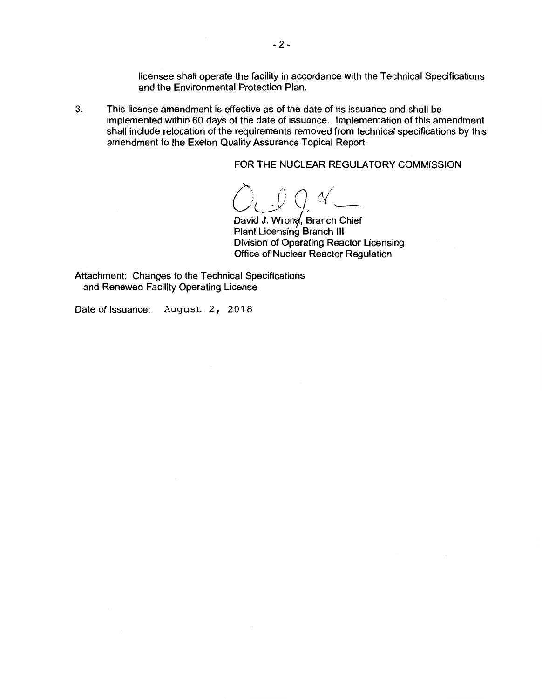licensee shall operate the facility in accordance with the Technical Specifications and the Environmental Protection Plan.

3. This license amendment is effective as of the date of its issuance and shall be implemented within 60 days of the date of issuance. Implementation of this amendment shall include relocation of the requirements removed from technical specifications by this amendment to the Exelon Quality Assurance Topical Report.

FOR THE NUCLEAR REGULATORY COMMISSION

*OJO,N~* 

David J. Wrona, Branch Chief Plant Licensing Branch III Division of Operating Reactor Licensing Office of Nuclear Reactor Regulation

Attachment: Changes to the Technical Specifications and Renewed Facility Operating License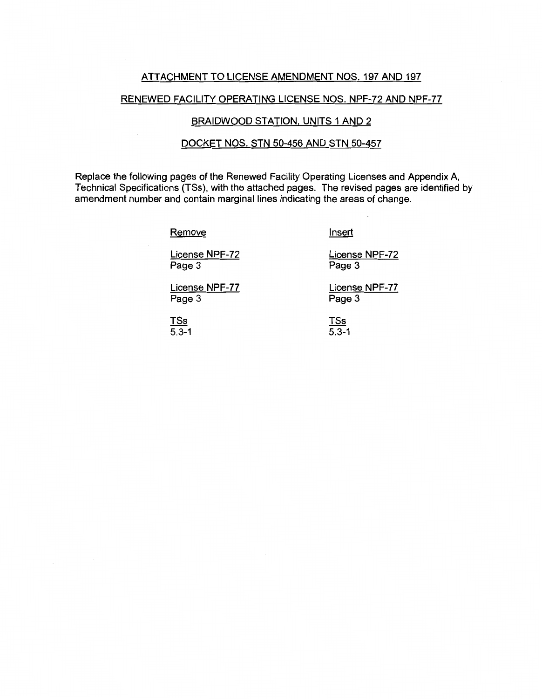#### ATTACHMENT TO LICENSE AMENDMENT NOS. 197 AND 197

#### RENEWED FACILITY OPERATING LICENSE NOS. NPF-72 AND NPF-77

#### BRAIDWOOD STATION, UNITS 1 AND 2

#### DOCKET NOS. STN 50-456 AND STN 50-457

Replace the following pages of the Renewed Facility Operating Licenses and Appendix A, Technical Specifications (TSs), with the attached pages. The revised pages are identified by amendment number and contain marginal lines indicating the areas of change.

Remove

Insert

Page 3

License NPF-72 Page 3

License NPF-77 Page 3

License NPF-77 Page 3

License NPF-72

TSs 5.3-1 TSs  $5.3 - 1$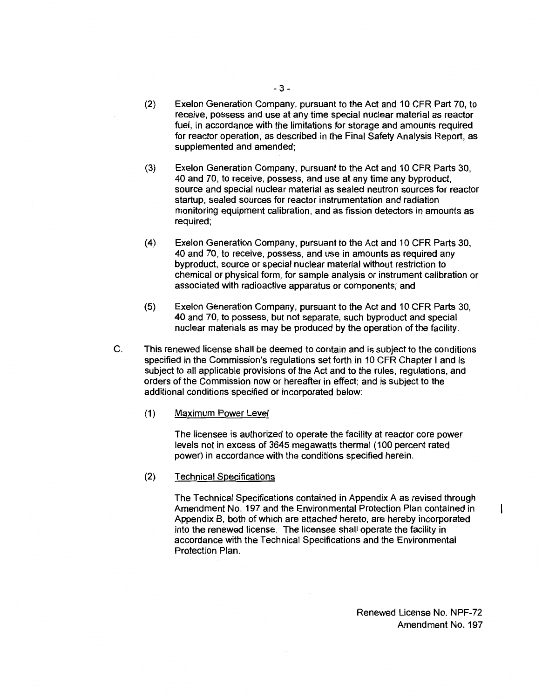- (2) Exelon Generation Company, pursuant to the Act and 10 CFR Part 70, to receive, possess and use at any time special nuclear material as reactor fuel, in accordance with the limitations for storage and amounts required for reactor operation, as described in the Final Safety Analysis Report, as supplemented and amended;
- (3) Exelon Generation Company, pursuant to the Act and 10 CFR Parts 30, 40 and 70, to receive, possess, and use at any time any byproduct, source and special nuclear material as sealed neutron sources for reactor startup, sealed sources for reactor instrumentation and radiation monitoring equipment calibration, and as fission detectors in amounts as required;
- (4) Exelon Generation Company, pursuant to the Act and 10 CFR Parts 30, 40 and 70, to receive, possess, and use in amounts as required any byproduct, source or special nuclear material without restriction to chemical or physical form, for sample analysis or instrument calibration or associated with radioactive apparatus or components; and
- (5) Exelon Generation Company, pursuant to the Act and 10 CFR Parts 30, 40 and 70, to possess, but not separate, such byproduct and special nuclear materials as may be produced by the operation of the facility.
- C. This renewed license shall be deemed to contain and is subject to the conditions specified in the Commission's regulations set forth in 10 CFR Chapter I and is subject to all applicable provisions of the Act and to the rules, regulations, and orders of the Commission now or hereafter in effect; and is subject to the additional conditions specified or incorporated below:
	- (1) Maximum Power Level

The licensee is authorized to operate the facility at reactor core power levels not in excess of 3645 megawatts thermal (100 percent rated power) in accordance with the conditions specified herein.

(2) Technical Specifications

The Technical Specifications contained in Appendix A as revised through Amendment No. 197 and the Environmental Protection Plan contained in Appendix B, both of which are attached hereto, are hereby incorporated into the renewed license. The licensee shall operate the facility in accordance with the Technical Specifications and the Environmental Protection Plan.

 $\mathbf{I}$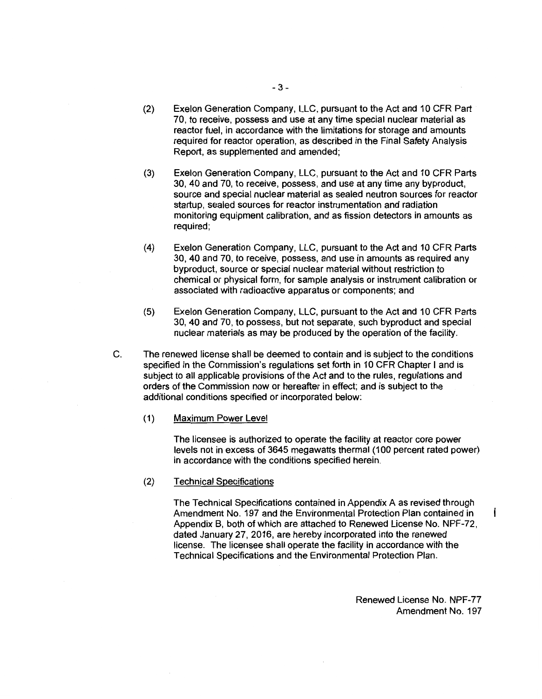- (2) Exelon Generation Company, LLC, pursuant to the Act and 10 CFR Part 70, to receive, possess and use at any time special nuclear material as reactor fuel, in accordance with the limitations for storage and amounts required for reactor operation, as described in the Final Safety Analysis Report, as supplemented and amended;
- (3) Exelon Generation Company, LLC, pursuant to the Act and 10 CFR Parts 30, 40 and 70, to receive, possess, and use at any time any byproduct, source and special nuclear material as sealed neutron sources for reactor startup, sealed sources for reactor instrumentation and radiation monitoring equipment calibration, and as fission detectors in amounts as required;
- (4) Exelon Generation Company, LLC, pursuant to the Act and 10 CFR Parts 30, 40 and 70, to receive, possess, and use in amounts as required any byproduct, source or special nuclear material without restriction to chemical or physical form, for sample analysis or instrument calibration or associated with radioactive apparatus or components; and
- (5) Exelon Generation Company, LLC, pursuant to the Act and 10 CFR Parts 30, 40 and 70, to possess, but not separate, such byproduct and special nuclear materials as may be produced by the operation of the facility.
- C. The renewed license shall be deemed to contain and is subject to the conditions specified in the Commission's regulations set forth in 10 CFR Chapter I and is subject to all applicable provisions of the Act and to the rules, regulations and orders of the Commission now or hereafter in effect; and is subject to the additional conditions specified or incorporated below:
	- (1) Maximum Power Level

The licensee is authorized to operate the facility at reactor core power levels not in excess of 3645 megawatts thermal (100 percent rated power) in accordance with the conditions specified herein.

(2) Technical Specifications

The Technical Specifications contained in Appendix A as revised through Amendment No. 197 and the Environmental Protection Plan contained in Appendix B, both of which are attached to Renewed License No. NPF-72, dated January 27, 2016, are hereby incorporated into the renewed license. The licensee shall operate the facility in accordance with the Technical Specifications and the Environmental Protection Plan.

> Renewed License No. NPF-77 Amendment No. 197

 $\mathsf{I}$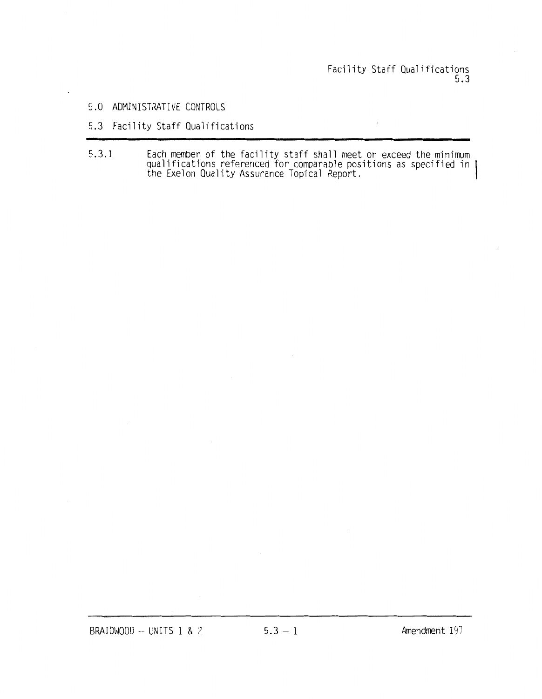# Facility Staff Qualifications 5.3

#### 5.0 ADMINISTRATIVE CONTROLS

### 5.3 Facility Staff Qualifications

5.3.1 Each member of the facility staff shall meet or exceed the minimum qualifications referenced for comparable positions as specified in the Exelon Quality Assurance Topical Report.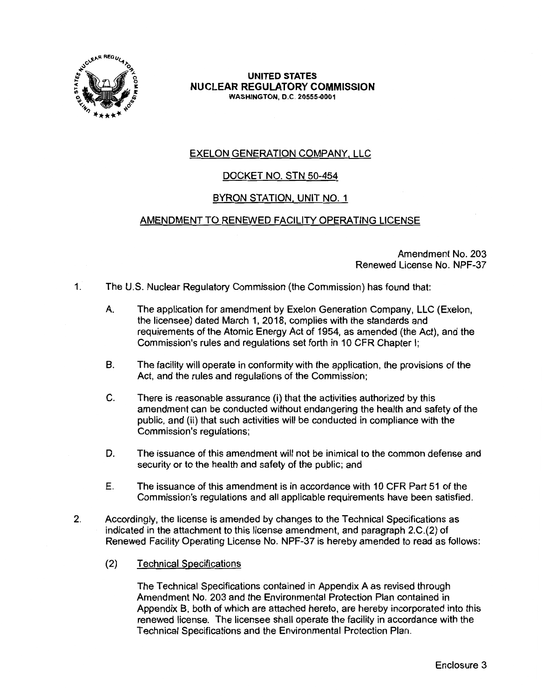

### EXELON GENERATION COMPANY, LLC

### DOCKET NO. STN 50-454

### BYRON STATION, UNIT NO. 1

### AMENDMENT TO RENEWED FACILITY OPERATING LICENSE

Amendment No. 203 Renewed License No. NPF-37

- 1. The U.S. Nuclear Regulatory Commission (the Commission) has found that:
	- A. The application for amendment by Exelon Generation Company, LLC (Exelon, the licensee) dated March 1, 2018, complies with the standards and requirements of the Atomic Energy Act of 1954, as amended (the Act), and the Commission's rules and regulations set forth in 10 CFR Chapter I;
	- B. The facility will operate in conformity with the application, the provisions of the Act, and the rules and regulations of the Commission;
	- C. There is reasonable assurance (i) that the activities authorized by this amendment can be conducted without endangering the health and safety of the public, and (ii) that such activities will be conducted in compliance with the Commission's regulations;
	- D. The issuance of this amendment will not be inimical to the common defense and security or to the health and safety of the public; and
	- E. The issuance of this amendment is in accordance with 10 CFR Part 51 of the Commission's regulations and all applicable requirements have been satisfied.
- 2. Accordingly, the license is amended by changes to the Technical Specifications as indicated in the attachment to this license amendment, and paragraph 2.C.(2) of Renewed Facility Operating License No. NPF-37 is hereby amended to read as follows:
	- (2) Technical Specifications

The Technical Specifications contained in Appendix A as revised through Amendment No. 203 and the Environmental Protection Plan contained in Appendix B, both of which are attached hereto, are hereby incorporated into this renewed license. The licensee shall operate the facility in accordance with the Technical Specifications and the Environmental Protection Plan.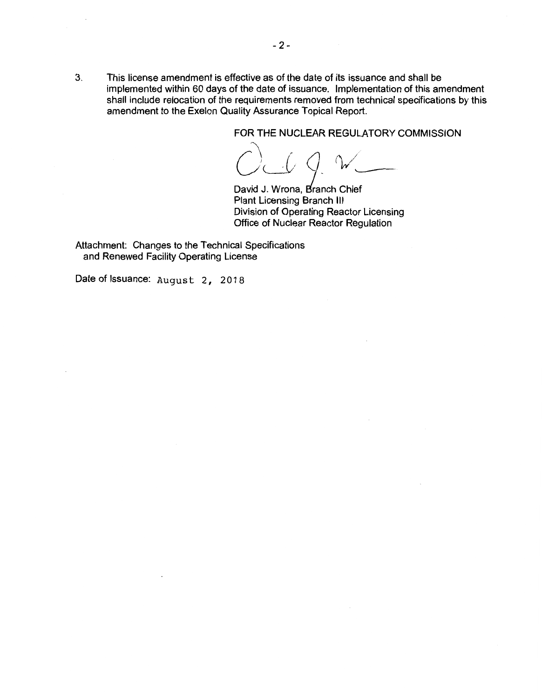FOR THE NUCLEAR REGULATORY COMMISSION<br>  $\bigodot$  computed by  $\bigcirc$  and the commission

David J. Wrona, Branch Chief Plant Licensing Branch Ill Division of Operating Reactor Licensing Office of Nuclear Reactor Regulation

Attachment: Changes to the Technical Specifications and Renewed Facility Operating License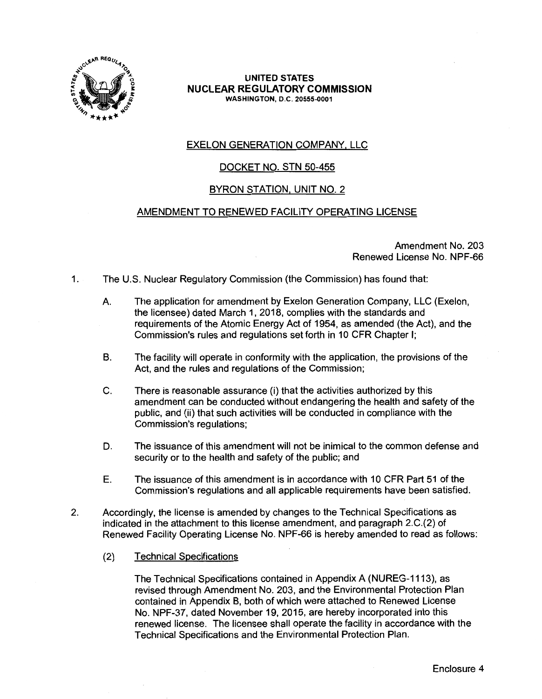

#### EXELON GENERATION COMPANY, LLC

### DOCKET NO. STN 50-455

#### BYRON STATION, UNIT NO. 2

#### AMENDMENT TO RENEWED FACILITY OPERATING LICENSE

Amendment No. 203 Renewed License No. NPF-66

- 1. The U.S. Nuclear Regulatory Commission {the Commission) has found that:
	- A. The application for amendment by Exelon Generation Company, LLC (Exelon, the licensee) dated March 1, 2018, complies with the standards and requirements of the Atomic Energy Act of 1954, as amended (the Act), and the Commission's rules and regulations set forth in 10 CFR Chapter I;
	- B. The facility will operate in conformity with the application, the provisions of the Act, and the rules and regulations of the Commission;
	- C. There is reasonable assurance (i) that the activities authorized by this amendment can be conducted without endangering the health and safety of the public, and (ii) that such activities will be conducted in compliance with the Commission's regulations;
	- D. The issuance of this amendment will not be inimical to the common defense and security or to the health and safety of the public; and
	- E. The issuance of this amendment is in accordance with 10 CFR Part 51 of the Commission's regulations and all applicable requirements have been satisfied.
- 2. Accordingly, the license is amended by changes to the Technical Specifications as indicated in the attachment to this license amendment, and paragraph 2.C.(2) of Renewed Facility Operating License No. NPF-66 is hereby amended to read as follows:
	- (2) Technical Specifications

The Technical Specifications contained in Appendix A (NUREG-1113), as revised through Amendment No. 203, and the Environmental Protection Plan contained in Appendix B, both of which were attached to Renewed License No. NPF-37, dated November 19, 2015, are hereby incorporated into this renewed license. The licensee shall operate the facility in accordance with the Technical Specifications and the Environmental Protection Plan.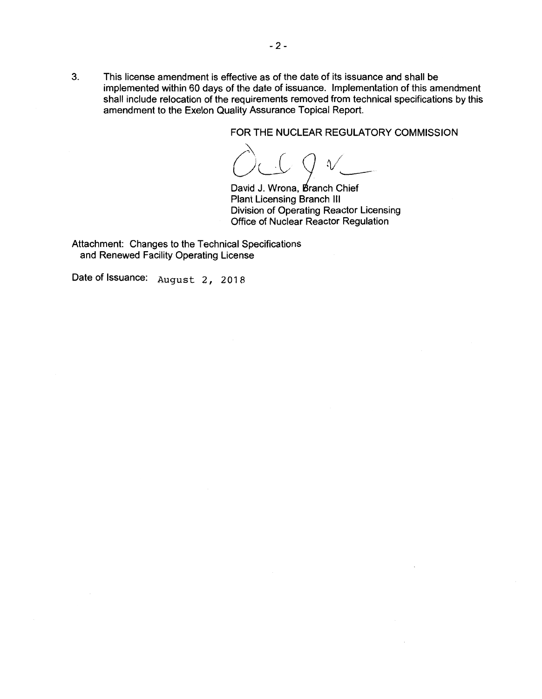FOR THE NUCLEAR REGULATORY COMMISSION

 $\bigcirc$ :\ LL 2 *tvl* 

David J. Wrona, Branch Chief Plant Licensing Branch Ill Division of Operating Reactor Licensing Office of Nuclear Reactor Regulation

Attachment: Changes to the Technical Specifications and Renewed Facility Operating License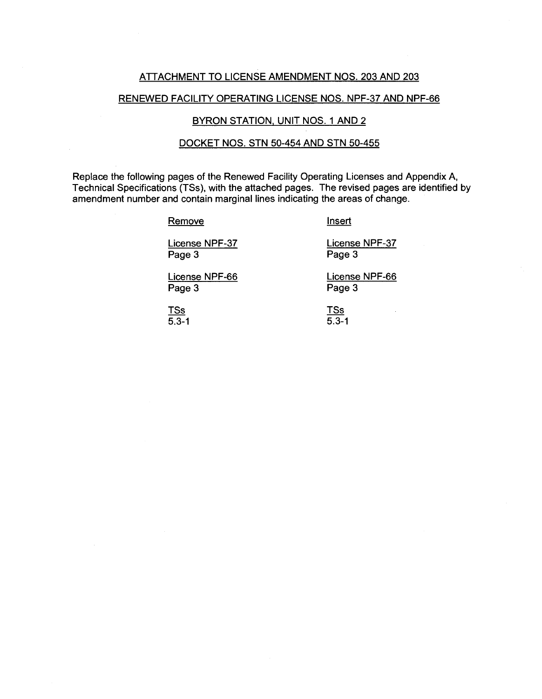#### ATTACHMENT TO LICENSE AMENDMENT NOS. 203 AND 203

#### RENEWED FACILITY OPERATING LICENSE NOS. NPF-37 AND NPF-66

#### BYRON STATION, UNIT NOS. 1 AND 2

#### DOCKET NOS. STN 50-454 AND STN 50-455

Replace the following pages of the Renewed Facility Operating Licenses and Appendix A, Technical Specifications (TSs), with the attached pages. The revised pages are identified by amendment number and contain marginal lines indicating the areas of change.

#### **Remove**

Insert

License NPF-37 Page 3

License NPF-37 Page 3

License NPF-66 Page 3

License NPF-66 Page 3

TSs  $\overline{5.3-1}$  TSs  $\overline{5.3-1}$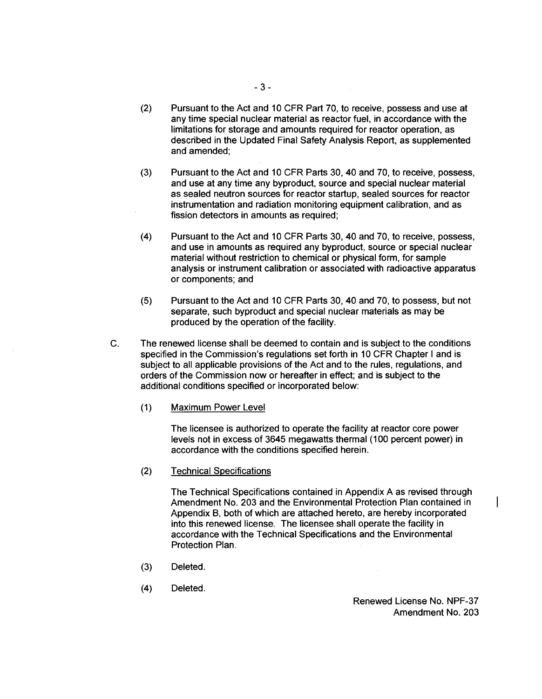- (2) Pursuant to the Act and 10 CFR Part 70, to receive, possess and use at any time special nuclear material as reactor fuel, in accordance with the limitations for storage and amounts required for reactor operation, as described in the Updated Final Safety Analysis Report, as supplemented and amended;
- (3) Pursuant to the Act and 10 CFR Parts 30, 40 and 70, to receive, possess, and use at any time any byproduct, source and special nuclear material as sealed neutron sources for reactor startup, sealed sources for reactor instrumentation and radiation monitoring equipment calibration, and as fission detectors in amounts as required;
- (4) Pursuant to the Act and 10 CFR Parts 30, 40 and 70, to receive, possess, and use in amounts as required any byproduct, source or special nuclear material without restriction to chemical or physical form, for sample analysis or instrument calibration or associated with radioactive apparatus or components; and
- (5) Pursuant to the Act and 10 CFR Parts 30, 40 and 70, to possess, but not separate, such byproduct and special nuclear materials as may be produced by the operation of the facility.
- C. The renewed license shall be deemed to contain and is subject to the conditions specified in the Commission's regulations set forth in 10 CFR Chapter I and is subject to all applicable provisions of the Act and to the rules, regulations, and orders of the Commission now or hereafter in effect; and is subject to the additional conditions specified or incorporated below:
	- (1) Maximum Power Level

The licensee is authorized to operate the facility at reactor core power levels not in excess of 3645 megawatts thermal (100 percent power) in accordance with the conditions specified herein.

(2) Technical Specifications

The Technical Specifications contained in Appendix A as revised through Amendment No. 203 and the Environmental Protection Plan contained in Appendix B, both of which are attached hereto, are hereby incorporated into this renewed license. The licensee shall operate the facility in accordance with the Technical Specifications and the Environmental Protection Plan.

- (3) Deleted.
- **(4)** Deleted.

Renewed License No. NPF-37 Amendment No. 203  $\mathsf{l}$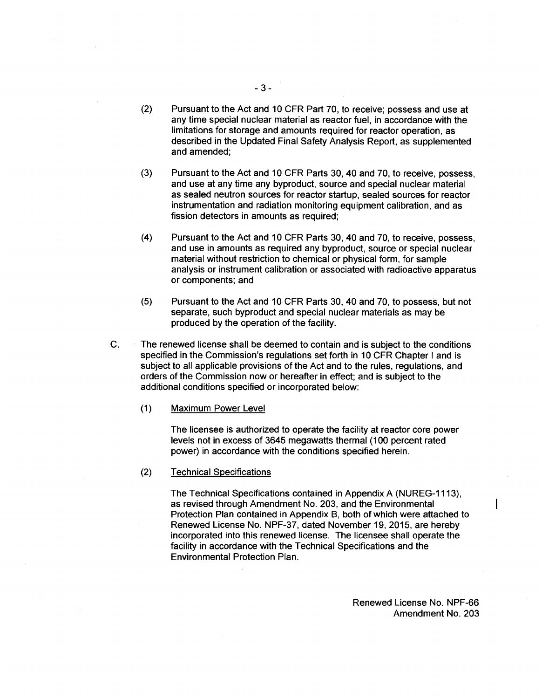- (2) Pursuant to the Act and 10 CFR Part 70, to receive; possess and use at any time special nuclear material as reactor fuel, in accordance with the limitations for storage and amounts required for reactor operation, as described in the Updated Final Safety Analysis Report, as supplemented and amended;
- (3) Pursuant to the Act and 10 CFR Parts 30, 40 and 70, to receive, possess, and use at any time any byproduct, source and special nuclear material as sealed neutron sources for reactor startup, sealed sources for reactor instrumentation and radiation monitoring equipment calibration, and as fission detectors in amounts as required;
- (4) Pursuant to the Act and 10 CFR Parts 30, 40 and 70, to receive, possess, and use in amounts as required any byproduct, source or special nuclear material without restriction to chemical or physical form, for sample analysis or instrument calibration or associated with radioactive apparatus or components; and
- (5) Pursuant to the Act and 1 O CFR Parts 30, 40 and 70, to possess, but not separate, such byproduct and special nuclear materials as may be produced by the operation of the facility.
- C. The renewed license shall be deemed to contain and is subject to the conditions specified in the Commission's regulations set forth in 10 CFR Chapter I and is subject to all applicable provisions of the Act and to the rules, regulations, and orders of the Commission now or hereafter in effect; and is subject to the additional conditions specified or incorporated below:
	- (1) Maximum Power Level

The licensee is authorized to operate the facility at reactor core power levels not in excess of 3645 megawatts thermal (100 percent rated power) in accordance with the conditions specified herein.

(2) Technical Specifications

The Technical Specifications contained in Appendix A (NUREG-1113), as revised through Amendment No. 203, and the Environmental Protection Plan contained in Appendix B, both of which were attached to Renewed License No. NPF-37, dated November 19, 2015, are hereby incorporated into this renewed license. The licensee shall operate the facility in accordance with the Technical Specifications and the Environmental Protection Plan.

> Renewed License No. NPF-66 Amendment No. 203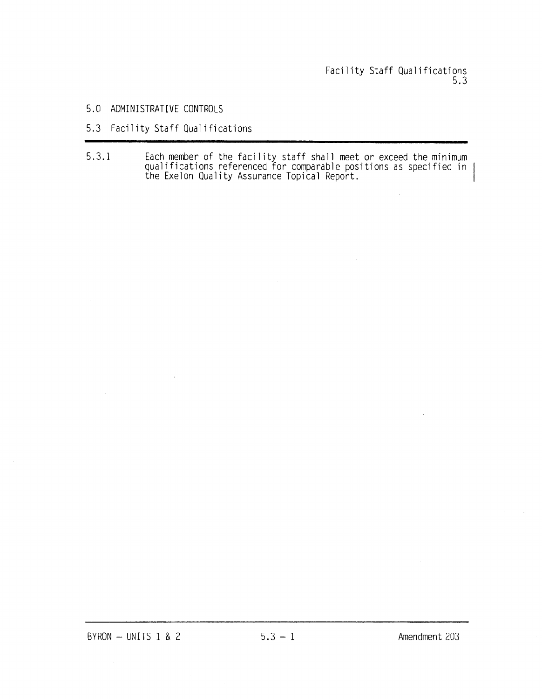- 5.0 ADMINISTRATIVE CONTROLS
- 5.3 Facility Staff Qualifications
- 5.3.1 Each member of the facility staff shall meet or exceed the minimum qualifications referenced for comparable positions as specified in the Exelon Quality Assurance Topical Report.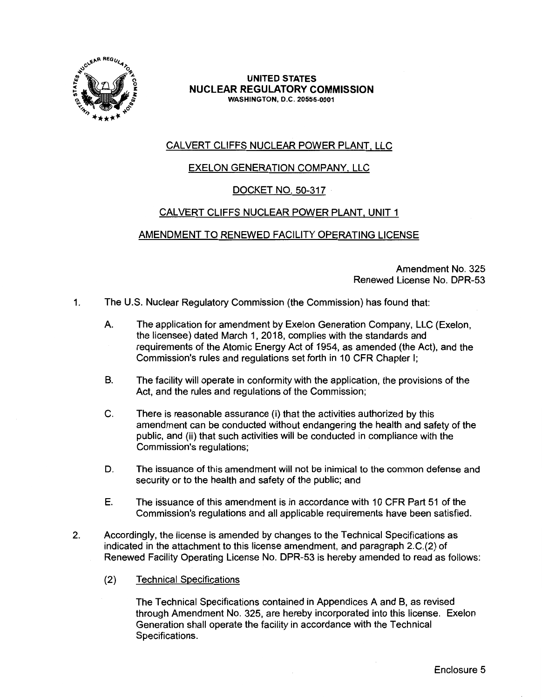

## CALVERT CLIFFS NUCLEAR POWER PLANT, LLC

### EXELON GENERATION COMPANY, LLC

### DOCKET NO. 50-317

### CALVERT CLIFFS NUCLEAR POWER PLANT, UNIT 1

### AMENDMENT TO RENEWED FACILITY OPERATING LICENSE

Amendment No. 325 Renewed License No. DPR-53

- 1. The U.S. Nuclear Regulatory Commission (the Commission) has found that:
	- A. The application for amendment by Exelon Generation Company, LLC (Exelon, the licensee) dated March 1, 2018, complies with the standards and requirements of the Atomic Energy Act of 1954, as amended (the Act), and the Commission's rules and regulations set forth in 10 CFR Chapter I;
	- B. The facility will operate in conformity with the application, the provisions of the Act, and the rules and regulations of the Commission;
	- C. There is reasonable assurance (i) that the activities authorized by this amendment can be conducted without endangering the health and safety of the public, and (ii) that such activities will be conducted in compliance with the Commission's regulations;
	- D. The issuance of this amendment will not be inimical to the common defense and security or to the health and safety of the public; and
	- E. The issuance of this amendment is in accordance with 10 CFR Part 51 of the Commission's regulations and all applicable requirements have been satisfied.
- 2. Accordingly, the license is amended by changes to the Technical Specifications as indicated in the attachment to this license amendment, and paragraph 2.C.(2) of Renewed Facility Operating License No. DPR-53 is hereby amended to read as follows:
	- (2) Technical Specifications

The Technical Specifications contained in Appendices A and B, as revised through Amendment No. 325, are hereby incorporated into this license. Exelon Generation shall operate the facility in accordance with the Technical Specifications.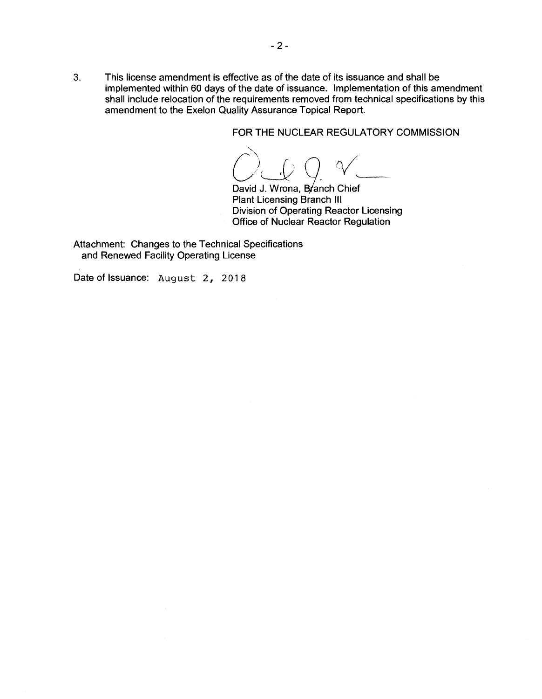FOR THE NUCLEAR REGULATORY COMMISSION

 $OQQV$ 

David J. Wrona, Branch Chief Plant Licensing Branch Ill Division of Operating Reactor Licensing Office of Nuclear Reactor Regulation

Attachment: Changes to the Technical Specifications and Renewed Facility Operating License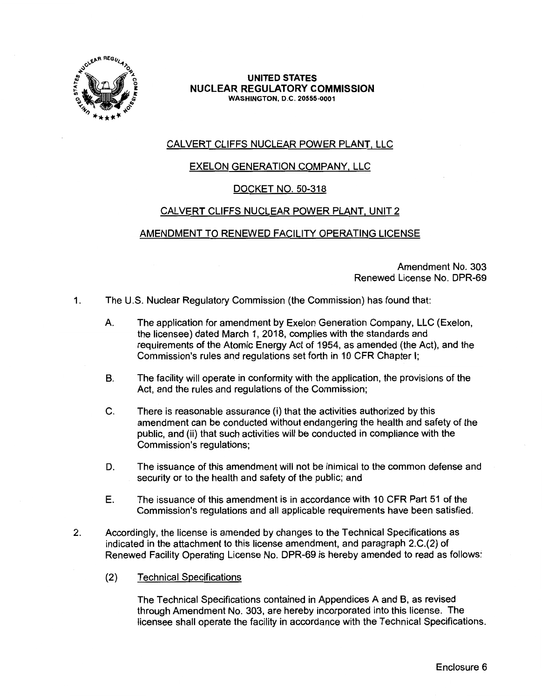

### CALVERT CLIFFS NUCLEAR POWER PLANT, LLC

### EXELON GENERATION COMPANY, LLC

#### DOCKET NO. 50-318

### CALVERT CLIFFS NUCLEAR POWER PLANT, UNIT 2

#### AMENDMENT TO RENEWED FACILITY OPERATING LICENSE

Amendment No. 303 Renewed License No. DPR-69

- 1. The U.S. Nuclear Regulatory Commission (the Commission) has found that:
	- A. The application for amendment by Exelon Generation Company, LLC (Exelon, the licensee) dated March 1, 2018, complies with the standards and requirements of the Atomic Energy Act of 1954, as amended (the Act), and the Commission's rules and regulations set forth in 10 CFR Chapter I;
	- B. The facility will operate in conformity with the application, the provisions of the Act, and the rules and regulations of the Commission;
	- C. There is reasonable assurance (i) that the activities authorized by this amendment can be conducted without endangering the health and safety of the public, and (ii) that such activities will be conducted in compliance with the Commission's regulations;
	- D. The issuance of this amendment will not be inimical to the common defense and security or to the health and safety of the public; and
	- E. The issuance of this amendment is in accordance with 10 CFR Part 51 of the Commission's regulations and all applicable requirements have been satisfied.
- 2. Accordingly, the license is amended by changes to the Technical Specifications as indicated in the attachment to this license amendment, and paragraph 2.C.(2) of Renewed Facility Operating License No. DPR-69 is hereby amended to read as follows:
	- (2) Technical Specifications

The Technical Specifications contained in Appendices A and B, as revised through Amendment No. 303, are hereby incorporated into this license. The licensee shall operate the facility in accordance with the Technical Specifications.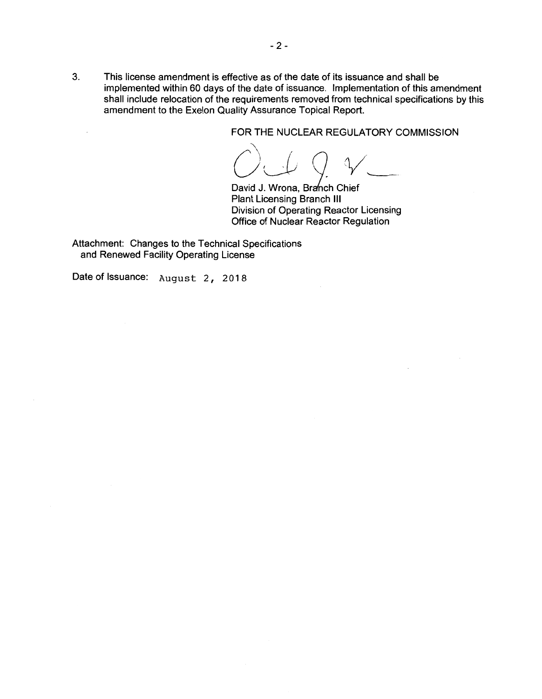FOR THE NUCLEAR REGULATORY COMMISSION

David J. Wrona, Branch Chief Plant Licensing Branch Ill Division of Operating Reactor Licensing Office of Nuclear Reactor Regulation

Attachment: Changes to the Technical Specifications and Renewed Facility Operating License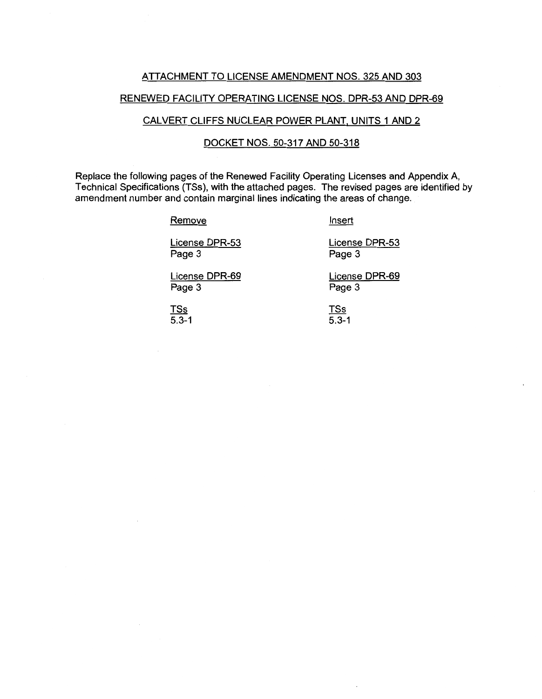#### ATTACHMENT TO LICENSE AMENDMENT NOS. 325 AND 303

#### RENEWED FACILITY OPERATING LICENSE NOS. DPR-53 AND DPR-69

#### CALVERT CLIFFS NUCLEAR POWER PLANT, UNITS 1 AND 2

#### DOCKET **NOS.** 50-317 AND 50-318

Replace the following pages of the Renewed Facility Operating Licenses and Appendix A, Technical Specifications (TSs), with the attached pages. The revised pages are identified by amendment number and contain marginal lines indicating the areas of change.

#### **Remove**

Insert

License DPR-53 Page 3

License DPR-53 Page 3

License DPR-69 Page 3

License DPR-69 Page 3

TSs 5.3-1

**TSs**  $\overline{5.3-1}$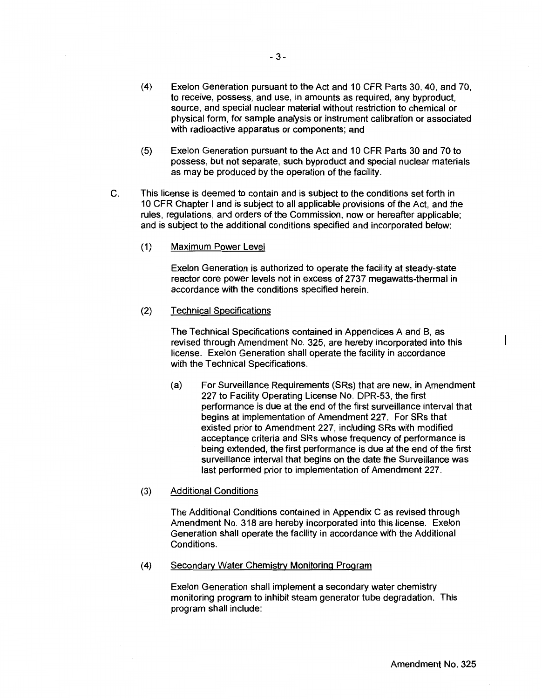- (4) Exelon Generation pursuant to the Act and 10 CFR Parts 30, 40, and 70, to receive, possess, and use, in amounts as required, any byproduct, source, and special nuclear material without restriction to chemical or physical form, for sample analysis or instrument calibration or associated with radioactive apparatus or components; and
- (5) Exelon Generation pursuant to the Act and 10 CFR Parts 30 and 70 to possess, but not separate, such byproduct and special nuclear materials as may be produced by the operation of the facility.
- C. This license is deemed to contain and is subject to the conditions set forth in 10 CFR Chapter I and is subject to all applicable provisions of the Act, and the rules, regulations, and orders of the Commission, now or hereafter applicable; and is subject to the additional conditions specified and incorporated below:
	- (1) Maximum Power Level

Exelon Generation is authorized to operate the facility at steady-state reactor core power levels not in excess of 2737 megawatts-thermal in accordance with the conditions specified herein.

(2) Technical Specifications

The Technical Specifications contained in Appendices A and B, as revised through Amendment No. 325, are hereby incorporated into this license. Exelon Generation shall operate the facility in accordance with the Technical Specifications.

- (a) For Surveillance Requirements (SRs) that are new, in Amendment 227 to Facility Operating License No. DPR-53, the first performance is due at the end of the first surveillance interval that begins at implementation of Amendment 227. For SRs that existed prior to Amendment 227, including SRs with modified acceptance criteria and SRs whose frequency of performance is being extended, the first performance is due at the end of the first surveillance interval that begins on the date the Surveillance was last performed prior to implementation of Amendment 227.
- (3) Additional Conditions

The Additional Conditions contained in Appendix C as revised through Amendment No. 318 are hereby incorporated into this license. Exelon Generation shall operate the facility in accordance with the Additional Conditions.

(4) Secondary Water Chemistry Monitoring Program

Exelon Generation shall implement a secondary water chemistry monitoring program to inhibit steam generator tube degradation. This program shall include:

 $\mathbf{I}$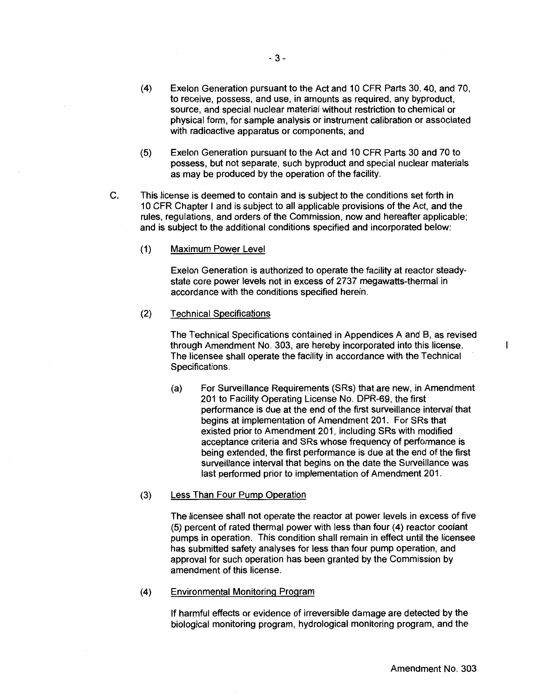- (4) Exelon Generation pursuant to the Act and 10 CFR Parts 30, 40, and 70, to receive, possess, and use, in amounts as required, any byproduct, source, and special nuclear material without restriction to chemical or physical form, for sample analysis or instrument calibration or associated with radioactive apparatus or components; and
- (5) Exelon Generation pursuant to the Act and 10 CFR Parts 30 and 70 to possess, but not separate, such byproduct and special nuclear materials as may be produced by the operation of the facility.
- C. This license is deemed to contain and is subject to the conditions set forth in 10 CFR Chapter I and is subject to all applicable provisions of the Act, and the rules, regulations, and orders of the Commission, now and hereafter applicable; and is subject to the additional conditions specified and incorporated below:
	- (1) Maximum Power Level

Exelon Generation is authorized to operate the facility at reactor steadystate core power levels not in excess of 2737 megawatts-thermal in accordance with the conditions specified herein.

(2) Technical Specifications

The Technical Specifications contained in Appendices A and B, as revised through Amendment No. 303, are hereby incorporated into this license. The licensee shall operate the facility in accordance with the Technical Specifications.

(a) For Surveillance Requirements (SRs) that are new, in Amendment 201 to Facility Operating License No. DPR-69, the first performance is due at the end of the first surveillance interval that begins at implementation of Amendment 201. For SRs that existed prior to Amendment 201, including SRs with modified acceptance criteria and SRs whose frequency of performance is being extended, the first performance is due at the end of the first surveillance interval that begins on the date the Surveillance was last performed prior to implementation of Amendment 201.

#### (3) Less Than Four Pump Operation

The licensee shall not operate the reactor at power levels in excess of five (5) percent of rated thermal power with less than four (4) reactor coolant pumps in operation. This condition shall remain in effect until the licensee has submitted safety analyses for less than four pump operation, and approval for such operation has been granted by the Commission by amendment of this license.

(4) Environmental Monitoring Program

If harmful effects or evidence of irreversible damage are detected by the biological monitoring program, hydrological monitoring program, and the  $\mathbf{I}$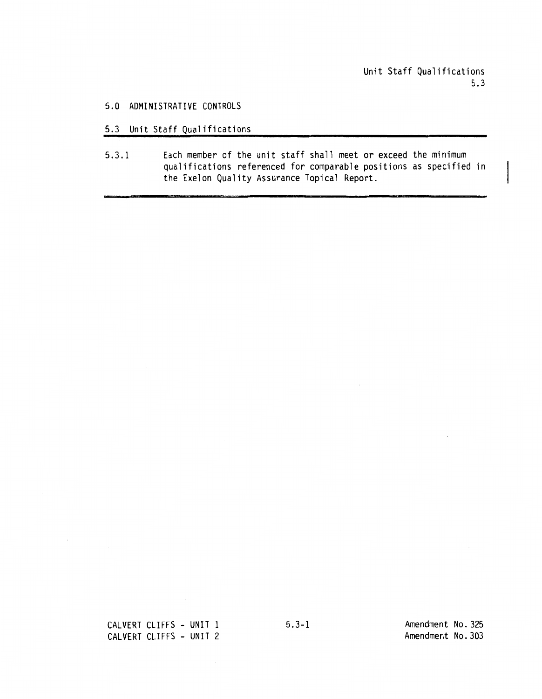#### 5.0 ADMINISTRATIVE CONTROLS

- 5.3 Unit Staff Qualifications
- 5.3.1 Each member of the unit staff shall meet or exceed the minimum qualifications referenced for comparable positions as specified in the Exelon Quality Assurance Topical Report.

CALVERT CLIFFS - UNIT 1 CALVERT CLIFFS - UNIT 2

5.3-1 Amendment No. 325 Amendment No.303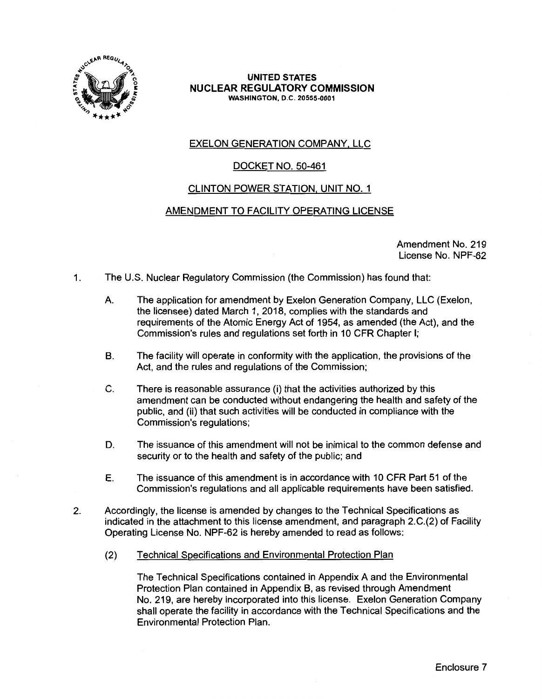

### EXELON GENERATION COMPANY, LLC

### DOCKET NO. 50-461

### CLINTON POWER STATION, UNIT NO. 1

### AMENDMENT TO FACILITY OPERATING LICENSE

Amendment No. 219 License No. NPF-62

- 1. The U.S. Nuclear Regulatory Commission (the Commission) has found that:
	- A. The application for amendment by Exelon Generation Company, LLC (Exelon, the licensee) dated March 1, 2018, complies with the standards and requirements of the Atomic Energy Act of 1954, as amended (the Act), and the Commission's rules and regulations set forth in 10 CFR Chapter I;
	- B. The facility will operate in conformity with the application, the provisions of the Act, and the rules and regulations of the Commission;
	- C. There is reasonable assurance (i) that the activities authorized by this amendment can be conducted without endangering the health and safety of the public, and (ii) that such activities will be conducted in compliance with the Commission's regulations;
	- D. The issuance of this amendment will not be inimical to the common defense and security or to the health and safety of the public; and
	- E. The issuance of this amendment is in accordance with 10 CFR Part 51 of the Commission's regulations and all applicable requirements have been satisfied.
- 2. Accordingly, the license is amended by changes to the Technical Specifications as indicated in the attachment to this license amendment, and paragraph 2.C.(2) of Facility Operating License No. NPF-62 is hereby amended to read as follows:
	- (2) Technical Specifications and Environmental Protection Plan

The Technical Specifications contained in Appendix A and the Environmental Protection Plan contained in Appendix B, as revised through Amendment No. 219, are hereby incorporated into this license. Exelon Generation Company shall operate the facility in accordance with the Technical Specifications and the Environmental Protection Plan.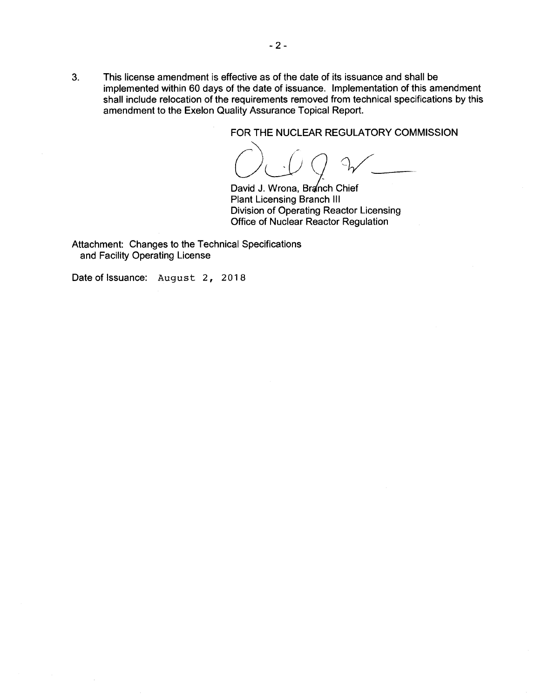FOR THE NUCLEAR REGULATORY COMMISSION

OUQ %

David J. Wrona, Branch Chief Plant Licensing Branch Ill Division of Operating Reactor Licensing Office of Nuclear Reactor Regulation

Attachment: Changes to the Technical Specifications and Facility Operating License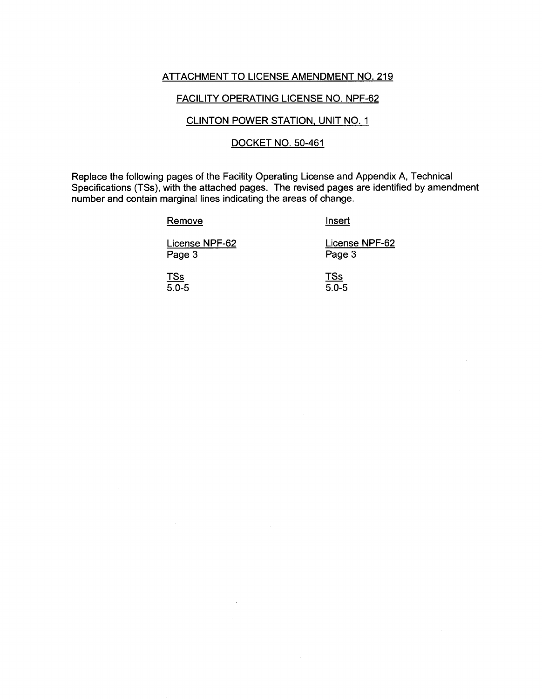#### ATTACHMENT TO LICENSE AMENDMENT NO. 219

#### FACILITY OPERATING LICENSE NO. NPF-62

#### CLINTON POWER STATION, UNIT NO. 1

#### DOCKET NO. 50-461

Replace the following pages of the Facility Operating License and Appendix A, Technical Specifications (TSs), with the attached pages. The revised pages are identified by amendment number and contain marginal lines indicating the areas of change.

Remove

Insert

License NPF-62 Page 3

License NPF-62 Page 3

TSs  $5.0 - 5$  TSs 5.0-5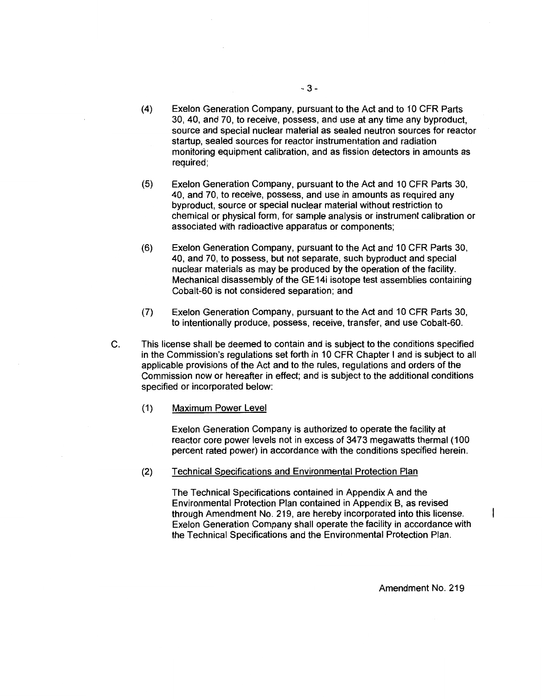- (4) Exelon Generation Company, pursuant to the Act and to 10 CFR Parts 30, 40, and 70, to receive, possess, and use at any time any byproduct, source and special nuclear material as sealed neutron sources for reactor startup, sealed sources for reactor instrumentation and radiation monitoring equipment calibration, and as fission detectors in amounts as required;
- (5) Exelon Generation Company, pursuant to the Act and 10 CFR Parts 30, 40, and 70, to receive, possess, and use in amounts as required any byproduct, source or special nuclear material without restriction to chemical or physical form, for sample analysis or instrument calibration or associated with radioactive apparatus or components;
- (6) Exelon Generation Company, pursuant to the Act and 10 CFR Parts 30, 40, and 70, to possess, but not separate, such byproduct and special nuclear materials as may be produced by the operation of the facility. Mechanical disassembly of the GE14i isotope test assemblies containing Cobalt-60 is not considered separation; and
- (7) Exelon Generation Company, pursuant to the Act and 10 CFR Parts 30, to intentionally produce, possess, receive, transfer, and use Cobalt-60.
- C. This license shall be deemed to contain and is subject to the conditions specified in the Commission's regulations set forth in 10 CFR Chapter I and is subject to all applicable provisions of the Act and to the rules, regulations and orders of the Commission now or hereafter in effect; and is subject to the additional conditions specified or incorporated below:
	- (1) Maximum Power Level

Exelon Generation Company is authorized to operate the facility at reactor core power levels not in excess of 3473 megawatts thermal (100 percent rated power) in accordance with the conditions specified herein.

(2) Technical Specifications and Environmental Protection Plan

The Technical Specifications contained in Appendix A and the Environmental Protection Plan contained in Appendix B, as revised through Amendment No. 219, are hereby incorporated into this license. Exelon Generation Company shall operate the facility in accordance with the Technical Specifications and the Environmental Protection Plan.

1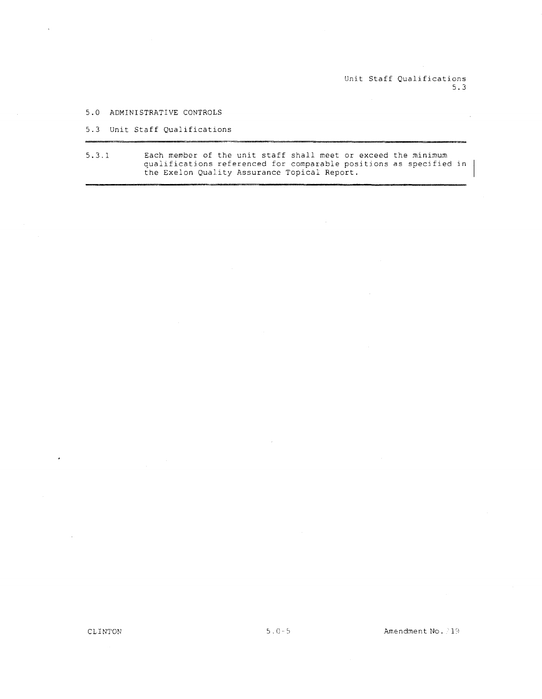Unit Staff Qualifications 5.3

5.0 ADMINISTRATIVE CONTROLS

 $\bar{\lambda}$ 

5.3 Unit Staff Qualifications

5.3.1 Each member of the unit staff shall meet or exceed the minimum qualifications referenced for comparable positions as specified the Exelon Quality Assurance Topical Report.

l,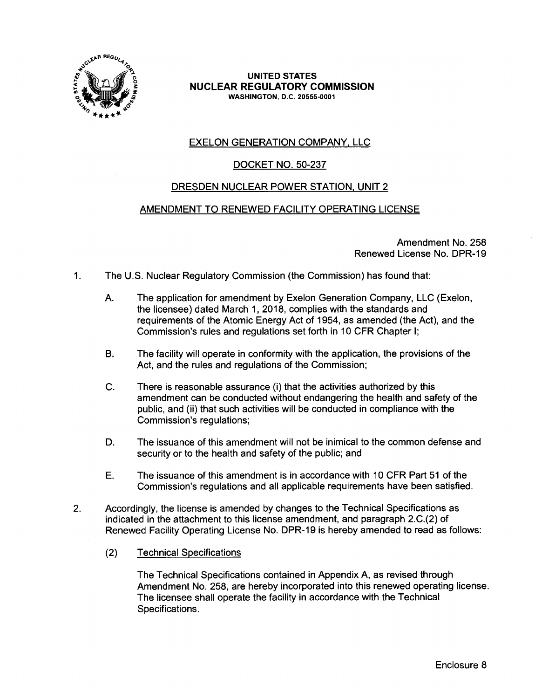

### EXELON GENERATION COMPANY, LLC

### DOCKET NO. 50-237

#### DRESDEN NUCLEAR POWER STATION, UNIT 2

#### AMENDMENT TO RENEWED FACILITY OPERATING LICENSE

Amendment No. 258 Renewed License No. DPR-19

- 1. The U.S. Nuclear Regulatory Commission (the Commission) has found that:
	- A. The application for amendment by Exelon Generation Company, LLC (Exelon, the licensee) dated March 1, 2018, complies with the standards and requirements of the Atomic Energy Act of 1954, as amended (the Act), and the Commission's rules and regulations set forth in 10 CFR Chapter I;
	- B. The facility will operate in conformity with the application, the provisions of the Act, and the rules and regulations of the Commission;
	- C. There is reasonable assurance (i) that the activities authorized by this amendment can be conducted without endangering the health and safety of the public, and (ii) that such activities will be conducted in compliance with the Commission's regulations;
	- D. The issuance of this amendment will not be inimical to the common defense and security or to the health and safety of the public; and
	- E. The issuance of this amendment is in accordance with 10 CFR Part 51 of the Commission's regulations and all applicable requirements have been satisfied.
- 2. Accordingly, the license is amended by changes to the Technical Specifications as indicated in the attachment to this license amendment, and paragraph 2.C.(2) of Renewed Facility Operating License No. DPR-19 is hereby amended to read as follows:
	- (2) Technical Specifications

The Technical Specifications contained in Appendix A, as revised through Amendment No. 258, are hereby incorporated into this renewed operating license. The licensee shall operate the facility in accordance with the Technical Specifications.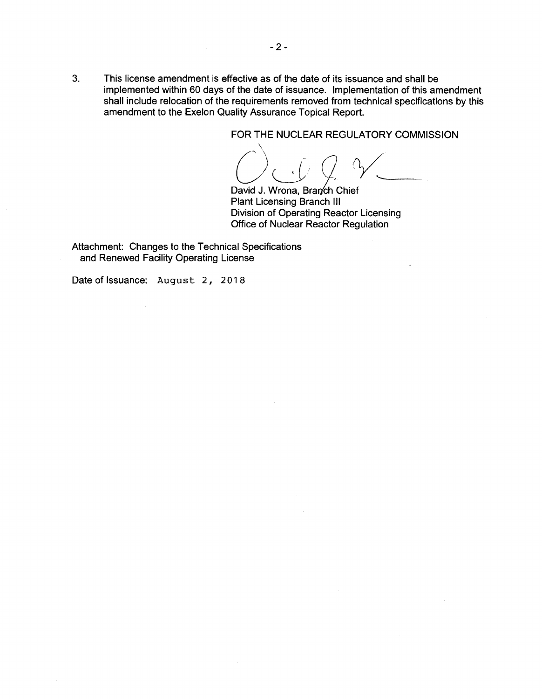FOR THE NUCLEAR REGULATORY COMMISSION

C) C Q &

David J. Wrona, Branch Chief Plant Licensing Branch Ill Division of Operating Reactor Licensing Office of Nuclear Reactor Regulation

Attachment: Changes to the Technical Specifications and Renewed Facility Operating License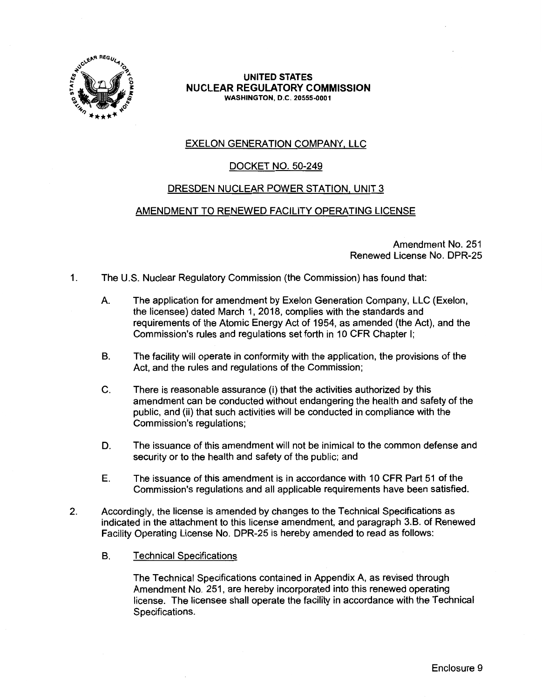

### EXELON GENERATION COMPANY, LLC

### DOCKET NO. 50-249

#### DRESDEN NUCLEAR POWER STATION, UNIT 3

#### AMENDMENT TO RENEWED FACILITY OPERATING LICENSE

Amendment No. 251 Renewed License No. DPR-25

- 1. The U.S. Nuclear Regulatory Commission (the Commission) has found that:
	- A. The application for amendment by Exelon Generation Company, LLC (Exelon, the licensee) dated March 1, 2018, complies with the standards and requirements of the Atomic Energy Act of 1954, as amended (the Act), and the Commission's rules and regulations set forth in 10 CFR Chapter I;
	- B. The facility will operate in conformity with the application, the provisions of the Act, and the rules and regulations of the Commission;
	- C. There is reasonable assurance (i) that the activities authorized by this amendment can be conducted without endangering the health and safety of the public, and (ii) that such activities will be conducted in compliance with the Commission's regulations;
	- D. The issuance of this amendment will not be inimical to the common defense and security or to the health and safety of the public; and
	- E. The issuance of this amendment is in accordance with 10 CFR Part 51 of the Commission's regulations and all applicable requirements have been satisfied.
- 2. Accordingly, the license is amended by changes to the Technical Specifications as indicated in the attachment to this license amendment, and paragraph 3.B. of Renewed Facility Operating License No. DPR-25 is hereby amended to read as follows:
	- B. Technical Specifications

The Technical Specifications contained in Appendix A, as revised through Amendment No. 251, are hereby incorporated into this renewed operating license. The licensee shall operate the facility in accordance with the Technical Specifications.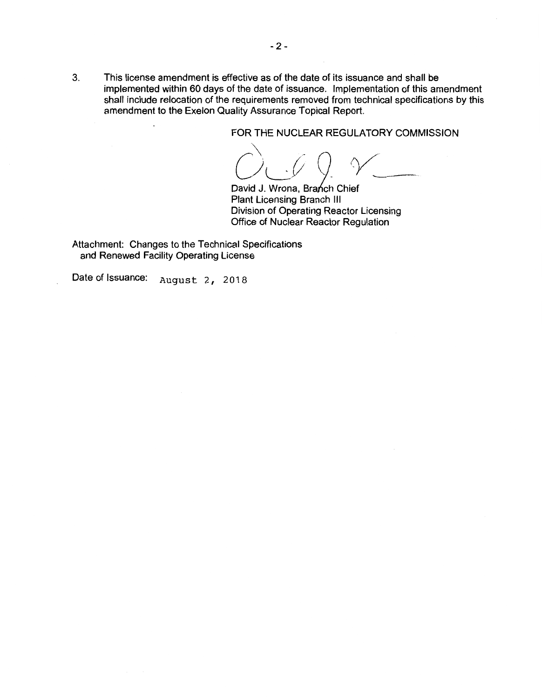FOR THE NUCLEAR REGULATORY COMMISSION

David J. Wrona, Branch Chief

Plant Licensing Branch Ill Division of Operating Reactor Licensing Office of Nuclear Reactor Regulation

Attachment: Changes to the Technical Specifications and Renewed Facility Operating License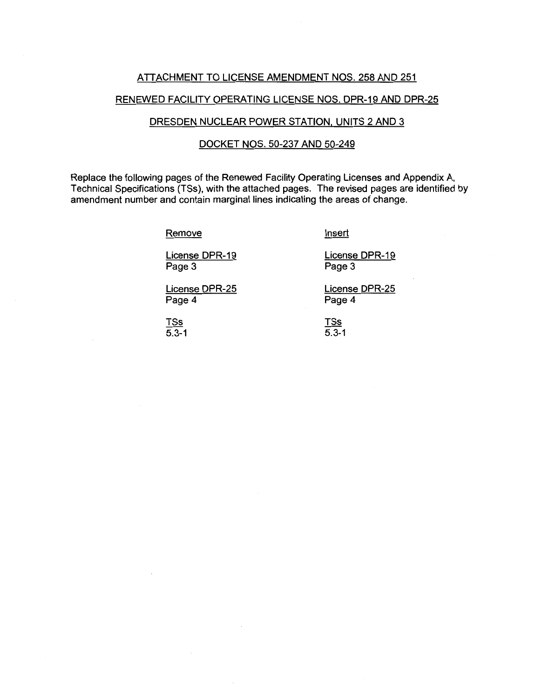#### ATTACHMENT TO LICENSE AMENDMENT NOS. 258 AND 251

## RENEWED FACILITY OPERATING LICENSE NOS. DPR-19 AND DPR-25

## DRESDEN NUCLEAR POWER STATION, UNITS 2 AND 3

# DOCKET NOS. 50-237 AND 50-249

Replace the following pages of the Renewed Facility Operating Licenses and Appendix A, Technical Specifications (TSs), with the attached pages. The revised pages are identified by amendment number and contain marginal lines indicating the areas of change.

**Remove** 

**Insert** 

Page 3

Page 4

License DPR-19

License DPR-19 Page 3

License DPR-25

License DPR-25 Page 4

TSs  $\overline{5.3-1}$ 

TSs 5.3-1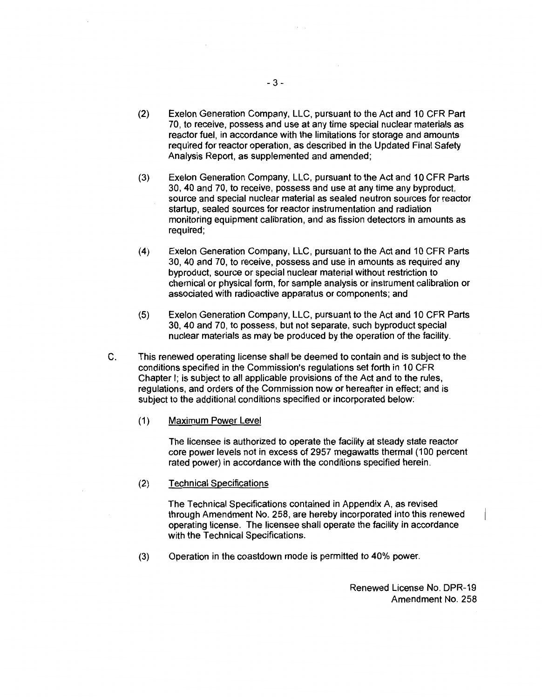- (2) Exelon Generation Company, LLC, pursuant to the Act and 10 CFR Part 70, to receive, possess and use at any time special nuclear materials as reactor fuel, in accordance with the limitations for storage and amounts required for reactor operation, as described in the Updated Final Safety Analysis Report, as supplemented and amended;
- (3) Exelon Generation Company, LLC, pursuant to the Act and 10 CFR Parts 30, 40 and 70, to receive, possess and use at any time any byproduct, source and special nuclear material as sealed neutron sources for reactor startup, sealed sources for reactor instrumentation and radiation monitoring equipment calibration, and as fission detectors in amounts as required;
- (4) Exelon Generation Company, LLC, pursuant to the Act and 10 CFR Parts 30, 40 and 70, to receive, possess and use in amounts as required any byproduct, source or special nuclear material without restriction to chemical or physical form, for sample analysis or instrument calibration or associated with radioactive apparatus or components; and
- (5) Exelon Generation Company, LLC, pursuant to the Act and 1 O CFR Parts 30, 40 and 70, to possess, but not separate, such byproduct special nuclear materials as may be produced by the operation of the facility.
- C. This renewed operating license shall be deemed to contain and is subject to the conditions specified in the Commission's regulations set forth in 10 CFR Chapter I; is subject to all applicable provisions of the Act and to the rules, regulations, and orders of the Commission now or hereafter in effect; and is subject to the additional conditions specified or incorporated below:
	- (1) Maximum Power Level

The licensee is authorized to operate the facility at steady state reactor core power levels not in excess of 2957 megawatts thermal (100 percent rated power) in accordance with the conditions specified herein.

(2) Technical Specifications

The Technical Specifications contained in Appendix A, as revised through Amendment No. 258, are hereby incorporated into this renewed operating license. The licensee shall operate the facility in accordance with the Technical Specifications.

(3) Operation in the coastdown mode is permitted to 40% power.

Renewed License No. DPR-19 Amendment No. 258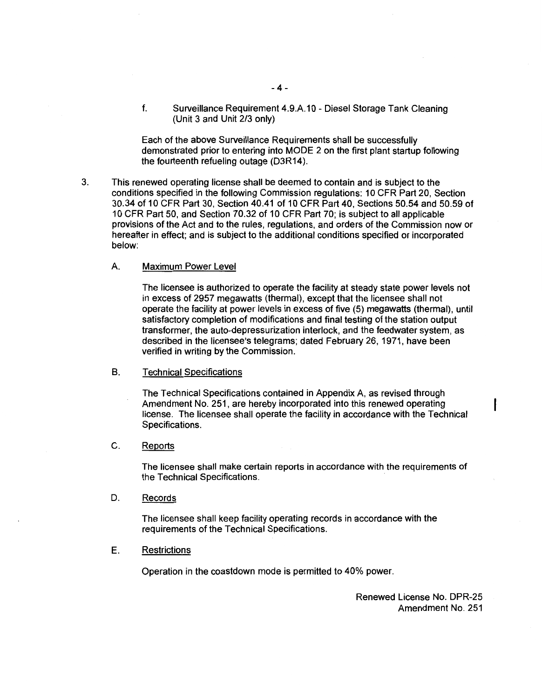f. Surveillance Requirement 4.9.A.1 O - Diesel Storage Tank Cleaning (Unit 3 and Unit 2/3 only)

Each of the above Surveillance Requirements shall be successfully demonstrated prior to entering into MODE 2 on the first plant startup following the fourteenth refueling outage (D3R14).

3. This renewed operating license shall be deemed to contain and is subject to the conditions specified in the following Commission regulations: 10 CFR Part 20, Section 30.34 of 10 CFR Part 30, Section 40.41 of 10 CFR Part 40, Sections 50.54 and 50.59 of 10 CFR Part 50, and Section 70.32 of 10 CFR Part 70; is subject to all applicable provisions of the Act and to the rules, regulations, and orders of the Commission now or hereafter in effect; and is subject to the additional conditions specified or incorporated below:

#### A. Maximum Power Level

The licensee is authorized to operate the facility at steady state power levels not in excess of 2957 megawatts (thermal), except that the licensee shall not operate the facility at power levels in excess of five (5) megawatts (thermal), until satisfactory completion of modifications and final testing of the station output transformer, the auto-depressurization interlock, and the feedwater system, as described in the licensee's telegrams; dated February 26, 1971, have been verified in writing by the Commission.

#### B. Technical Specifications

The Technical Specifications contained in Appendix A, as revised through Amendment No. 251, are hereby incorporated into this renewed operating license. The licensee shall operate the facility in accordance with the Technical Specifications.

#### C. Reports

The licensee shall make certain reports in accordance with the requirements of the Technical Specifications.

D. Records

The licensee shall keep facility operating records in accordance with the requirements of the Technical Specifications.

## E. Restrictions

Operation in the coastdown mode is permitted to 40% power.

Renewed License No. DPR-25 Amendment No. 251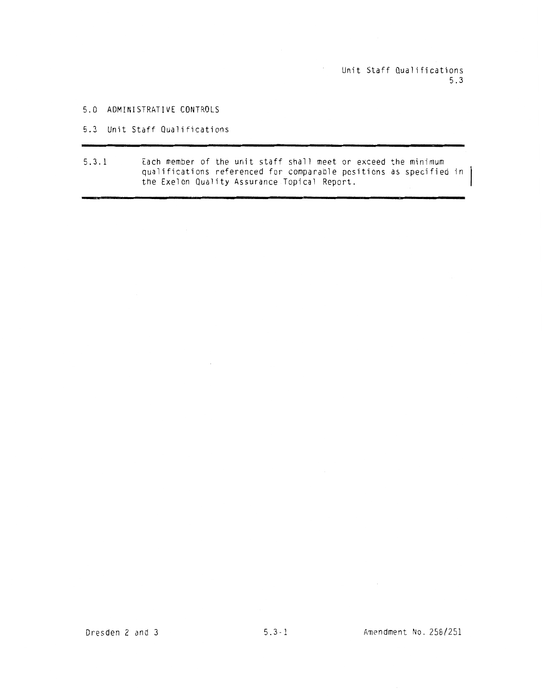Unit Staff Qualifications 5.3

## 5.0 ADMINISTRATIVE CONTROLS

#### 5.3 Unit Staff Qualifications

 $\sim 10^7$ 

5.3.1 Each member of the unit staff shall meet or exceed the minimum qualifications referenced for comparable positions as specified in the Exelon Quality Assurance Topical Report.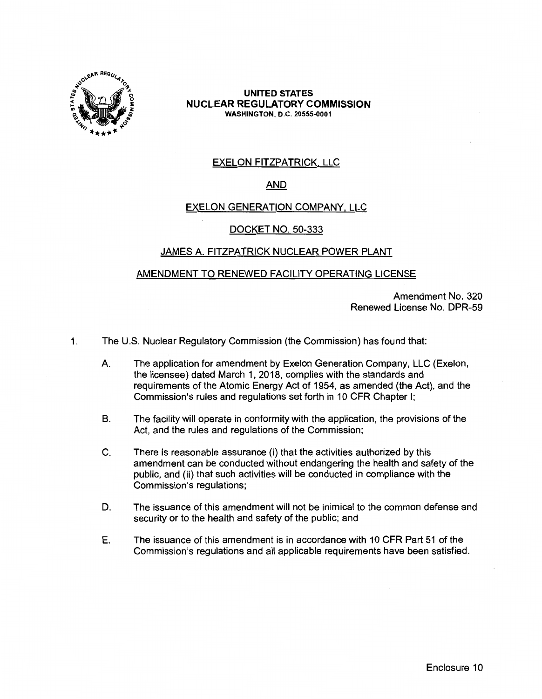

## **UNITED STATES NUCLEAR REGULATORY COMMISSION WASHINGTON,** D.C. **20555-0001**

# EXELON FITZPATRICK, LLC

# **AND**

## EXELON GENERATION COMPANY, LLC

## DOCKET NO. 50-333

## JAMES A. FITZPATRICK NUCLEAR POWER PLANT

## AMENDMENT TO RENEWED FACILITY OPERATING LICENSE

Amendment No. 320 Renewed License No. DPR-59

1. The U.S. Nuclear Regulatory Commission (the Commission) has found that:

- A The application for amendment by Exelon Generation Company, LLC (Exelon, the licensee) dated March 1, 2018, complies with the standards and requirements of the Atomic Energy Act of 1954, as amended (the Act), and the Commission's rules and regulations set forth in 10 CFR Chapter I;
- B. The facility will operate in conformity with the application, the provisions of the Act, and the rules and regulations of the Commission;
- C. There is reasonable assurance (i) that the activities authorized by this amendment can be conducted without endangering the health and safety of the public, and (ii) that such activities will be conducted in compliance with the Commission's regulations;
- D. The issuance of this amendment will not be inimical to the common defense and security or to the health and safety of the public; and
- E. The issuance of this amendment is in accordance with 10 CFR Part 51 of the Commission's regulations and all applicable requirements have been satisfied.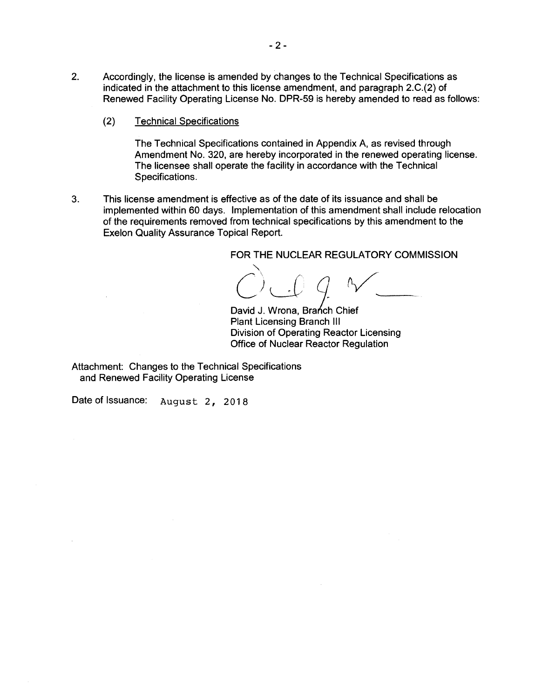- 2. Accordingly, the license is amended by changes to the Technical Specifications as indicated in the attachment to this license amendment, and paragraph 2.C.(2) of Renewed Facility Operating License No. DPR-59 is hereby amended to read as follows:
	- (2) Technical Specifications

The Technical Specifications contained in Appendix A, as revised through Amendment No. 320, are hereby incorporated in the renewed operating license. The licensee shall operate the facility in accordance with the Technical Specifications.

3. This license amendment is effective as of the date of its issuance and shall be implemented within 60 days. Implementation of this amendment shall include relocation of the requirements removed from technical specifications by this amendment to the Exelon Quality Assurance Topical Report.

FOR THE NUCLEAR REGULATORY COMMISSION

 $C$  of  $Q \sim$ 

David J. Wrona, Branch Chief Plant Licensing Branch Ill Division of Operating Reactor Licensing Office of Nuclear Reactor Regulation

Attachment: Changes to the Technical Specifications and Renewed Facility Operating License

Date of Issuance: August 2, 2018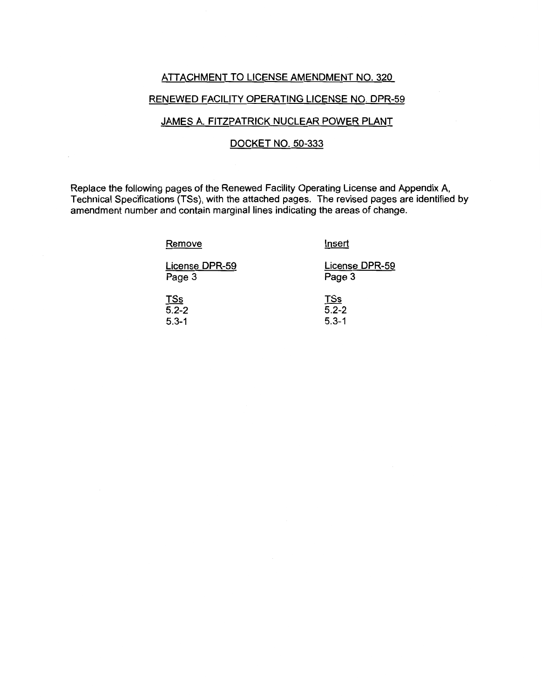#### ATTACHMENT TO LICENSE AMENDMENT NO. 320

## RENEWED FACILITY OPERATING LICENSE NO. DPR-59

## JAMES A. FITZPATRICK NUCLEAR POWER PLANT

## DOCKET NO. 50-333

Replace the following pages of the Renewed Facility Operating License and Appendix A, Technical Specifications (TSs), with the attached pages. The revised pages are identified by amendment number and contain marginal lines indicating the areas of change.

Remove

5.3-1

Insert

5.3-1

| License DPR-59 | License DPR-59 |  |
|----------------|----------------|--|
| Page 3         | Page 3         |  |
|                |                |  |
| <u>TSs</u>     | <u>TSs</u>     |  |
| $5.2 - 2$      | $5.2 - 2$      |  |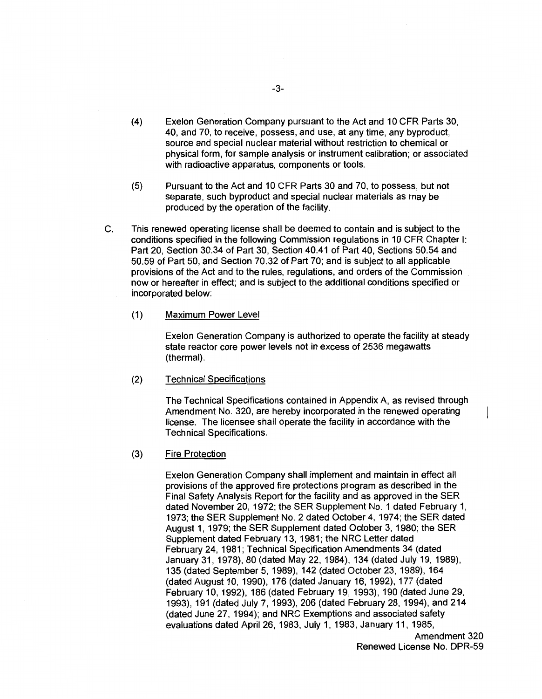- (4) Exelon Generation Company pursuant to the Act and 10 CFR Parts 30, 40, and 70, to receive, possess, and use, at any time, any byproduct, source and special nuclear material without restriction to chemical or physical form, for sample analysis or instrument calibration; or associated with radioactive apparatus, components or tools.
- (5) Pursuant to the Act and 10 CFR Parts 30 and 70, to possess, but not separate, such byproduct and special nuclear materials as may be produced by the operation of the facility.
- C. This renewed operating license shall be deemed to contain and is subject to the conditions specified in the following Commission regulations in 10 CFR Chapter I: Part 20, Section 30.34 of Part 30, Section 40.41 of Part 40, Sections 50.54 and 50.59 of Part 50, and Section 70.32 of Part 70; and is subject to all applicable provisions of the Act and to the rules, regulations, and orders of the Commission now or hereafter in effect; and is subject to the additional conditions specified or incorporated below:
	- (1) Maximum Power Level

Exelon Generation Company is authorized to operate the facility at steady state reactor core power levels not in excess of 2536 megawatts (thermal).

(2) Technical Specifications

> The Technical Specifications contained in Appendix A, as revised through Amendment No. 320, are hereby incorporated in the renewed operating license. The licensee shall operate the facility in accordance with the Technical Specifications.

(3) Fire Protection

> Exelon Generation Company shall implement and maintain in effect all provisions of the approved fire protections program as described in the Final Safety Analysis Report for the facility and as approved in the SER dated November 20, 1972; the SER Supplement No. 1 dated February 1, 1973; the SER Supplement No. 2 dated October 4, 1974; the SER dated August 1, 1979; the SER Supplement dated October 3, 1980; the SER Supplement dated February 13, 1981; the NRC Letter dated February 24, 1981; Technical Specification Amendments 34 (dated January 31, 1978), 80 (dated May 22, 1984), 134 (dated July 19, 1989), 135 (dated September 5, 1989), 142 (dated October 23, 1989), 164 (dated August 10, 1990), 176 (dated January 16, 1992), 177 (dated February 10, 1992), 186 (dated February 19, 1993), 190 (dated June 29, 1993), 191 (dated July 7, 1993), 206 (dated February 28, 1994), and 214 (dated June 27, 1994); and NRC Exemptions and associated safety evaluations dated April 26, 1983, July 1, 1983, January 11, 1985,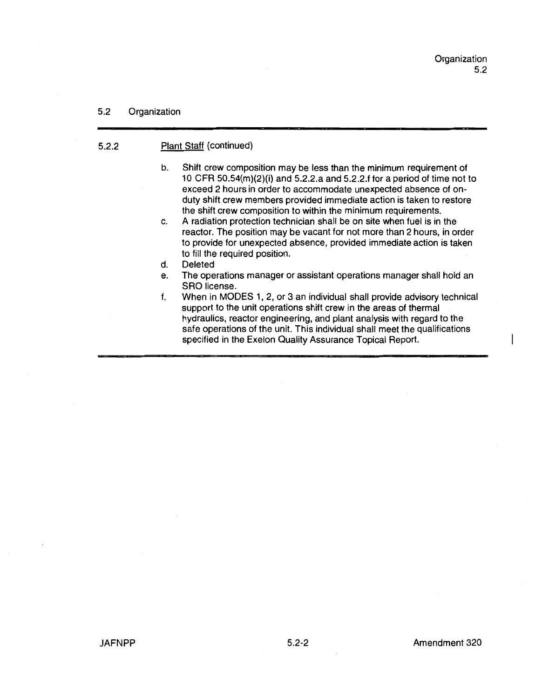## 5.2 Organization

## 5.2.2 Plant Staff (continued)

- b. Shift crew composition may be less than the minimum requirement of 1 O CFR 50.54(m)(2)(i) and 5.2.2.a and 5.2.2.f for a period of time not to exceed 2 hours in order to accommodate unexpected absence of onduty shift crew members provided immediate action is taken to restore the shift crew composition to within the minimum requirements.
- c. A radiation protection technician shall be on site when fuel is in the reactor. The position may be vacant for not more than 2 hours, in order to provide for unexpected absence, provided immediate action is taken to fill the required position.
- d. Deleted
- e. The operations manager or assistant operations manager shall hold an SRO license.
- f. When in MODES 1, 2, or 3 an individual shall provide advisory technical support to the unit operations shift crew in the areas of thermal hydraulics, reactor engineering, and plant analysis with regard to the safe operations of the unit. This individual shall meet the qualifications specified in the Exelon Quality Assurance Topical Report.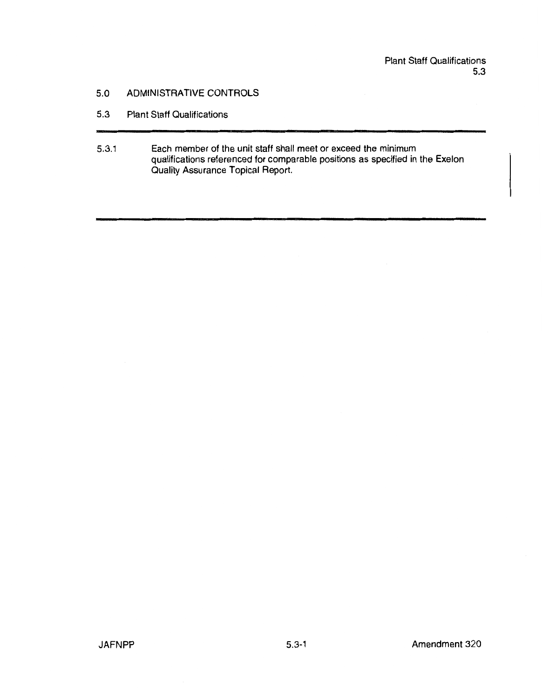# 5.0 ADMINISTRATIVE CONTROLS

- 5.3 Plant Staff Qualifications
- 5.3.1 Each member of the unit staff shall meet or exceed the minimum qualifications referenced for comparable positions as specified in the Exelon Quality Assurance Topical Report.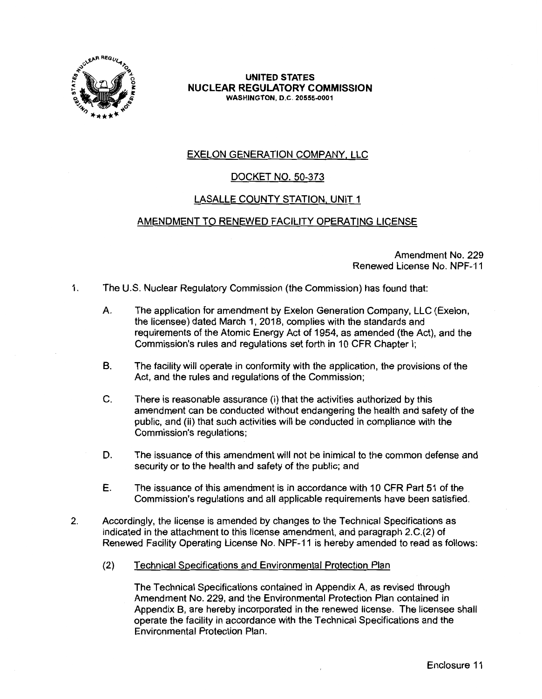

**UNITED STATES NUCLEAR REGULATORY COMMISSION WASHINGTON,** D.C. **20555-0001** 

# EXELON GENERATION COMPANY, LLC

# DOCKET NO. 50-373

# LASALLE COUNTY STATION, UNIT 1

## AMENDMENT TO RENEWED FACILITY OPERATING LICENSE

Amendment No. 229 Renewed License No. NPF-11

1. The U.S. Nuclear Regulatory Commission (the Commission) has found that:

- A. The application for amendment by Exelon Generation Company, LLC (Exelon, the licensee) dated March 1, 2018, complies with the standards and requirements of the Atomic Energy Act of 1954, as amended (the Act), and the Commission's rules and regulations set forth in 10 CFR Chapter I;
- B. The facility will operate in conformity with the application, the provisions of the Act, and the rules and regulations of the Commission;
- C. There is reasonable assurance (i) that the activities authorized by this amendment can be conducted without endangering the health and safety of the public, and (ii) that such activities will be conducted in compliance with the Commission's regulations;
- D. The issuance of this amendment will not be inimical to the common defense and security or to the health and safety of the public; and
- E. The issuance of this amendment is in accordance with 10 CFR Part 51 of the Commission's regulations and all applicable requirements have been satisfied.
- 2. Accordingly, the license is amended by changes to the Technical Specifications as indicated in the attachment to this license amendment, and paragraph 2.C.(2) of Renewed Facility Operating License No. NPF-11 is hereby amended to read as follows:
	- (2) Technical Specifications and Environmental Protection Plan

The Technical Specifications contained in Appendix A, as revised through Amendment No. 229, and the Environmental Protection Plan contained in Appendix B, are hereby incorporated in the renewed license. The licensee shall operate the facility in accordance with the Technical Specifications and the Environmental Protection Plan.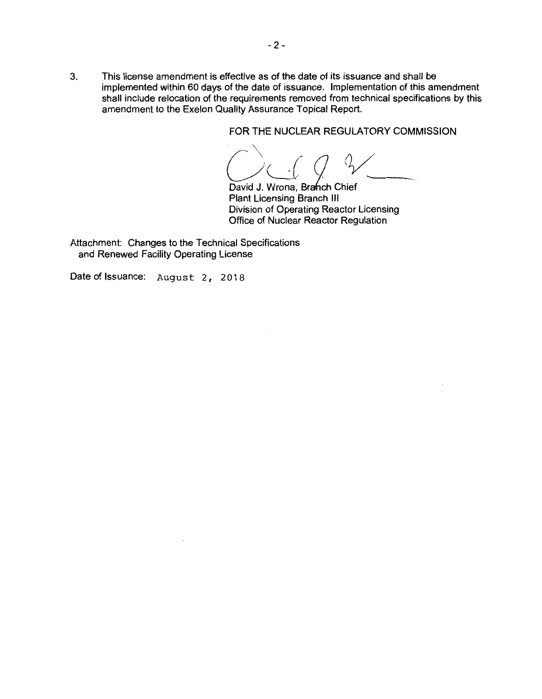3. This license amendment is effective as of the date of its issuance and shall be implemented within 60 days of the date of issuance. Implementation of this amendment shall include relocation of the requirements removed from technical specifications by this amendment to the Exelon Quality Assurance Topical Report.

FOR THE NUCLEAR REGULATORY COMMISSION

FOR THE NOCLEAR REGOLATORT COMMIS<br>COLL Q V

David J. Wrona, Branch Chief Plant Licensing Branch Ill Division of Operating Reactor Licensing Office of Nuclear Reactor Regulation

Attachment: Changes to the Technical Specifications and Renewed Facility Operating License

Date of Issuance: August 2, 2018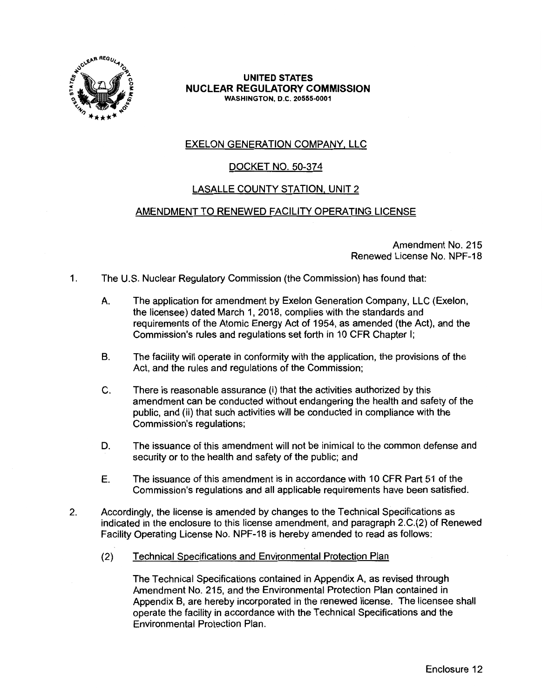

## **UNITED STATES NUCLEAR REGULATORY COMMISSION WASHINGTON,** D.C. **20555-0001**

# EXELON GENERATION COMPANY, LLC

# DOCKET NO. 50-374

# LASALLE COUNTY STATION, UNIT 2

# AMENDMENT TO RENEWED FACILITY OPERATING LICENSE

Amendment No. 215 Renewed License No. NPF-18

- 1. The U.S. Nuclear Regulatory Commission (the Commission) has found that:
	- A. The application for amendment by Exelon Generation Company, LLC (Exelon, the licensee) dated March 1, 2018, complies with the standards and requirements of the Atomic Energy Act of 1954, as amended (the Act), and the Commission's rules and regulations set forth in 10 CFR Chapter I;
	- B. The facility will operate in conformity with the application, the provisions of the Act, and the rules and regulations of the Commission;
	- C. There is reasonable assurance (i) that the activities authorized by this amendment can be conducted without endangering the health and safety of the public, and (ii) that such activities will be conducted in compliance with the Commission's regulations;
	- D. The issuance of this amendment will not be inimical to the common defense and security or to the health and safety of the public; and
	- E. The issuance of this amendment is in accordance with 10 CFR Part 51 of the Commission's regulations and all applicable requirements have been satisfied.
- 2. Accordingly, the license is amended by changes to the Technical Specifications as indicated in the enclosure to this license amendment, and paragraph 2.C.(2) of Renewed Facility Operating License No. NPF-18 is hereby amended to read as follows:
	- (2) Technical Specifications and Environmental Protection Plan

The Technical Specifications contained in Appendix A, as revised through Amendment No. 215, and the Environmental Protection Plan contained in Appendix B, are hereby incorporated in the renewed license. The licensee shall operate the facility in accordance with the Technical Specifications and the Environmental Protection Plan.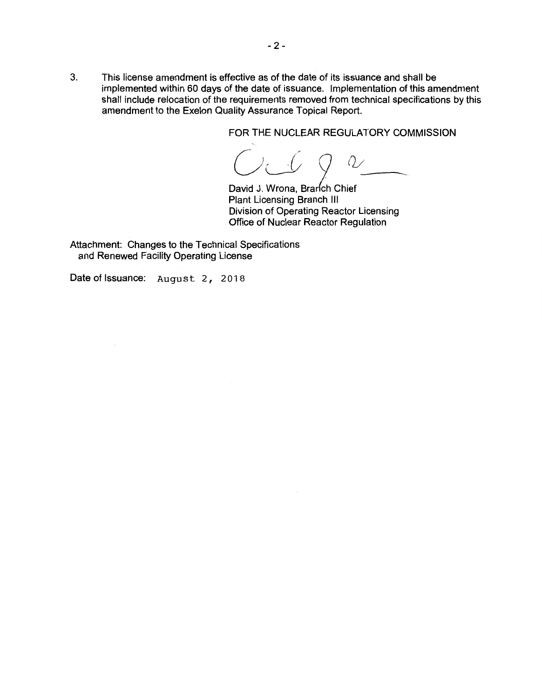3. This license amendment is effective as of the date of its issuance and shall be implemented within 60 days of the date of issuance. Implementation of this amendment shall include relocation of the requirements removed from technical specifications by this amendment to the Exelon Quality Assurance Topical Report.

FOR THE NUCLEAR REGULATORY COMMISSION

*(jJ 2* (1~

David J. Wrona, Branch Chief Plant Licensing Branch Ill Division of Operating Reactor Licensing Office of Nuclear Reactor Regulation

Attachment: Changes to the Technical Specifications and Renewed Facility Operating License

Date of Issuance: August 2, 2018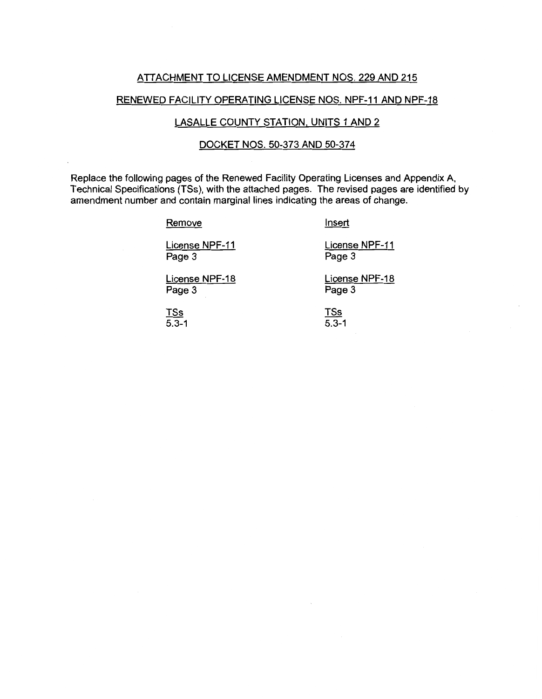#### ATTACHMENT TO LICENSE AMENDMENT NOS. 229 AND 215

## RENEWED FACILITY OPERATING LICENSE NOS. NPF-11 AND NPF-18

# LASALLE COUNTY STATION. UNITS 1 AND 2

## DOCKET NOS. 50-373 AND 50-374

Replace the following pages of the Renewed Facility Operating Licenses and Appendix A, Technical Specifications (TSs ), with the attached pages. The revised pages are identified by amendment number and contain marginal lines indicating the areas of change.

#### **Remove**

Insert

License NPF-11 Page 3

License NPF-11 Page 3

License NPF-18 Page 3

License NPF-18 Page 3

TSs 5.3-1 TSs  $\overline{5.3-1}$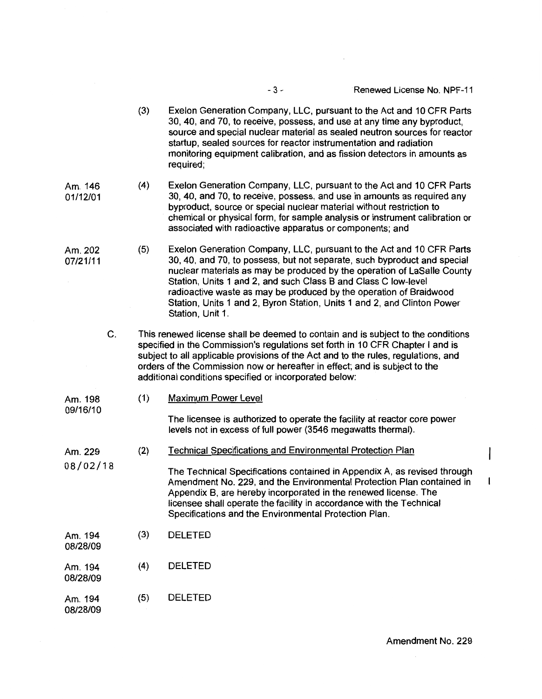|                     | (3)                                                                                                                                                                                                                                                                                                                                                                                              | Exelon Generation Company, LLC, pursuant to the Act and 10 CFR Parts<br>30, 40, and 70, to receive, possess, and use at any time any byproduct,<br>source and special nuclear material as sealed neutron sources for reactor<br>startup, sealed sources for reactor instrumentation and radiation<br>monitoring equipment calibration, and as fission detectors in amounts as<br>required;                                                                         |
|---------------------|--------------------------------------------------------------------------------------------------------------------------------------------------------------------------------------------------------------------------------------------------------------------------------------------------------------------------------------------------------------------------------------------------|--------------------------------------------------------------------------------------------------------------------------------------------------------------------------------------------------------------------------------------------------------------------------------------------------------------------------------------------------------------------------------------------------------------------------------------------------------------------|
| Am. 146<br>01/12/01 | (4)                                                                                                                                                                                                                                                                                                                                                                                              | Exelon Generation Company, LLC, pursuant to the Act and 10 CFR Parts<br>30, 40, and 70, to receive, possess, and use in amounts as required any<br>byproduct, source or special nuclear material without restriction to<br>chemical or physical form, for sample analysis or instrument calibration or<br>associated with radioactive apparatus or components; and                                                                                                 |
| Am. 202<br>07/21/11 | (5)                                                                                                                                                                                                                                                                                                                                                                                              | Exelon Generation Company, LLC, pursuant to the Act and 10 CFR Parts<br>30, 40, and 70, to possess, but not separate, such byproduct and special<br>nuclear materials as may be produced by the operation of LaSalle County<br>Station, Units 1 and 2, and such Class B and Class C low-level<br>radioactive waste as may be produced by the operation of Braidwood<br>Station, Units 1 and 2, Byron Station, Units 1 and 2, and Clinton Power<br>Station, Unit 1. |
| C.                  | This renewed license shall be deemed to contain and is subject to the conditions<br>specified in the Commission's regulations set forth in 10 CFR Chapter I and is<br>subject to all applicable provisions of the Act and to the rules, regulations, and<br>orders of the Commission now or hereafter in effect; and is subject to the<br>additional conditions specified or incorporated below: |                                                                                                                                                                                                                                                                                                                                                                                                                                                                    |
| Am. 198<br>09/16/10 | (1)                                                                                                                                                                                                                                                                                                                                                                                              | <b>Maximum Power Level</b>                                                                                                                                                                                                                                                                                                                                                                                                                                         |
|                     |                                                                                                                                                                                                                                                                                                                                                                                                  | The licensee is authorized to operate the facility at reactor core power<br>levels not in excess of full power (3546 megawatts thermal).                                                                                                                                                                                                                                                                                                                           |
| Am. 229<br>08/02/18 | (2)                                                                                                                                                                                                                                                                                                                                                                                              | <b>Technical Specifications and Environmental Protection Plan</b>                                                                                                                                                                                                                                                                                                                                                                                                  |
|                     |                                                                                                                                                                                                                                                                                                                                                                                                  | The Technical Specifications contained in Appendix A, as revised through<br>Amendment No. 229, and the Environmental Protection Plan contained in<br>Appendix B, are hereby incorporated in the renewed license. The<br>licensee shall operate the facility in accordance with the Technical<br>Specifications and the Environmental Protection Plan.                                                                                                              |
| Am. 194<br>08/28/09 | (3)                                                                                                                                                                                                                                                                                                                                                                                              | <b>DELETED</b>                                                                                                                                                                                                                                                                                                                                                                                                                                                     |
| Am. 194<br>08/28/09 | (4)                                                                                                                                                                                                                                                                                                                                                                                              | <b>DELETED</b>                                                                                                                                                                                                                                                                                                                                                                                                                                                     |
| Am. 194<br>08/28/09 | (5)                                                                                                                                                                                                                                                                                                                                                                                              | <b>DELETED</b>                                                                                                                                                                                                                                                                                                                                                                                                                                                     |

 $\overline{\phantom{a}}$ 

 $\mathbf{I}$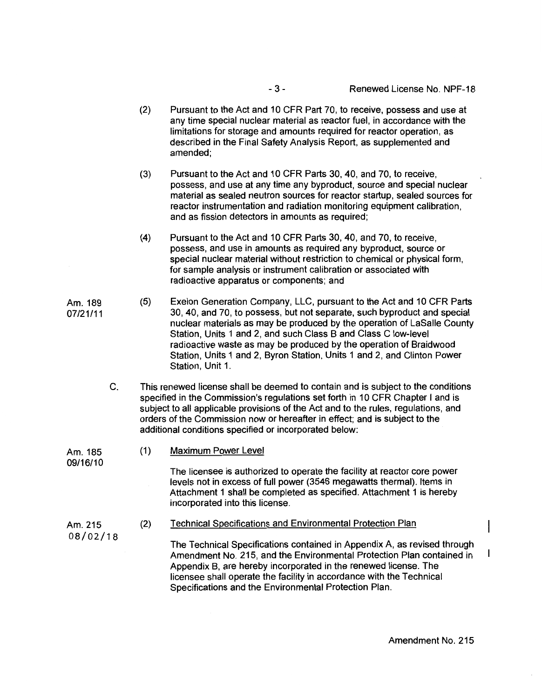- 3 - Renewed License No. NPF-18

- (2) Pursuant to the Act and 10 CFR Part 70, to receive, possess and use at any time special nuclear material as reactor fuel, in accordance with the limitations for storage and amounts required for reactor operation, as described in the Final Safety Analysis Report, as supplemented and amended;
- (3) Pursuant to the Act and 10 CFR Parts 30, 40, and 70, to receive, possess, and use at any time any byproduct, source and special nuclear material as sealed neutron sources for reactor startup, sealed sources for reactor instrumentation and radiation monitoring equipment calibration, and as fission detectors in amounts as required;
- (4) Pursuant to the Act and 10 CFR Parts 30, 40, and 70, to receive, possess, and use in amounts as required any byproduct, source or special nuclear material without restriction to chemical or physical form, for sample analysis or instrument calibration or associated with radioactive apparatus or components; and
- Am. 189 07/21/11 (5) Exelon Generation Company, LLC, pursuant to the Act and 10 CFR Parts 30, 40, and 70, to possess, but not separate, such byproduct and special nuclear materials as may be produced by the operation of LaSalle County Station, Units 1 and 2, and such Class B and Class C low-level radioactive waste as may be produced by the operation of Braidwood Station, Units 1 and 2, Byron Station, Units 1 and 2, and Clinton Power Station, Unit 1.
	- C. This renewed license shall be deemed to contain and is subject to the conditions specified in the Commission's regulations set forth in 10 CFR Chapter I and is subject to all applicable provisions of the Act and to the rules, regulations, and orders of the Commission now or hereafter in effect; and is subject to the additional conditions specified or incorporated below:

Am. 185 09/16/10 (1) Maximum Power Level

The licensee is authorized to operate the facility at reactor core power levels not in excess of full power (3546 megawatts thermal). Items in Attachment 1 shall be completed as specified. Attachment 1 is hereby incorporated into this license.

(2) Technical Specifications and Environmental Protection Plan

The Technical Specifications contained in Appendix A, as revised through Amendment No. 215, and the Environmental Protection Plan contained in Appendix B, are hereby incorporated in the renewed license. The licensee shall operate the facility in accordance with the Technical Specifications and the Environmental Protection Plan.

Am. 215 08/02/18

 $\mathbf{I}$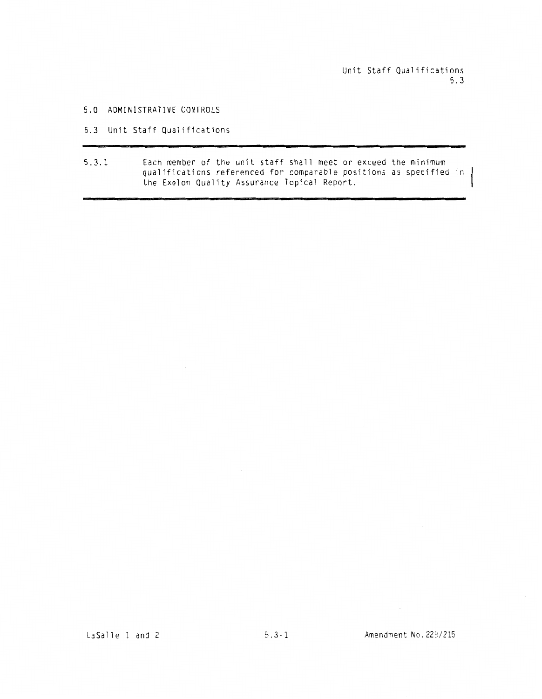Unit Staff Qualifications 5.3

#### 5.0 ADMINISTRATIVE CONTROLS

#### 5.3 Unit Staff Qualifications

5.3.1 Each member of the unit staff shall meet or exceed the minimum qualifications referenced for comparable positions as specified in the Exelon Quality Assurance Topical Report.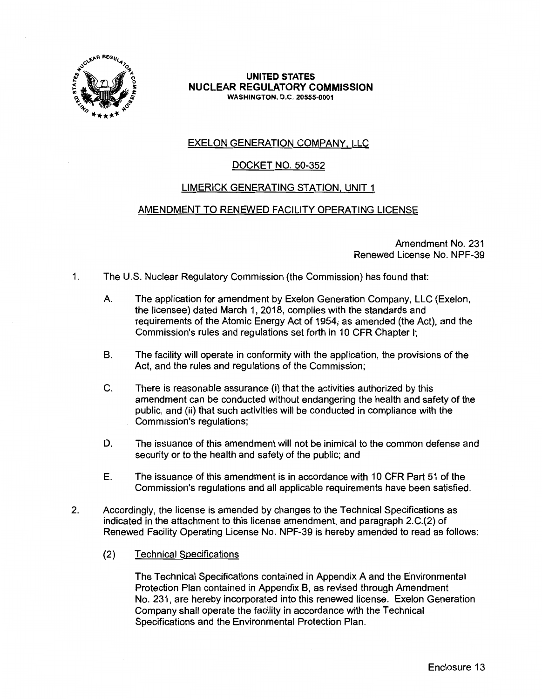

## **UNITED STATES NUCLEAR REGULATORY COMMISSION WASHINGTON,** D.C. **20555-0001**

# EXELON GENERATION COMPANY, LLC

# DOCKET NO. 50-352

# LIMERICK GENERATING STATION, UNIT 1

# AMENDMENT TO RENEWED FACILITY OPERATING LICENSE

Amendment No. 231 Renewed License No. NPF-39

- 1. The U.S. Nuclear Regulatory Commission (the Commission) has found that:
	- A. The application for amendment by Exelon Generation Company, LLC (Exelon, the licensee) dated March 1, 2018, complies with the standards and requirements of the Atomic Energy Act of 1954, as amended (the Act), and the Commission's rules and regulations set forth in 10 CFR Chapter I;
	- B. The facility will operate in conformity with the application, the provisions of the Act, and the rules and regulations of the Commission;
	- C. There is reasonable assurance (i) that the activities authorized by this amendment can be conducted without endangering the health and safety of the public, and (ii) that such activities will be conducted in compliance with the Commission's regulations;
	- D. The issuance of this amendment will not be inimical to the common defense and security or to the health and safety of the public; and
	- E. The issuance of this amendment is in accordance with 10 CFR Part 51 of the Commission's regulations and all applicable requirements have been satisfied.
- 2. Accordingly, the license is amended by changes to the Technical Specifications as indicated in the attachment to this license amendment, and paragraph 2.C.(2) of Renewed Facility Operating License No. NPF-39 is hereby amended to read as follows:
	- (2) Technical Specifications

The Technical Specifications contained in Appendix A and the Environmental Protection Plan contained in Appendix B, as revised through Amendment No. 231, are hereby incorporated into this renewed license. Exelon Generation Company shall operate the facility in accordance with the Technical Specifications and the Environmental Protection Plan.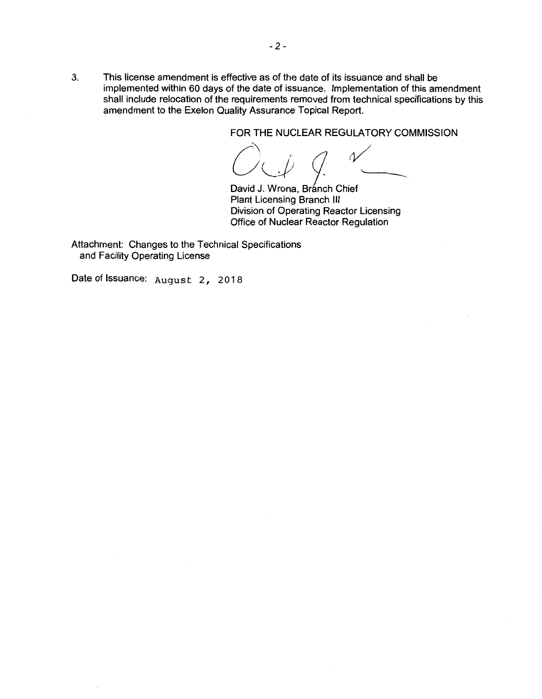3. This license amendment is effective as of the date of its issuance and shall be implemented within 60 days of the date of issuance. Implementation of this amendment shall include relocation of the requirements removed from technical specifications by this amendment to the Exelon Quality Assurance Topical Report.

**FOR THE NUCLEAR REGULATORY COMMISSION** 

David J. Wrona, Branch Chief Plant Licensing Branch Ill Division of Operating Reactor Licensing Office of Nuclear Reactor Regulation

Attachment: Changes to the Technical Specifications and Facility Operating License

Date of Issuance: August 2, 2018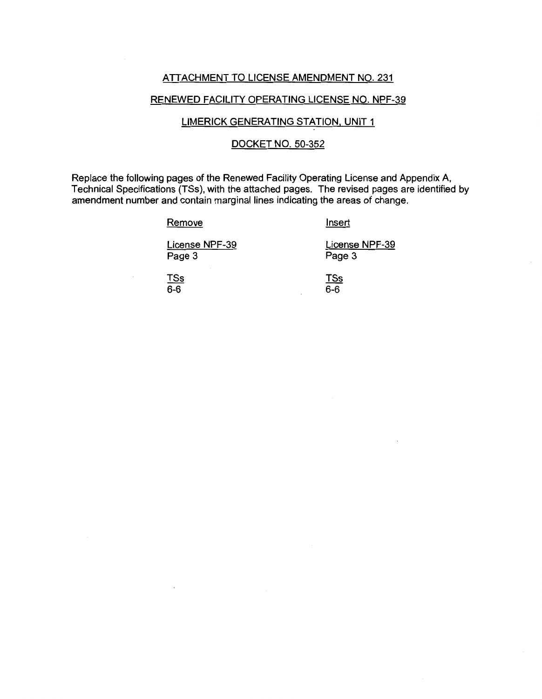## ATTACHMENT TO LICENSE AMENDMENT NO. 231

## RENEWED FACILITY OPERATING LICENSE NO. NPF-39

## LIMERICK GENERATING STATION, UNIT 1

## DOCKET NO. 50-352

Replace the following pages of the Renewed Facility Operating License and Appendix A, Technical Specifications (TSs), with the attached pages. The revised pages are identified by amendment number and contain marginal lines indicating the areas of change.

**Remove** 

Insert

License NPF-39 Page 3

License NPF-39 Page 3

TSs  $6 - 6$ 

TSs 6-6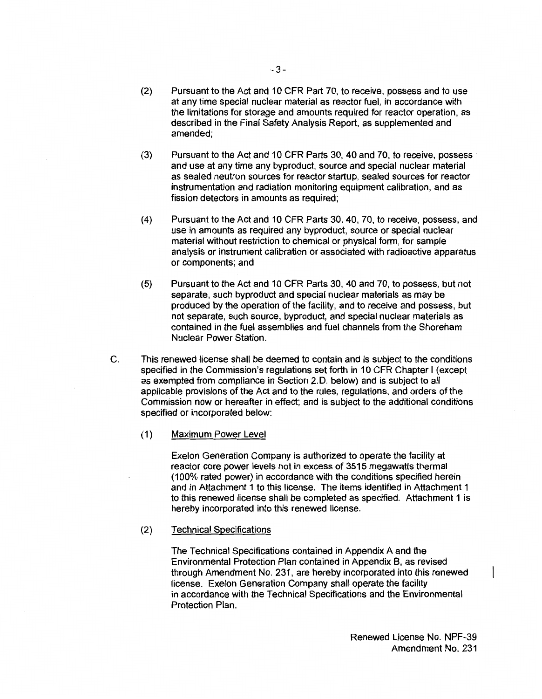- (2) Pursuant to the Act and 10 CFR Part 70, to receive, possess and to use at any time special nuclear material as reactor fuel, in accordance with the limitations for storage and amounts required for reactor operation, as described in the Final Safety Analysis Report, as supplemented and amended;
- (3) Pursuant to the Act and 10 CFR Parts 30, 40 and 70, to receive, possess and use at any time any byproduct, source and special nuclear material as sealed neutron sources for reactor startup, sealed sources for reactor instrumentation and radiation monitoring equipment calibration, and as fission detectors in amounts as required;
- (4) Pursuant to the Act and 10 CFR Parts 30, 40, 70, to receive, possess, and use in amounts as required any byproduct, source or special nuclear material without restriction to chemical or physical form, for sample analysis or instrument calibration or associated with radioactive apparatus or components; and
- (5) Pursuant to the Act and 10 CFR Parts 30, 40 and 70, to possess, but not separate, such byproduct and special nuclear materials as may be produced by the operation of the facility, and to receive and possess, but not separate, such source, byproduct, and special nuclear materials as contained in the fuel assemblies and fuel channels from the Shoreham Nuclear Power Station.
- C. This renewed license shall be deemed to contain and is subject to the conditions specified in the Commission's regulations set forth in 10 CFR Chapter I (except as exempted from compliance in Section 2. D. below) and is subject to all applicable provisions of the Act and to the rules, regulations, and orders of the Commission now or hereafter in effect; and is subject to the additional conditions specified or incorporated below:
	- ( 1) Maximum Power Level

Exelon Generation Company is authorized to operate the facility at reactor core power levels not in excess of 3515 megawatts thermal (100% rated power) in accordance with the conditions specified herein and in Attachment 1 to this license. The items identified in Attachment 1 to this renewed license shall be completed as specified. Attachment 1 is hereby incorporated into this renewed license.

#### (2) Technical Specifications

The Technical Specifications contained in Appendix A and the Environmental Protection Plan contained in Appendix B, as revised through Amendment No. 231, are hereby incorporated into this renewed license. Exelon Generation Company shall operate the facility in accordance with the Technical Specifications and the Environmental Protection Plan.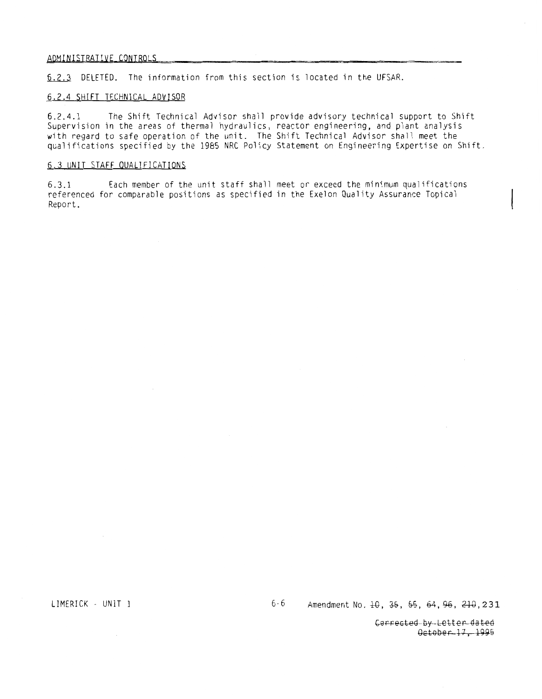#### ADMINISTRATIVE\_CONTROLS

6.2.3 DELETED. The information from this section is located in the UFSAR.

#### ~.2.4 SHIFT TECHNICAL ADVISOR

6.2.4.l The Shift Technical Advisor shall provide advisory technical support to Shift Supervision in the areas of thermal hydraulics, reactor engineering, and plant analysis with regard to safe operation of the unit. The Shift Technical Advisor shall meet the qualifications specified by the 1985 NRC Policy Statement on Engineering Expertise on Shift.

#### 6.3 UNIT STAFF QUALIFICATIONS

6.3.l Each member of the unit staff shall meet or exceed the m1n1mum qualifications referenced for comparable positions as specified in the Exelon Quality Assurance Topical Report.

LIMERICK - UNIT 1 **6-6** Amendment No. 10, 35, 55, 64, 96, 210, 231

Gorrected-by-Letter-dated October-17, 1995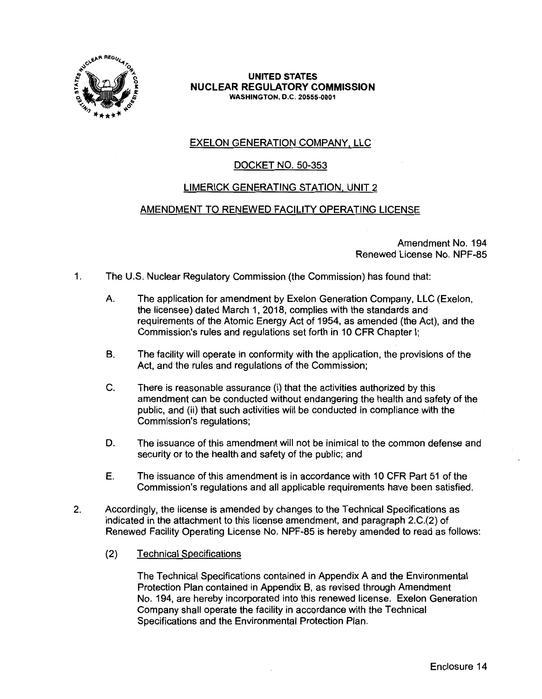

## **UNITED STATES NUCLEAR REGULATORY COMMISSION WASHINGTON, D.C. 20555-0001**

# EXELON GENERATION COMPANY, LLC

# DOCKET NO. 50-353

# LIMERICK GENERATING STATION, UNIT 2

# AMENDMENT TO RENEWED FACILITY OPERATING LICENSE

Amendment No. 194 Renewed License No. NPF-85

- 1. The U.S. Nuclear Regulatory Commission (the Commission) has found that:
	- A. The application for amendment by Exelon Generation Company, LLC (Exelon, the licensee) dated March 1, 2018, complies with the standards and requirements of the Atomic Energy Act of 1954, as amended (the Act), and the Commission's rules and regulations set forth in 10 CFR Chapter I;
	- B. The facility will operate in conformity with the application, the provisions of the Act, and the rules and regulations of the Commission;
	- C. There is reasonable assurance (i) that the activities authorized by this amendment can be conducted without endangering the health and safety of the public, and (ii) that such activities will be conducted in compliance with the Commission's regulations;
	- D. The issuance of this amendment will not be inimical to the common defense and security or to the health and safety of the public; and
	- E. The issuance of this amendment is in accordance with 10 CFR Part 51 of the Commission's regulations and all applicable requirements have been satisfied.
- 2. Accordingly, the license is amended by changes to the Technical Specifications as indicated in the attachment to this license amendment, and paragraph 2.C.(2) of Renewed Facility Operating License No. NPF-85 is hereby amended to read as follows:
	- (2) Technical Specifications

The Technical Specifications contained in Appendix A and the Environmental Protection Plan contained in Appendix B, as revised through Amendment No. 194, are hereby incorporated into this renewed license. Exelon Generation Company shall operate the facility in accordance with the Technical Specifications and the Environmental Protection Plan.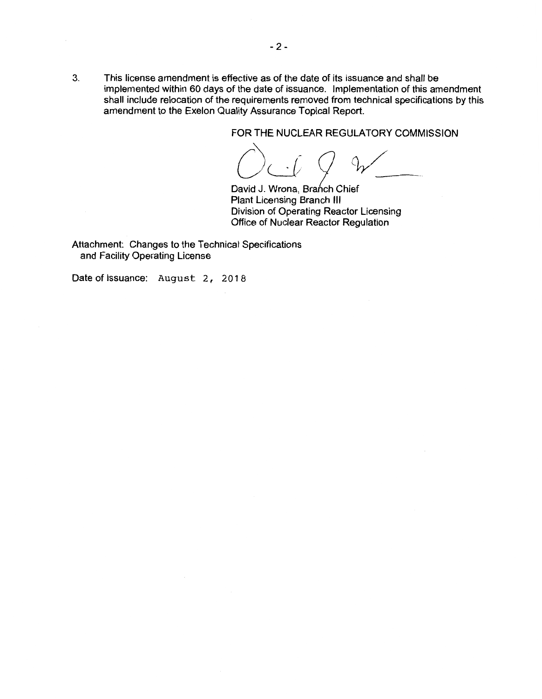3. This license amendment is effective as of the date of its issuance and shall be implemented within 60 days of the date of issuance. Implementation of this amendment shall include relocation of the requirements removed from technical specifications by this amendment to the Exelon Quality Assurance Topical Report.

FOR THE NUCLEAR REGULATORY COMMISSION<br> *()*<br>
David J. Wrona. Branch Chief

David J. Wrona, Branch Chief Plant Licensing Branch Ill Division of Operating Reactor Licensing Office of Nuclear Reactor Regulation

Attachment: Changes to the Technical Specifications and Facility Operating License

Date of Issuance: August 2, 2018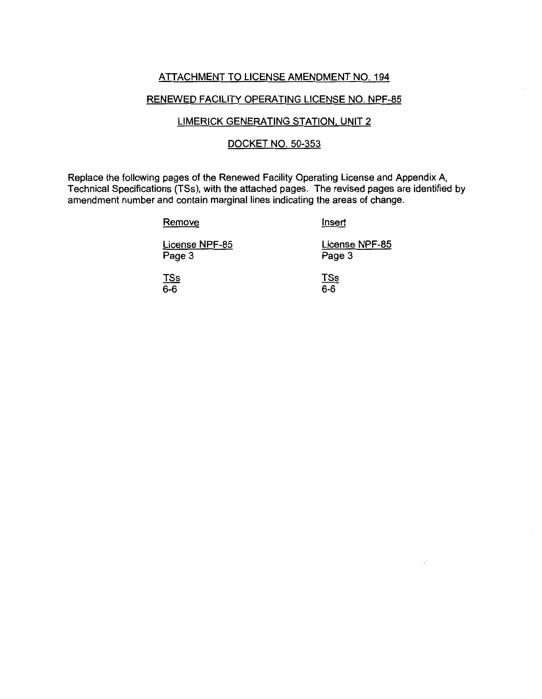## ATTACHMENT TO LICENSE AMENDMENT NO. 194

## RENEWED FACILITY OPERATING LICENSE NO. NPF-85

## LIMERICK GENERATING STATION, UNIT 2

## DOCKET NO. 50-353

Replace the following pages of the Renewed Facility Operating License and Appendix A, Technical Specifications (TSs), with the attached pages. The revised pages are identified by amendment number and contain marginal lines indicating the areas of change.

## **Remove**

Insert

License NPF-85 Page 3

License NPF-85 Page 3

TSs 6-6

TSs  $6 - 6$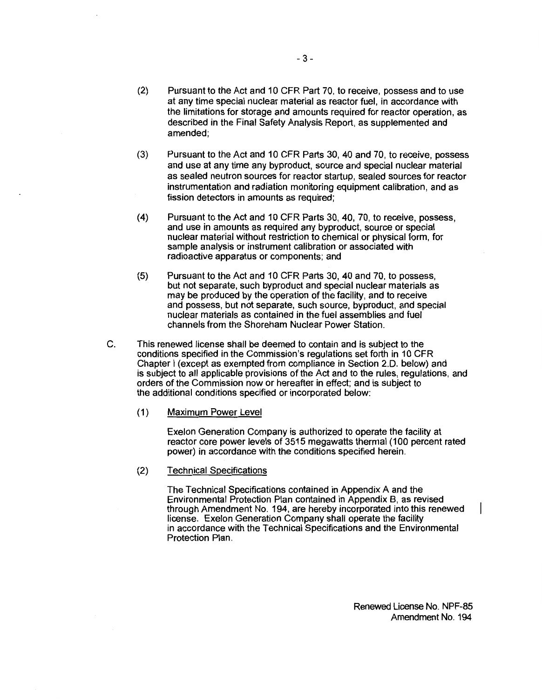- (2) Pursuant to the Act and 10 CFR Part 70, to receive, possess and to use at any time special nuclear material as reactor fuel, in accordance with the limitations for storage and amounts required for reactor operation, as described in the Final Safety Analysis Report, as supplemented and amended;
- (3) Pursuant to the Act and 10 CFR Parts 30, 40 and 70, to receive, possess and use at any time any byproduct, source and special nuclear material as sealed neutron sources for reactor startup, sealed sources for reactor instrumentation and radiation monitoring equipment calibration, and as fission detectors in amounts as required;
- (4) Pursuant to the Act and 1 O CFR Parts 30, 40, 70, to receive, possess, and use in amounts as required any byproduct, source or special nuclear material without restriction to chemical or physical form, for sample analysis or instrument calibration or associated with radioactive apparatus or components; and
- (5) Pursuant to the Act and 10 CFR Parts 30, 40 and 70, to possess, but not separate, such byproduct and special nuclear materials as may be produced by the operation of the facility, and to receive and possess, but not separate, such source, byproduct, and special nuclear materials as contained in the fuel assemblies and fuel channels from the Shoreham Nuclear Power Station.
- C. This renewed license shall be deemed to contain and is subject to the conditions specified in the Commission's regulations set forth in 10 CFR Chapter I (except as exempted from compliance in Section 2.D. below) and is subject to all applicable provisions of the Act and to the rules, regulations, and orders of the Commission now or hereafter in effect; and is subject to the additional conditions specified or incorporated below:
	- (1) Maximum Power Level

Exelon Generation Company is authorized to operate the facility at reactor core power levels of 3515 megawatts thermal (100 percent rated power) in accordance with the conditions specified herein.

(2) Technical Specifications

The Technical Specifications contained in Appendix A and the Environmental Protection Plan contained in Appendix B, as revised through Amendment No. 194, are hereby incorporated into this renewed license. Exelon Generation Company shall operate the facility in accordance with the Technical Specifications and the Environmental Protection Plan.

Renewed License No. NPF-85 Amendment No. 194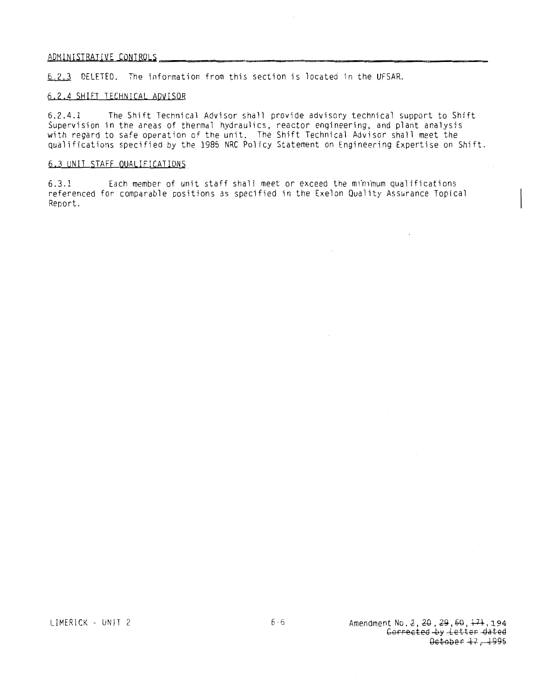# ADl1lfilS.IRAI l.\LE **,U)HIBJ)LS** \_\_ ~---~------------------

6. 2. 3 DELETED. The information from this section is located in the UFSAR.

#### 6.2.4 SHIFT TECHNICAL ADVISOR

6.2.4.1 The Shift Technical Advisor shall provide advisory technical support to Shift Supervision in the areas of thermal hydraulics, reactor engineering, and plant analysis with regard to safe operation of the unit. The Shift Technical Advisor shall meet the qualifications specified by the 1985 NRC Policy Statement on Engineering Expertise on Shift.

#### 6.3 UNIT STAFF QUALIFICATIONS

6.3.1 Each member of unit staff shall meet or exceed the m1n1mum qualifications referenced for comparable positions as specified in the Exelon Quality Assurance Topical Report.

LIMERICK - UNIT 2 6-6 Amendment No. 2, 20, 29, 60, <del>171</del>, 194 Gorrected by Letter dated Getober 47, 1995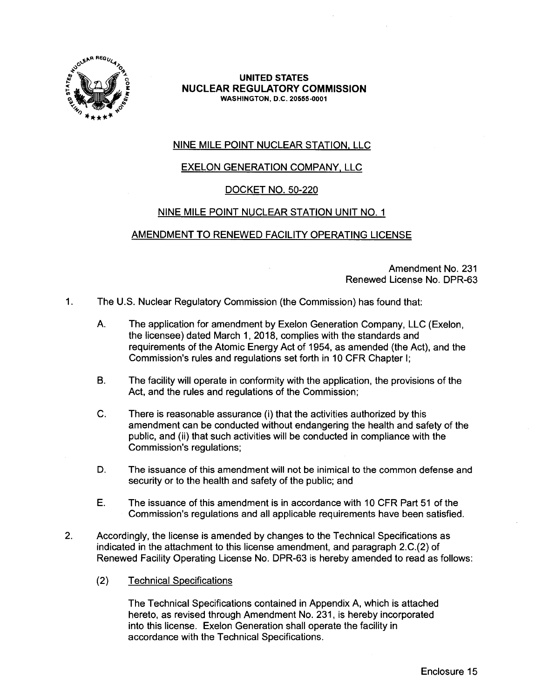

## **UNITED STATES NUCLEAR REGULATORY COMMISSION WASHINGTON,** D.C. **20555-0001**

# NINE MILE POINT NUCLEAR STATION, LLC

# EXELON GENERATION COMPANY, LLC

# DOCKET NO. 50-220

# NINE MILE POINT NUCLEAR STATION UNIT NO. 1

# AMENDMENT TO RENEWED FACILITY OPERATING LICENSE

Amendment No. 231 Renewed License No. DPR-63

- 1. The U.S. Nuclear Regulatory Commission (the Commission) has found that:
	- A. The application for amendment by Exelon Generation Company, LLC (Exelon, the licensee) dated March 1, 2018, complies with the standards and requirements of the Atomic Energy Act of 1954, as amended (the Act), and the Commission's rules and regulations set forth in 10 CFR Chapter I;
	- B. The facility will operate in conformity with the application, the provisions of the Act, and the rules and regulations of the Commission;
	- C. There is reasonable assurance (i) that the activities authorized by this amendment can be conducted without endangering the health and safety of the public, and (ii) that such activities will be conducted in compliance with the Commission's regulations;
	- D. The issuance of this amendment will not be inimical to the common defense and security or to the health and safety of the public; and
	- E. The issuance of this amendment is in accordance with 10 CFR Part 51 of the Commission's regulations and all applicable requirements have been satisfied.
- 2. Accordingly, the license is amended by changes to the Technical Specifications as indicated in the attachment to this license amendment, and paragraph 2.C.(2) of Renewed Facility Operating License No. DPR-63 is hereby amended to read as follows:
	- (2) Technical Specifications

The Technical Specifications contained in Appendix A, which is attached hereto, as revised through Amendment No. 231, is hereby incorporated into this license. Exelon Generation shall operate the facility in accordance with the Technical Specifications.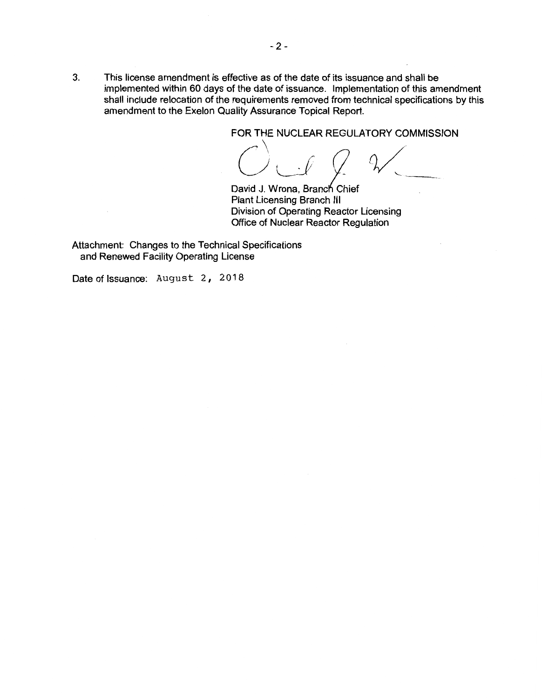3. This license amendment is effective as of the date of its issuance and shall be implemented within 60 days of the date of issuance. Implementation of this amendment shall include relocation of the requirements removed from technical specifications by this amendment to the Exelon Quality Assurance Topical Report.

FOR THE NUCLEAR REGULATORY COMMISSION

*C)LJ Q CJ/* 

David J. Wrona, Branch Chief Plant Licensing Branch Ill Division of Operating Reactor Licensing Office of Nuclear Reactor Regulation

Attachment: Changes to the Technical Specifications and Renewed Facility Operating License

Date of Issuance: August 2, 2018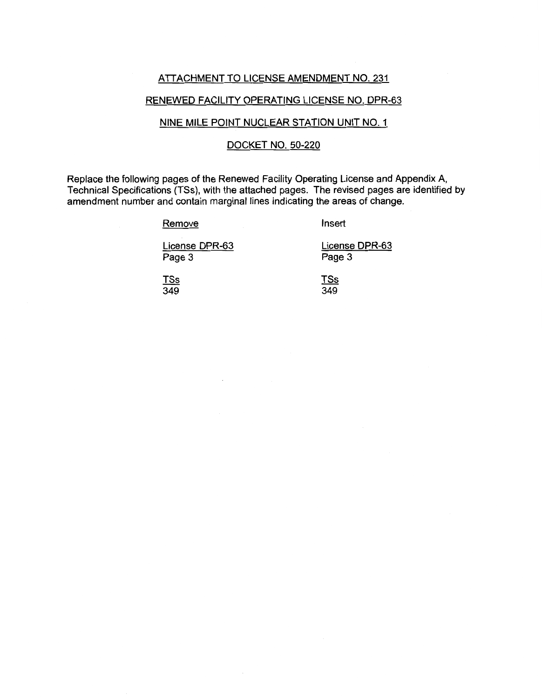## ATTACHMENT TO LICENSE AMENDMENT NO. 231

## RENEWED FACILITY OPERATING LICENSE NO. DPR-63

## NINE MILE POINT NUCLEAR STATION UNIT NO. 1

## DOCKET NO. 50-220

Replace the following pages of the Renewed Facility Operating License and Appendix A, Technical Specifications (TSs), with the attached pages. The revised pages are identified by amendment number and contain marginal lines indicating the areas of change.

#### Remove

Insert

License DPR-63 Page 3

License DPR-63 Page 3

TSs 349

TSs 349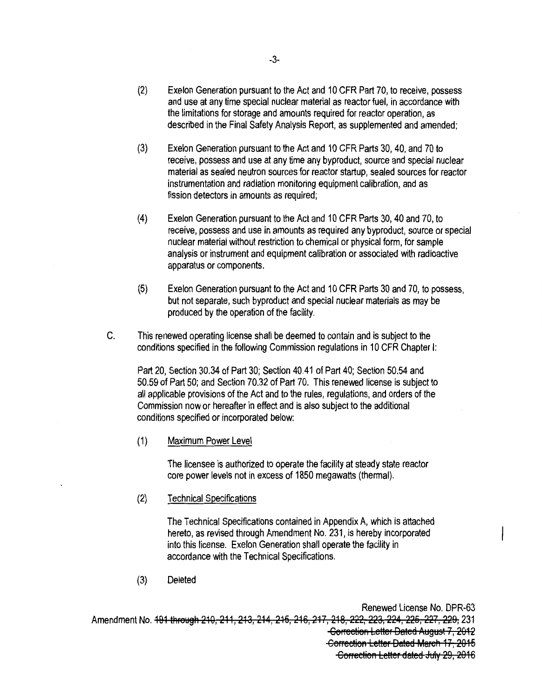- (2) Exelon Generation pursuant to the Act and 10 CFR Part 70, to receive, possess and use at any time special nuclear material as reactor fuel, in accordance with the limitations for storage and amounts required for reactor operation, as described in the Final Safety Analysis Report, as supplemented and amended;
- (3) Exelon Generation pursuant to the Act and 10 CFR Parts 30, 40, and 70 to receive, possess and use at any time any byproduct, source and special nuclear material as sealed neutron sources for reactor startup, sealed sources for reactor instrumentation and radiation monitoring equipment calibration, and as fission detectors in amounts as required;
- (4) Exelon Generation pursuant to the Act and 10 CFR Parts 30, 40 and 70, to receive, possess and use in amounts as required any byproduct, source or special nuclear material without restriction to chemical or physical form, for sample analysis or instrument and equipment calibration or associated with radioactive apparatus or components.
- (5) Exelon Generation pursuant to the Act and 10 CFR Parts 30 and 70, to possess, but not separate, such byproduct and special nuclear materials as may be produced by the operation of the facility.
- C. This renewed operating license shall be deemed to contain and is subject to the conditions specified in the following Commission regulations in 10 CFR Chapter I:

Part 20, Section 30.34 of Part 30; Section 40.41 of Part 40; Section 50.54 and 50.59 of Part 50; and Section 70.32 of Part 70. This renewed license is subject to all applicable provisions of the Act and to the rules, regulations, and orders of the Commission now or hereafter in effect and is also subject to the additional conditions specified or incorporated below:

(1) Maximum Power Level

The licensee is authorized to operate the facility at steady state reactor core power levels not in excess of 1850 megawatts (thermal).

(2) Technical Specifications

The Technical Specifications contained in Appendix A, which is attached hereto, as revised through Amendment No. 231, is hereby incorporated into this license. Exelon Generation shall operate the facility in accordance with the Technical Specifications.

(3) Deleted

Renewed License No. DPR-63 Amendment No. 491 through 210, 211, 213, 214, 215, 216, 217, 218, 222, 223, 224, 225, 227, 229, 231 Gorrection Letter Dated August 7, 2012 Gorrection Letter Dated March 17, 2015 Correction Letter dated July 29, 2016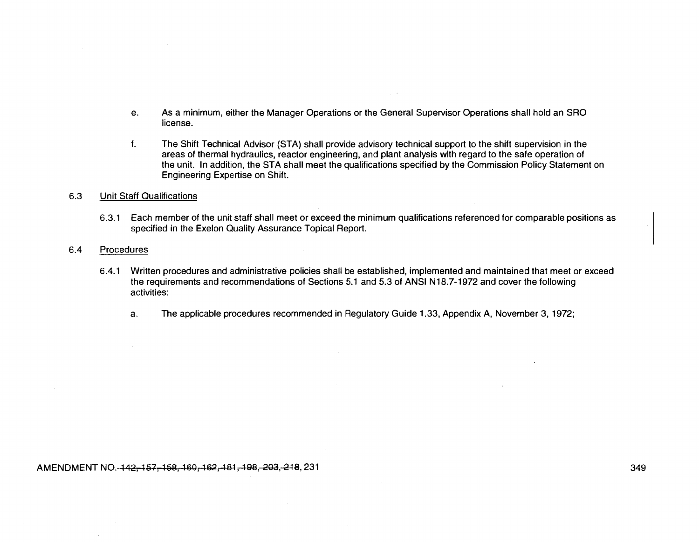- e. As a minimum, either the Manager Operations or the General Supervisor Operations shall hold an SRO license.
- f. The Shift Technical Advisor (STA) shall provide advisory technical support to the shift supervision in the areas of thermal hydraulics, reactor engineering, and plant analysis with regard to the safe operation of the unit. In addition, the STA shall meet the qualifications specified by the Commission Policy Statement on Engineering Expertise on Shift.

#### 6.3 Unit Staff Qualifications

6.3.1 Each member of the unit staff shall meet or exceed the minimum qualifications referenced for comparable positions as specified in the Exelon Quality Assurance Topical Report.

#### 6.4 Procedures

- 6.4.1 Written procedures and administrative policies shall be established, implemented and maintained that meet or exceed the requirements and recommendations of Sections 5.1 and 5.3 of ANSI N18.7-1972 and cover the following activities:
	- a. The applicable procedures recommended in Regulatory Guide 1.33, Appendix A, November 3, 1972;

#### AMENDMENT NO.-142-157-158-169-162-181-198-203-218, 231 349 349 349 349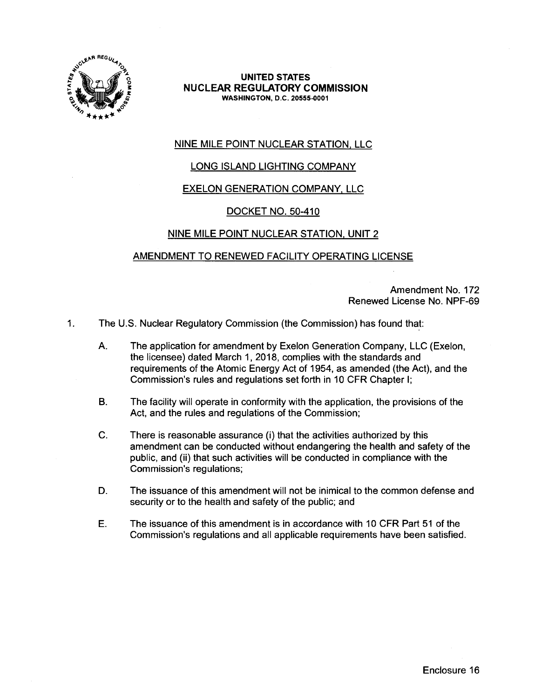

**UNITED STATES NUCLEAR REGULATORY COMMISSION WASHINGTON, O.C. 20555-0001** 

# NINE MILE POINT NUCLEAR STATION, LLC

# LONG ISLAND LIGHTING COMPANY

# EXELON GENERATION COMPANY, LLC

# DOCKET NO. 50-410

## NINE MILE POINT NUCLEAR STATION, UNIT 2

## AMENDMENT TO RENEWED FACILITY OPERATING LICENSE

Amendment No. 172 Renewed License No. NPF-69

- 1. The U.S. Nuclear Requiatory Commission (the Commission) has found that:
	- A. The application for amendment by Exelon Generation Company, LLC (Exelon, the licensee) dated March 1, 2018, complies with the standards and requirements of the Atomic Energy Act of 1954, as amended (the Act), and the Commission's rules and regulations set forth in 10 CFR Chapter I;
	- B. The facility will operate in conformity with the application, the provisions of the Act, and the rules and regulations of the Commission;
	- C. There is reasonable assurance (i) that the activities authorized by this amendment can be conducted without endangering the health and safety of the public, and (ii) that such activities will be conducted in compliance with the Commission's regulations;
	- D. The issuance of this amendment will not be inimical to the common defense and security or to the health and safety of the public; and
	- E. The issuance of this amendment is in accordance with 1 O CFR Part 51 of the Commission's regulations and all applicable requirements have been satisfied.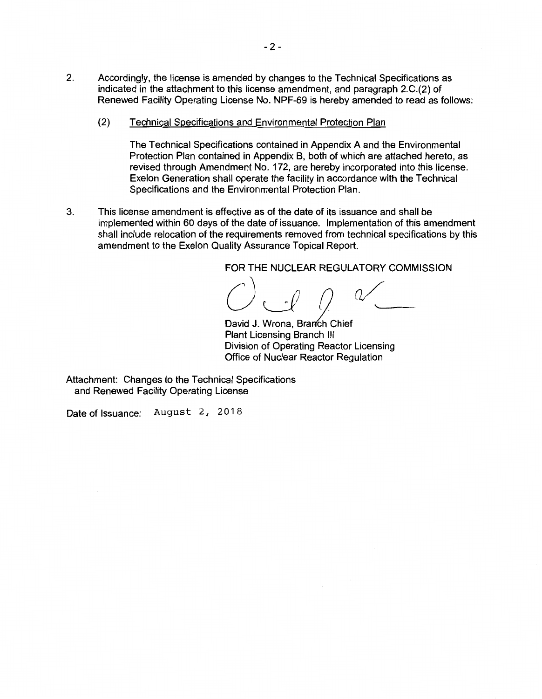- 2. Accordingly, the license is amended by changes to the Technical Specifications as indicated in the attachment to this license amendment, and paragraph 2.C.(2) of Renewed Facility Operating License No. NPF-69 is hereby amended to read as follows:
	- (2) Technical Specifications and Environmental Protection Plan

The Technical Specifications contained in Appendix A and the Environmental Protection Plan contained in Appendix B, both of which are attached hereto, as revised through Amendment No. 172, are hereby incorporated into this license. Exelon Generation shall operate the facility in accordance with the Technical Specifications and the Environmental Protection Plan.

3. This license amendment is effective as of the date of its issuance and shall be implemented within 60 days of the date of issuance. Implementation of this amendment shall include relocation of the requirements removed from technical specifications by this amendment to the Exelon Quality Assurance Topical Report.

FOR THE **NUCLEAR REGULATORY COMMISSION** 

\_\_ \_

David J. Wrona, Branch Chief Plant Licensing Branch Ill Division of Operating Reactor Licensing Office of Nuclear Reactor Regulation

Attachment: Changes to the Technical Specifications and Renewed Facility Operating License

Date of Issuance: August 2, 2018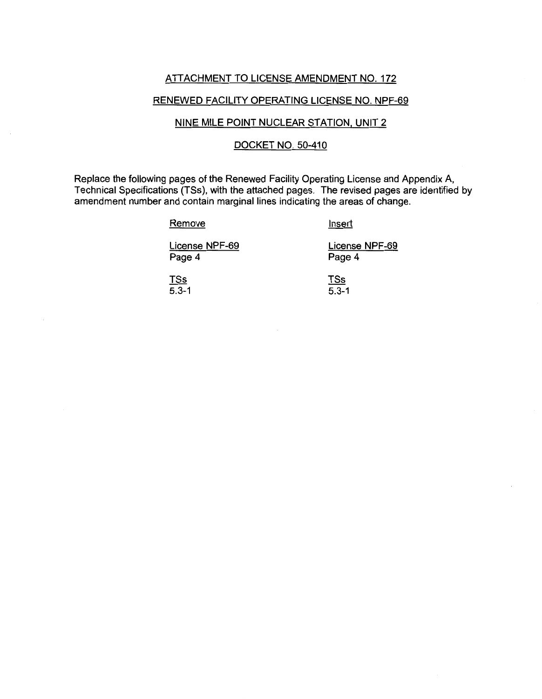# ATTACHMENT TO LICENSE AMENDMENT NO. 172

## RENEWED FACILITY OPERATING LICENSE NO. NPF-69

## NINE MILE POINT NUCLEAR STATION, UNIT 2

## DOCKET NO. 50-410

Replace the following pages of the Renewed Facility Operating License and Appendix A, Technical Specifications (TSs), with the attached pages. The revised pages are identified by amendment number and contain marginal lines indicating the areas of change.

#### **Remove**

Insert

License NPF-69 Page 4

License NPF-69 Page 4

TSs 5.3-1 TSs 5.3-1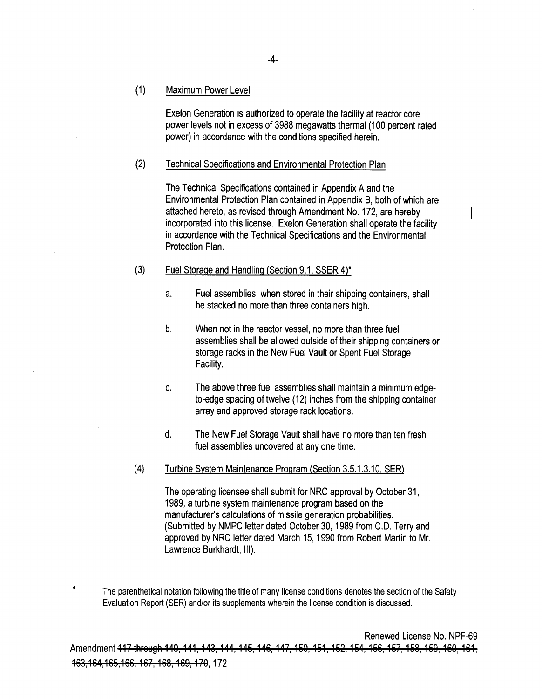(1) Maximum Power Level

> Exelon Generation is authorized to operate the facility at reactor core power levels not in excess of 3988 megawatts thermal (100 percent rated power) in accordance with the conditions specified herein.

#### (2) Technical Specifications and Environmental Protection Plan

The Technical Specifications contained in Appendix A and the Environmental Protection Plan contained in Appendix B, both of which are attached hereto, as revised through Amendment No. 172, are hereby incorporated into this license. Exelon Generation shall operate the facility in accordance with the Technical Specifications and the Environmental Protection Plan.

#### (3) Fuel Storage and Handling (Section 9.1, SSER 4)\*

- a. Fuel assemblies, when stored in their shipping containers, shall be stacked no more than three containers high.
- b. When not in the reactor vessel, no more than three fuel assemblies shall be allowed outside of their shipping containers or storage racks in the New Fuel Vault or Spent Fuel Storage Facility.
- c. The above three fuel assemblies shall maintain a minimum edgeto-edge spacing of twelve (12) inches from the shipping container array and approved storage rack locations.
- d. The New Fuel Storage Vault shall have no more than ten fresh fuel assemblies uncovered at any one time.
- (4) Turbine System Maintenance Program (Section 3.5.1.3.10, SER)

The operating licensee shall submit for NRC approval by October 31, 1989, a turbine system maintenance program based on the manufacturer's calculations of missile generation probabilities. (Submitted by NMPC letter dated October 30, 1989 from C.D. Terry and approved by NRC letter dated March 15, 1990 from Robert Martin to Mr. Lawrence Burkhardt, Ill).

<sup>\*</sup>  The parenthetical notation following the title of many license conditions denotes the section of the Safety Evaluation Report (SER) and/or its supplements wherein the license condition is discussed.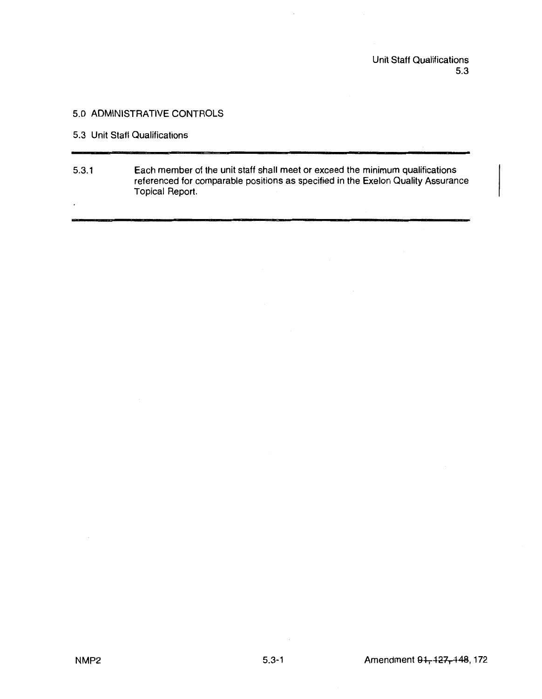Unit Staff Qualifications 5.3

# 5.0 ADMINISTRATIVE CONTROLS

5.3 Unit Staff Qualifications

 $\cdot$ 

5.3. 1 Each member of the unit staff shall meet or exceed the minimum qualifications referenced for comparable positions as specified in the Exelon Quality Assurance Topical Report.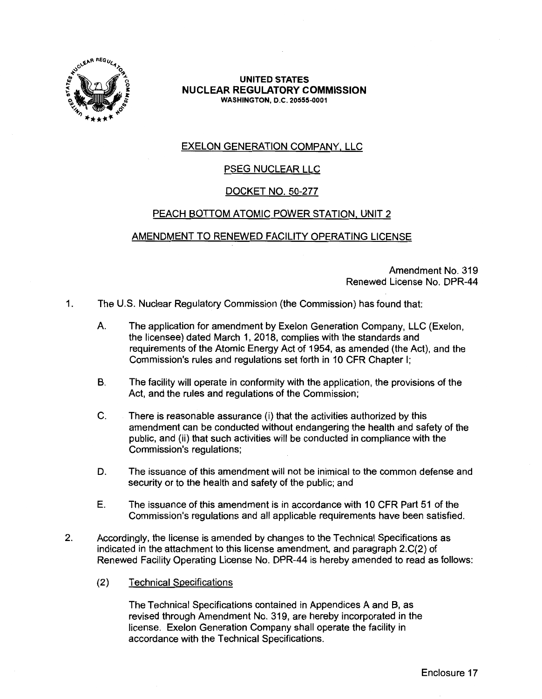

#### **UNITED STATES NUCLEAR REGULATORY COMMISSION WASHINGTON, D.C. 20555-0001**

# EXELON GENERATION COMPANY, LLC

# PSEG NUCLEAR LLC

# DOCKET NO. 50-277

# PEACH BOTTOM ATOMIC POWER STATION, UNIT 2

## AMENDMENT TO RENEWED FACILITY OPERATING LICENSE

Amendment No. 319 Renewed License No. DPR-44

- 1. The U.S. Nuclear Regulatory Commission (the Commission) has found that:
	- A. The application for amendment by Exelon Generation Company, LLC (Exelon, the licensee) dated March 1, 2018, complies with the standards and requirements of the Atomic Energy Act of 1954, as amended (the Act), and the Commission's rules and regulations set forth in 10 CFR Chapter I;
	- B. The facility will operate in conformity with the application, the provisions of the Act, and the rules and regulations of the Commission;
	- C. There is reasonable assurance (i) that the activities authorized by this amendment can be conducted without endangering the health and safety of the public, and (ii) that such activities will be conducted in compliance with the Commission's regulations;
	- D. The issuance of this amendment will not be inimical to the common defense and security or to the health and safety of the public; and
	- E. The issuance of this amendment is in accordance with 10 CFR Part 51 of the Commission's regulations and all applicable requirements have been satisfied.
- 2. Accordingly, the license is amended by changes to the Technical Specifications as indicated in the attachment to this license amendment, and paragraph 2.C(2) of Renewed Facility Operating License No. DPR-44 is hereby amended to read as follows:
	- (2) Technical Specifications

The Technical Specifications contained in Appendices A and B, as revised through Amendment No. 319, are hereby incorporated in the license. Exelon Generation Company shall operate the facility in accordance with the Technical Specifications.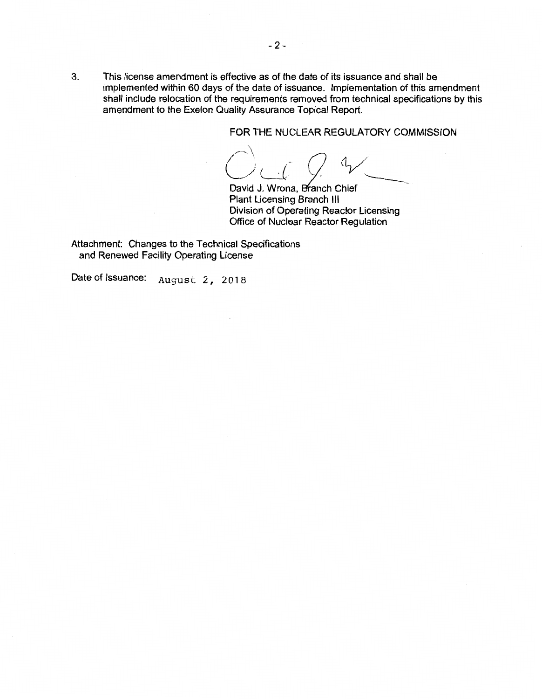3. This license amendment is effective as of the date of its issuance and shall be implemented within 60 days of the date of issuance. Implementation of this amendment shall include relocation of the requirements removed from technical specifications by this amendment to the Exelon Quality Assurance Topical Report.

FOR THE NUCLEAR REGULATORY COMMISSION

 $C\cup C\cup C$ 

David J. Wrona, Branch Chief Plant Licensing Branch Ill Division of Operating Reactor Licensing Office of Nuclear Reactor Regulation

Attachment: Changes to the Technical Specifications and Renewed Facility Operating License

Date of Issuance: August 2, 2018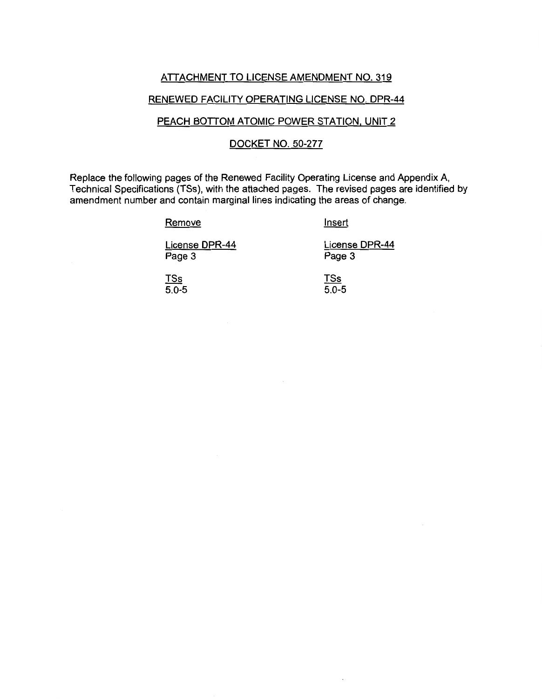### ATTACHMENT TO LICENSE AMENDMENT NO. 319

#### RENEWED FACILITY OPERATING LICENSE NO. DPR-44

#### PEACH BOTTOM ATOMIC POWER STATION, UNIT 2

# DOCKET NO. 50-277

Replace the following pages of the Renewed Facility Operating License and Appendix A, Technical Specifications {TSs), with the attached pages. The revised pages are identified by amendment number and contain marginal lines indicating the areas of change.

**Remove** 

Insert

License DPR-44 Page 3

License DPR-44 Page 3

TSs 5.0-5 TSs  $5.0 - 5$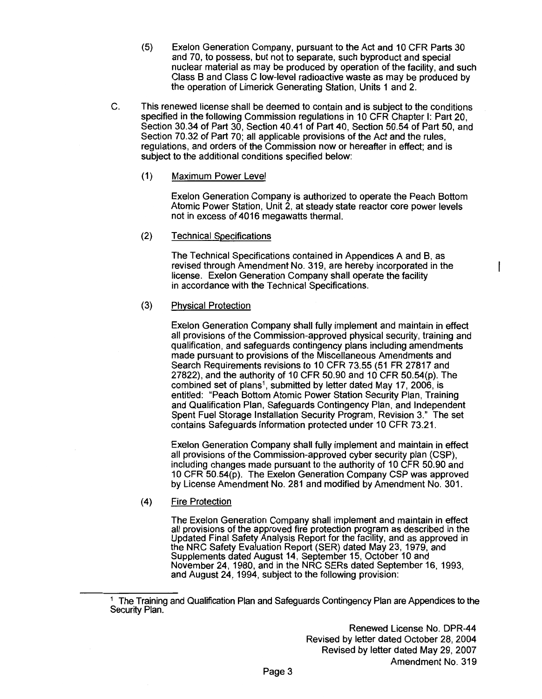- (5) Exelon Generation Company, pursuant to the Act and 10 CFR Parts 30 and 70, to possess, but not to separate, such byproduct and special nuclear material as may be produced by operation of the facility, and such Class B and Class C low-level radioactive waste as may be produced by the operation of Limerick Generating Station, Units 1 and 2.
- C. This renewed license shall be deemed to contain and is subject to the conditions specified in the following Commission regulations in 10 CFR Chapter I: Part 20, Section 30.34 of Part 30, Section 40.41 of Part 40, Section 50.54 of Part 50, and Section 70.32 of Part 70; all applicable provisions of the Act and the rules, regulations, and orders of the Commission now or hereafter in effect; and is subject to the additional conditions specified below:
	- (1) Maximum Power Level

Exelon Generation Company is authorized to operate the Peach Bottom Atomic Power Station, Unit 2, at steady state reactor core power levels not in excess of 4016 megawatts thermal.

(2) Technical Specifications

The Technical Specifications contained in Appendices A and B, as revised through Amendment No. 319, are hereby incorporated in the license. Exelon Generation Company shall operate the facility in accordance with the Technical Specifications.

#### (3) Physical Protection

Exelon Generation Company shall fully implement and maintain in effect all provisions of the Commission-approved physical security, training and qualification, and safeguards contingency plans including amendments made pursuant to provisions of the Miscellaneous Amendments and Search Requirements revisions to 10 CFR 73.55 (51 FR 27817 and 27822), and the authority of 10 CFR 50.90 and 10 CFR 50.54(p). The combined set of plans<sup>1</sup>, submitted by letter dated May 17, 2006, is entitled: "Peach Bottom Atomic Power Station Security Plan, Training and Qualification Plan, Safeguards Contingency Plan, and Independent Spent Fuel Storage Installation Security Program, Revision 3." The set contains Safeguards Information protected under 10 CFR 73.21.

Exelon Generation Company shall fully implement and maintain in effect all provisions of the Commission-approved cyber security plan (CSP), including changes made pursuant to the authority of 10 CFR 50.90 and 10 CFR 50.54(p). The Exelon Generation Company CSP was approved by License Amendment No. 281 and modified by Amendment No. 301.

(4) Fire Protection

> The Exelon Generation Company shall implement and maintain in effect all provisions of the approved fire protection program as described in the Updated Final Safety Analysis Report for the facility, and as approved in the NRC Safety Evaluation Report (SER) dated May 23, 1979, and Supplements dated August 14, September 15, October 10 and November 24, 1980, and in the NRC SERs dated September 16, 1993, and August 24, 1994, subject to the following provision:

<sup>&</sup>lt;sup>1</sup> The Training and Qualification Plan and Safeguards Contingency Plan are Appendices to the Security Plan.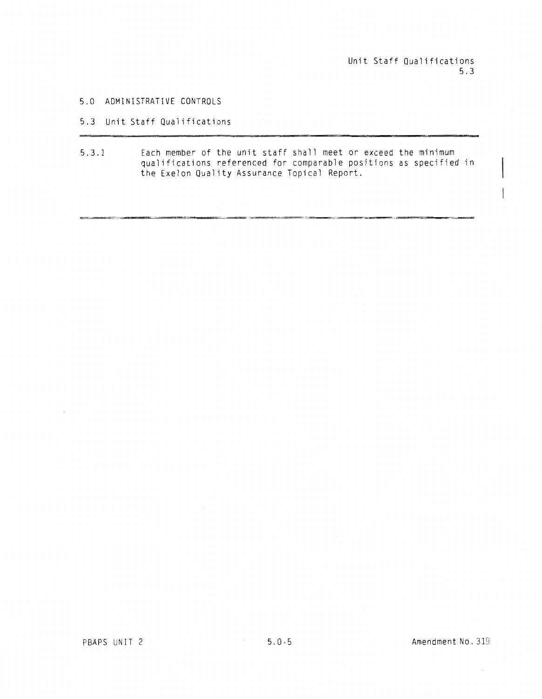Unit Staff Qualifications 5.3

5.0 ADMINISTRATIVE CONTROLS

5.3 Unit Staff Qualifications

5.3.1 Each member of the unit staff shall meet or exceed the minimum qualifications referenced for comparable positions as specified in the Exelon Quality Assurance Topical Report.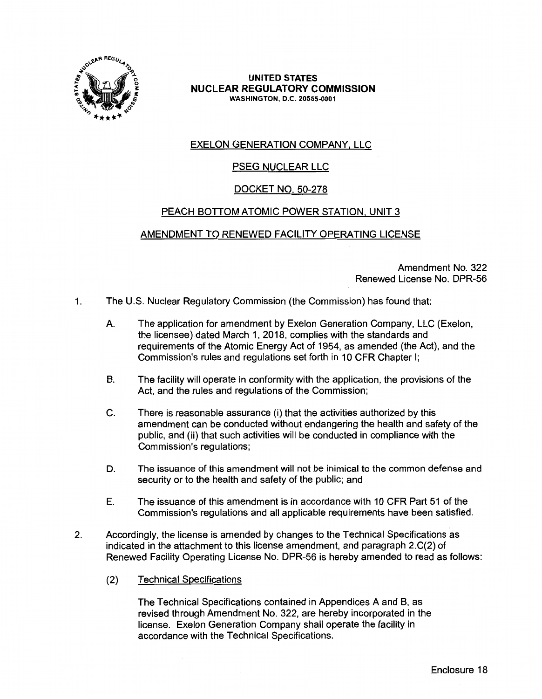

**UNITED STATES NUCLEAR REGULATORY COMMISSION WASHINGTON,** D.C. **20555-0001** 

# EXELON GENERATION COMPANY, LLC

# PSEG NUCLEAR LLC

# DOCKET NO. 50-278

# PEACH BOTTOM ATOMIC POWER STATION, UNIT 3

## AMENDMENT TO RENEWED FACILITY OPERATING LICENSE

Amendment No. 322 Renewed License No. DPR-56

- 1. The U.S. Nuclear Regulatory Commission (the Commission) has found that:
	- A. The application for amendment by Exelon Generation Company, LLC (Exelon, the licensee) dated March 1, 2018, complies with the standards and requirements of the Atomic Energy Act of 1954, as amended (the Act), and the Commission's rules and regulations set forth in 10 CFR Chapter I;
	- B. The facility will operate in conformity with the application, the provisions of the Act, and the rules and regulations of the Commission;
	- C. There is reasonable assurance (i) that the activities authorized by this amendment can be conducted without endangering the health and safety of the public, and (ii) that such activities will be conducted in compliance with the Commission's regulations;
	- D. The issuance of this amendment will not be inimical to the common defense and security or to the health and safety of the public; and
	- E. The issuance of this amendment is in accordance with 10 CFR Part 51 of the Commission's regulations and all applicable requirements have been satisfied.
- 2. Accordingly, the license is amended by changes to the Technical Specifications as indicated in the attachment to this license amendment, and paragraph 2.C(2) of Renewed Facility Operating License No. DPR-56 is hereby amended to read as follows:
	- (2) Technical Specifications

The Technical Specifications contained in Appendices A and B, as revised through Amendment No. 322, are hereby incorporated in the license. Exelon Generation Company shall operate the facility in accordance with the Technical Specifications.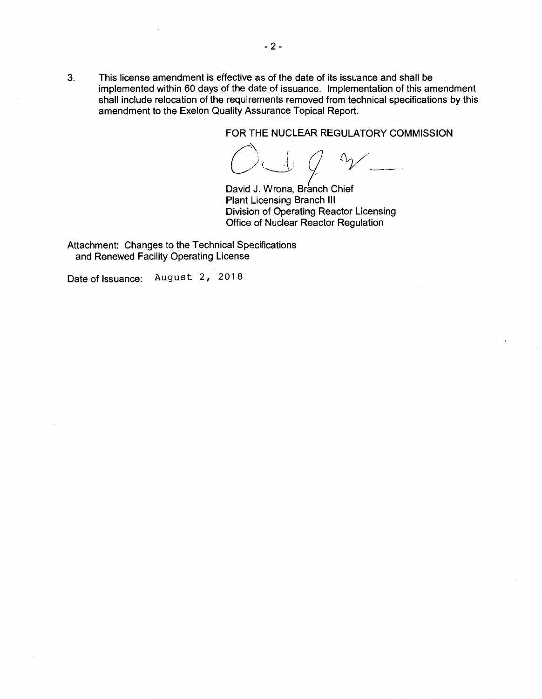3. This license amendment is effective as of the date of its issuance and shall be implemented within 60 days of the date of issuance. Implementation of this amendment shall include relocation of the requirements removed from technical specifications by this amendment to the Exelon Quality Assurance Topical Report.

FOR THE NUCLEAR REGULATORY COMMISSION

O J 9 m

David J. Wrona, Branch Chief Plant Licensing Branch Ill Division of Operating Reactor Licensing Office of Nuclear Reactor Regulation

Attachment: Changes to the Technical Specifications and Renewed Facility Operating License

Date of Issuance: August 2, 2018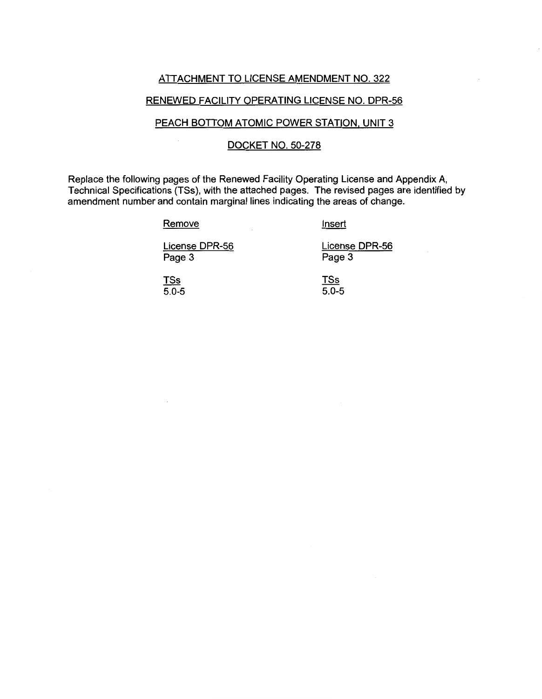## ATTACHMENT TO LICENSE AMENDMENT NO. 322

## RENEWED FACILITY OPERATING LICENSE NO. DPR-56

# PEACH BOTTOM ATOMIC POWER STATION, UNIT 3

#### DOCKET NO. 50-278

Replace the following pages of the Renewed Facility Operating License and Appendix A, Technical Specifications (TSs), with the attached pages. The revised pages are identified by amendment number and contain marginal lines indicating the areas of change.

 $\mathcal{L}_{\mathcal{A}}$ 

#### Remove

### Insert

License DPR-56 Page 3

License DPR-56 Page 3

TSs 5.0-5

TSs 5.0-5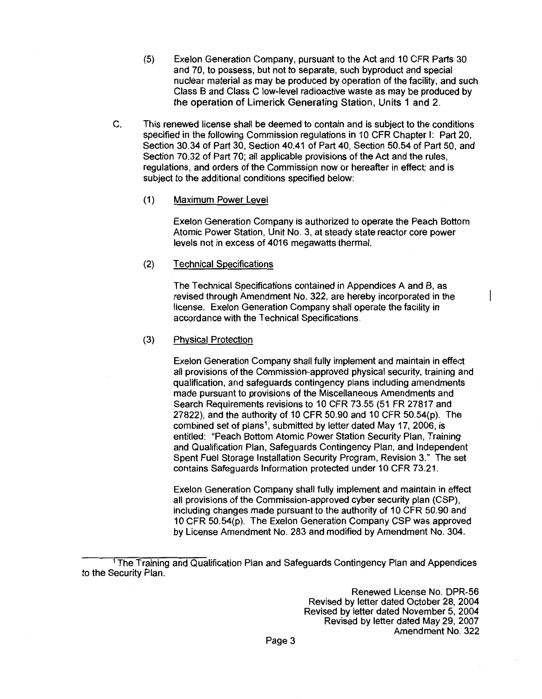- (5) Exelon Generation Company, pursuant to the Act and 10 CFR Parts 30 and 70, to possess, but not to separate, such byproduct and special nuclear material as may be produced by operation of the facility, and such Class B and Class C low-level radioactive waste as may be produced by the operation of Limerick Generating Station, Units 1 and 2.
- C. This renewed license shall be deemed to contain and is subject to the conditions specified in the following Commission regulations in 10 CFR Chapter I: Part 20, Section 30.34 of Part 30, Section 40.41 of Part 40, Section 50.54 of Part 50, and Section 70.32 of Part 70; all applicable provisions of the Act and the rules, regulations, and orders of the Commission now or hereafter in effect; and is subject to the additional conditions specified below:

#### (1) Maximum Power Level

Exelon Generation Company is authorized to operate the Peach Bottom Atomic Power Station, Unit No. 3, at steady state reactor core power levels not in excess of 4016 megawatts thermal.

#### (2) Technical Specifications

The Technical Specifications contained in Appendices A and B, as revised through Amendment No. 322, are hereby incorporated in the license. Exelon Generation Company shall operate the facility in accordance with the Technical Specifications.

#### (3) Physical Protection

Exelon Generation Company shall fully implement and maintain in effect all provisions of the Commission-approved physical security, training and qualification, and safeguards contingency plans including amendments made pursuant to provisions of the Miscellaneous Amendments and Search Requirements revisions to 10 CFR 73.55 (51 FR 27817 and 27822), and the authority of 10 CFR 50.90 and 10 CFR 50.54(p). The combined set of plans<sup>1</sup>, submitted by letter dated May 17, 2006, is entitled: "Peach Bottom Atomic Power Station Security Plan, Training and Qualification Plan, Safeguards Contingency Plan, and Independent Spent Fuel Storage Installation Security Program, Revision 3." The set contains Safeguards Information protected under 10 CFR 73.21.

Exelon Generation Company shall fully implement and maintain in effect all provisions of the Commission-approved cyber security plan (CSP), including changes made pursuant to the authority of 10 CFR 50.90 and 10 CFR 50.54(p). The Exelon Generation Company CSP was approved by License Amendment No. 283 and modified by Amendment No. 304.

Renewed License No. DPR-56 Revised by letter dated October 28, 2004 Revised by letter dated November 5, 2004 Revised by letter dated May 29, 2007 Amendment No. 322

<sup>1</sup>The Training and Qualification Plan and Safeguards Contingency Plan and Appendices to the Security Plan.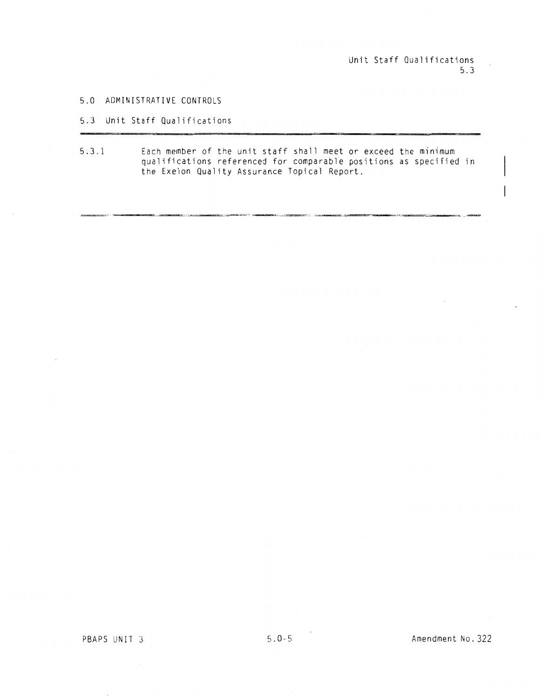$\overline{\phantom{a}}$ 

#### 5.0 ADMINISTRATIVE CONTROLS

## 5.3 Unit Staff Qualifications

5.3.1 Each member of the unit staff shall meet or exceed the minimum qualifications referenced for comparable positions as specified in the Exelon Quality Assurance Topical Report.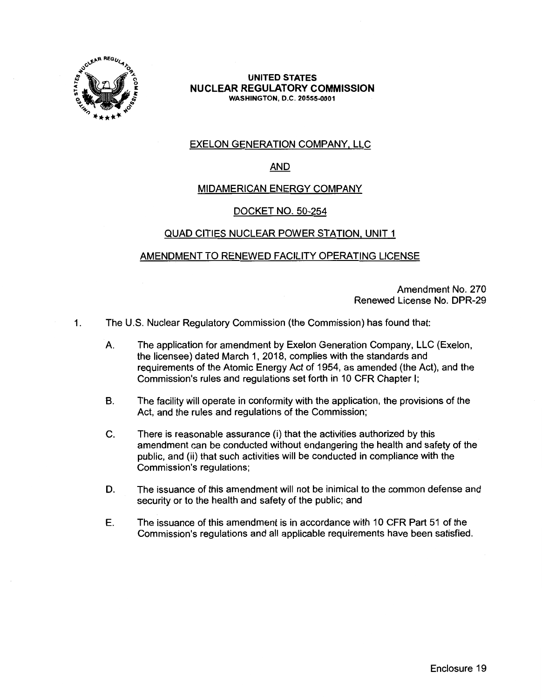

#### **UNITED STATES NUCLEAR REGULATORY COMMISSION WASHINGTON,** D.C. **20555-0001**

# EXELON GENERATION COMPANY, LLC

## AND

## MIDAMERICAN ENERGY COMPANY

## DOCKET NO. 50-254

## QUAD CITIES NUCLEAR POWER STATION, UNIT 1

## AMENDMENT TO RENEWED FACILITY OPERATING LICENSE

Amendment No. 270 Renewed License No. DPR-29

- 1. The U.S. Nuclear Regulatory Commission (the Commission) has found that:
	- A. The application for amendment by Exelon Generation Company, LLC (Exelon, the licensee) dated March 1, 2018, complies with the standards and requirements of the Atomic Energy Act of 1954, as amended (the Act), and the Commission's rules and regulations set forth in 10 CFR Chapter I;
	- B. The facility will operate in conformity with the application, the provisions of the Act, and the rules and regulations of the Commission;
	- C. There is reasonable assurance (i) that the activities authorized by this amendment can be conducted without endangering the health and safety of the public, and (ii) that such activities will be conducted in compliance with the Commission's regulations;
	- D. The issuance of this amendment will not be inimical to the common defense and security or to the health and safety of the public; and
	- E. The issuance of this amendment is in accordance with 10 CFR Part 51 of the Commission's regulations and all applicable requirements have been satisfied.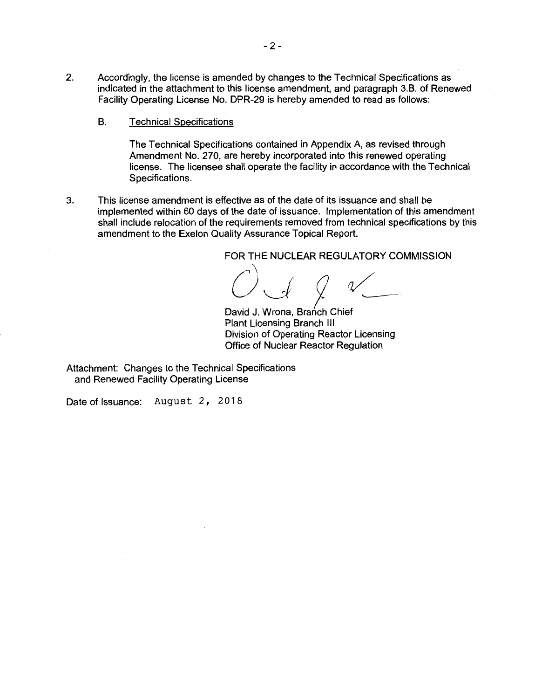- 2. Accordingly, the license is amended by changes to the Technical Specifications as indicated in the attachment to this license amendment, and paragraph 3.B. of Renewed Facility Operating License No. DPR-29 is hereby amended to read as follows:
	- B. Technical Specifications

The Technical Specifications contained in Appendix A, as revised through Amendment No. 270, are hereby incorporated into this renewed operating license. The licensee shall operate the facility in accordance with the Technical Specifications.

3. This license amendment is effective as of the date of its issuance and shall be implemented within 60 days of the date of issuance. Implementation of this amendment shall include relocation of the requirements removed from technical specifications by this amendment to the Exelon Quality Assurance Topical Report.

FOR THE NUCLEAR REGULATORY COMMISSION

/'\ - /" L)J 9 *rv~* 

David J. Wrona, Branch Chief Plant Licensing Branch Ill Division of Operating Reactor Licensing Office of Nuclear Reactor Regulation

Attachment: Changes to the Technical Specifications and Renewed Facility Operating License

Date of Issuance: August 2, 2018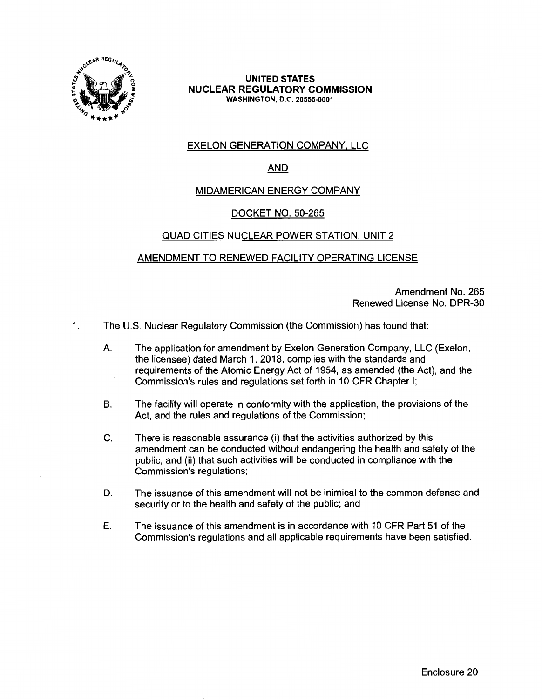

#### **UNITED STATES NUCLEAR REGULATORY COMMISSION WASHINGTON,** 0.C. **20555-0001**

# EXELON GENERATION COMPANY, LLC

# AND

## MIDAMERICAN ENERGY COMPANY

## DOCKET NO. 50-265

## QUAD CITIES NUCLEAR POWER STATION, UNIT 2

# AMENDMENT TO RENEWED FACILITY OPERATING LICENSE

Amendment No. 265 Renewed License No. DPR-30

- 1. The U.S. Nuclear Regulatory Commission (the Commission) has found that:
	- A. The application for amendment by Exelon Generation Company, LLC (Exelon, the licensee) dated March 1, 2018, complies with the standards and requirements of the Atomic Energy Act of 1954, as amended (the Act), and the Commission's rules and regulations set forth in 10 CFR Chapter I;
	- B. The facility will operate in conformity with the application, the provisions of the Act, and the rules and regulations of the Commission;
	- C. There is reasonable assurance (i) that the activities authorized by this amendment can be conducted without endangering the health and safety of the public, and (ii) that such activities will be conducted in compliance with the Commission's regulations;
	- D. The issuance of this amendment will not be inimical to the common defense and security or to the health and safety of the public; and
	- E. The issuance of this amendment is in accordance with 10 CFR Part 51 of the Commission's regulations and all applicable requirements have been satisfied.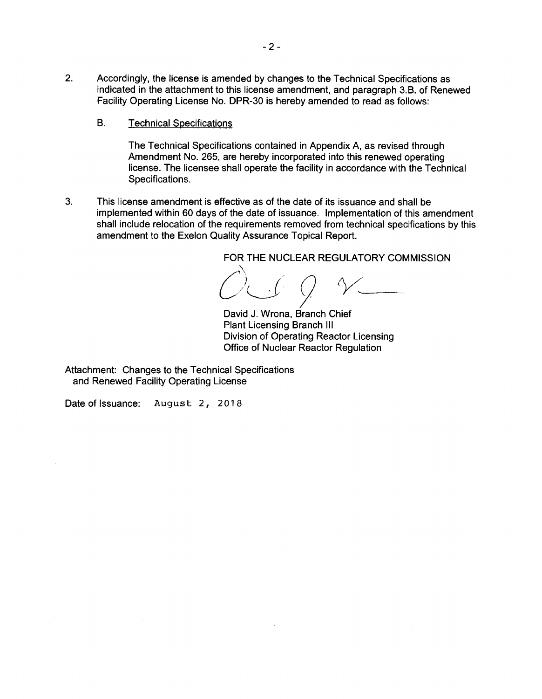- 2. Accordingly, the license is amended by changes to the Technical Specifications as indicated in the attachment to this license amendment, and paragraph 3.8. of Renewed Facility Operating License No. DPR-30 is hereby amended to read as follows:
	- 8. Technical Specifications

The Technical Specifications contained in Appendix A, as revised through Amendment No. 265, are hereby incorporated into this renewed operating license. The licensee shall operate the facility in accordance with the Technical Specifications.

3. This license amendment is effective as of the date of its issuance and shall be implemented within 60 days of the date of issuance. Implementation of this amendment shall include relocation of the requirements removed from technical specifications by this amendment to the Exelon Quality Assurance Topical Report.

FOR THE NUCLEAR REGULATORY COMMISSION  $(\bigcap_{n=1}^{\infty} \bigcap_{n=1}^{\infty} \bigcap_{n=1}^{\infty} \bigcap_{n=1}^{\infty} \bigcap_{n=1}^{\infty} \bigcap_{n=1}^{\infty} \bigcap_{n=1}^{\infty} \bigcap_{n=1}^{\infty} \bigcap_{n=1}^{\infty} \bigcap_{n=1}^{\infty} \bigcap_{n=1}^{\infty} \bigcap_{n=1}^{\infty} \bigcap_{n=1}^{\infty} \bigcap_{n=1}^{\infty}$ C)<br>David J. Wrona, Branch Chief

Plant Licensing Branch Ill Division of Operating Reactor Licensing Office of Nuclear Reactor Regulation

Attachment: Changes to the Technical Specifications and Renewed Facility Operating License

Date of Issuance: August 2, 2018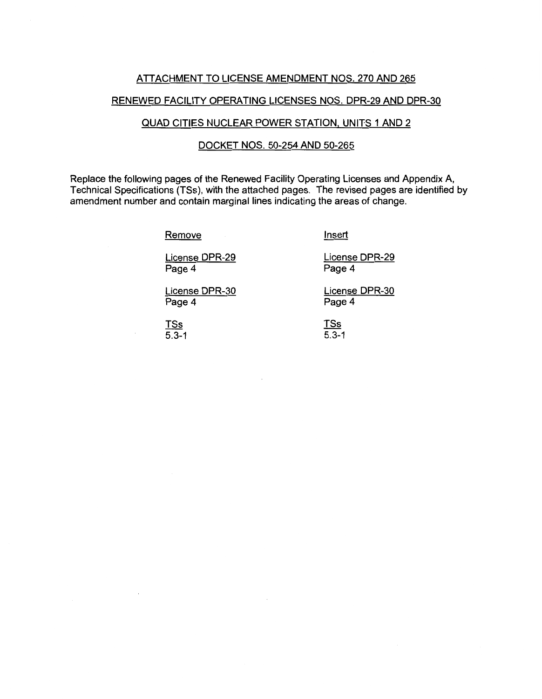### ATTACHMENT TO LICENSE AMENDMENT NOS. 270 AND 265

#### RENEWED FACILITY OPERATING LICENSES NOS. DPR-29 AND DPR-30

### QUAD CITIES NUCLEAR POWER STATION, UNITS 1 AND 2

### DOCKET NOS. 50-254 AND 50-265

Replace the following pages of the Renewed Facility Operating Licenses and Appendix A, Technical Specifications {TSs), with the attached pages. The revised pages are identified by amendment number and contain marginal lines indicating the areas of change.

Remove

Insert

License DPR-29 Page 4

License DPR-30 Page 4

TSs  $5.3 - 1$  License DPR-29 Page 4

License DPR-30 Page 4

TSs 5.3-1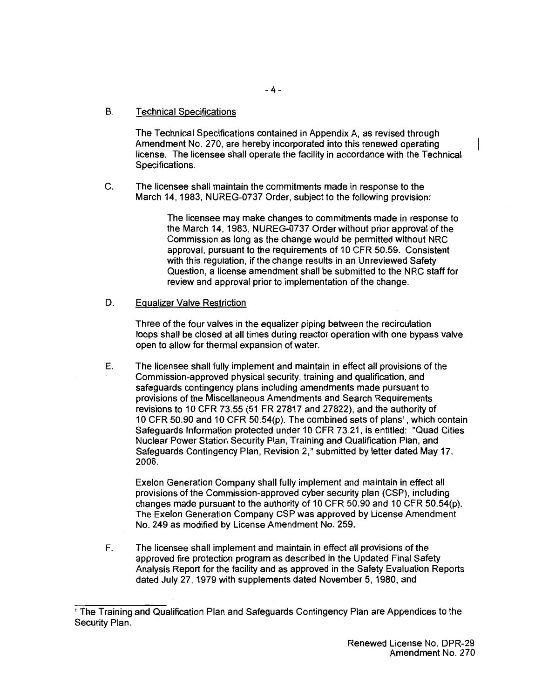## B. Technical Specifications

The Technical Specifications contained in Appendix A, as revised through Amendment No. 270, are hereby incorporated into this renewed operating license. The licensee shall operate the facility in accordance with the Technical Specifications.

C. The licensee shall maintain the commitments made in response to the March 14, 1983, NUREG-0737 Order, subject to the following provision:

> The licensee may make changes to commitments made in response to the March 14, 1983, NUREG-0737 Order without prior approval of the Commission as long as the change would be permitted without NRG approval, pursuant to the requirements of 10 CFR 50.59. Consistent with this regulation, if the change results in an Unreviewed Safety Question, a license amendment shall be submitted to the NRG staff for review and approval prior to implementation of the change.

#### D. Equalizer Valve Restriction

Three of the four valves in the equalizer piping between the recirculation loops shall be closed at all times during reactor operation with one bypass valve open to allow for thermal expansion of water.

E. The licensee shall fully implement and maintain in effect all provisions of the Commission-approved physical security, training and qualification, and safeguards contingency plans including amendments made pursuant to provisions of the Miscellaneous Amendments and Search Requirements revisions to 10 CFR 73.55 (51 FR 27817 and 27822), and the authority of 10 CFR 50.90 and 10 CFR 50.54(p). The combined sets of plans<sup>1</sup> , which contain Safeguards Information protected under 10 CFR 73.21, is entitled: "Quad Cities Nuclear Power Station Security Plan, Training and Qualification Plan, and Safeguards Contingency Plan, Revision 2," submitted by letter dated May 17, 2006.

Exelon Generation Company shall fully implement and maintain in effect all provisions of the Commission-approved cyber security plan (CSP), including changes made pursuant to the authority of 10 CFR 50.90 and 10 CFR 50.54(p). The Exelon Generation Company CSP was approved by License Amendment No. 249 as modified by License Amendment No. 259.

F. The licensee shall implement and maintain in effect all provisions of the approved fire protection program as described in the Updated Final Safety Analysis Report for the facility and as approved in the Safety Evaluation Reports dated July 27, 1979 with supplements dated November 5, 1980, and

<sup>1</sup>The Training and Qualification Plan and Safeguards Contingency Plan are Appendices to the Security Plan.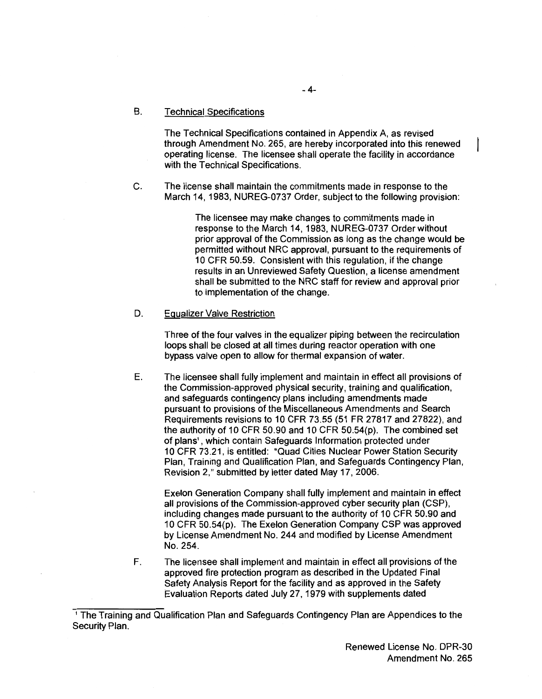#### B. Technical Specifications

The Technical Specifications contained in Appendix A, as revised through Amendment No. 265, are hereby incorporated into this renewed operating license. The licensee shall operate the facility in accordance with the Technical Specifications.

C. The license shall maintain the commitments made in response to the March 14, 1983, NUREG-0737 Order, subject to the following provision:

> The licensee may make changes to commitments made in response to the March 14, 1983, NUREG-0737 Order without prior approval of the Commission as long as the change would be permitted without NRC approval, pursuant to the requirements of 10 CFR 50.59. Consistent with this regulation, if the change results in an Unreviewed Safety Question, a license amendment shall be submitted to the NRC staff for review and approval prior to implementation of the change.

#### D. Equalizer Valve Restriction

Three of the four valves in the equalizer piping between the recirculation loops shall be closed at all times during reactor operation with one bypass valve open to allow for thermal expansion of water.

E. The licensee shall fully implement and maintain in effect all provisions of the Commission-approved physical security, training and qualification, and safeguards contingency plans including amendments made pursuant to provisions of the Miscellaneous Amendments and Search Requirements revisions to 10 CFR 73.55 (51 FR 27817 and 27822), and the authority of 10 CFR 50.90 and 10 CFR 50.54(p). The combined set of plans<sup>1</sup>, which contain Safeguards Information protected under 10 CFR 73.21, is entitled: "Quad Cities Nuclear Power Station Security Plan, Training and Qualification Plan, and Safeguards Contingency Plan, Revision 2," submitted by letter dated May 17, 2006.

Exelon Generation Company shall fully implement and maintain in effect all provisions of the Commission-approved cyber security plan (CSP), including changes made pursuant to the authority of 10 CFR 50.90 and 10 CFR 50.54(p). The Exelon Generation Company CSP was approved by License Amendment No. 244 and modified by License Amendment No. 254.

F. The licensee shall implement and maintain in effect all provisions of the approved fire protection program as described in the Updated Final Safety Analysis Report for the facility and as approved in the Safety Evaluation Reports dated July 27, 1979 with supplements dated

<sup>1</sup>The Training and Qualification Plan and Safeguards Contingency Plan are Appendices to the Security Plan.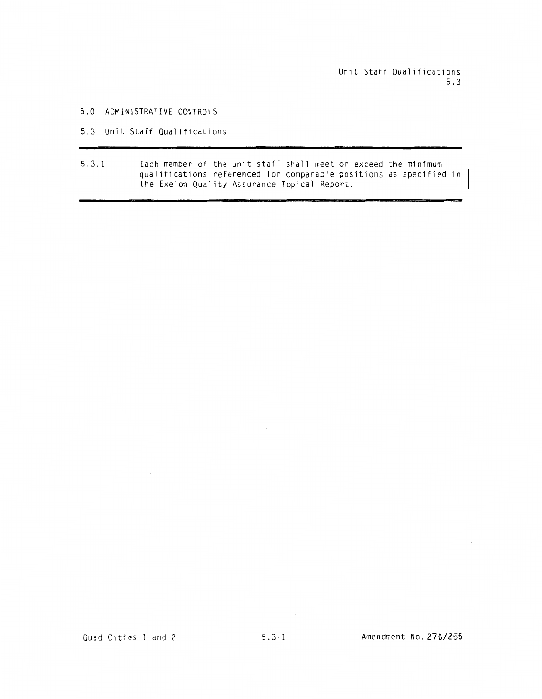Unit Staff Qualifications 5.3

- 5.0 ADMINISTRATIVE CONTROLS
- 5.3 Unit Staff Qualifications
- 5.3.1 Each member of the unit staff shall meet or exceed the minimum qualifications referenced for comparable positions as specified in the Exelon Quality Assurance Topical Report.

 $\sim$   $\sim$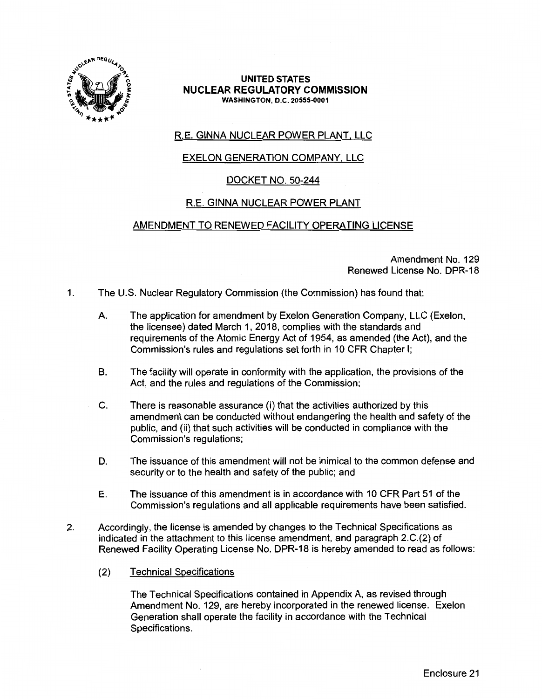

#### **UNITED STATES NUCLEAR REGULATORY COMMISSION WASHINGTON,** D.C. **20555-0001**

# R.E. GINNA NUCLEAR POWER PLANT, LLC

# EXELON GENERATION COMPANY, LLC

# DOCKET NO. 50-244

# R.E. GINNA NUCLEAR POWER PLANT

# AMENDMENT TO RENEWED FACILITY OPERATING LICENSE

Amendment No. 129 Renewed License No. DPR-18

- 1. The U.S. Nuclear Regulatory Commission (the Commission) has found that:
	- A. The application for amendment by Exelon Generation Company, LLC (Exelon, the licensee) dated March 1, 2018, complies with the standards and requirements of the Atomic Energy Act of 1954, as amended (the Act), and the Commission's rules and regulations set forth in 10 CFR Chapter I;
	- B. The facility will operate in conformity with the application, the provisions of the Act, and the rules and regulations of the Commission;
	- C. There is reasonable assurance (i) that the activities authorized by this amendment can be conducted without endangering the health and safety of the public, and (ii) that such activities will be conducted in compliance with the Commission's regulations;
	- D. The issuance of this amendment will not be inimical to the common defense and security or to the health and safety of the public; and
	- E. The issuance of this amendment is in accordance with 10 CFR Part 51 of the Commission's regulations and all applicable requirements have been satisfied.
- 2. Accordingly, the license is amended by changes to the Technical Specifications as indicated in the attachment to this license amendment, and paragraph 2.C.(2) of Renewed Facility Operating License No. DPR-18 is hereby amended to read as follows:
	- (2) Technical Specifications

The Technical Specifications contained in Appendix A, as revised through Amendment No. 129, are hereby incorporated in the renewed license. Exelon Generation shall operate the facility in accordance with the Technical Specifications.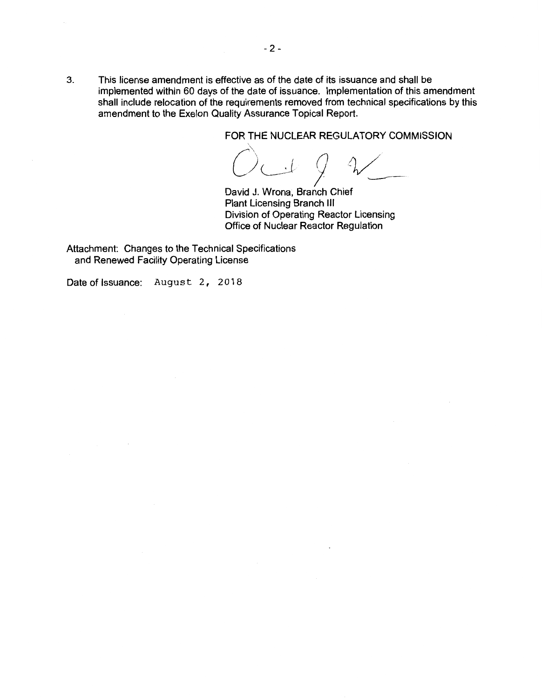3. This license amendment is effective as of the date of its issuance and shall be implemented within 60 days of the date of issuance. Implementation of this amendment shall include relocation of the requirements removed from technical specifications by this amendment to the Exelon Quality Assurance Topical Report.

FOR THE NUCLEAR REGULATORY COMMISSION

 $\bigcirc$ THE )~J 9 David J. Wrona, Branch Chief

Plant Licensing Branch Ill Division of Operating Reactor Licensing Office of Nuclear Reactor Regulation

Attachment: Changes to the Technical Specifications and Renewed Facility Operating License

Date of Issuance: August 2, 2018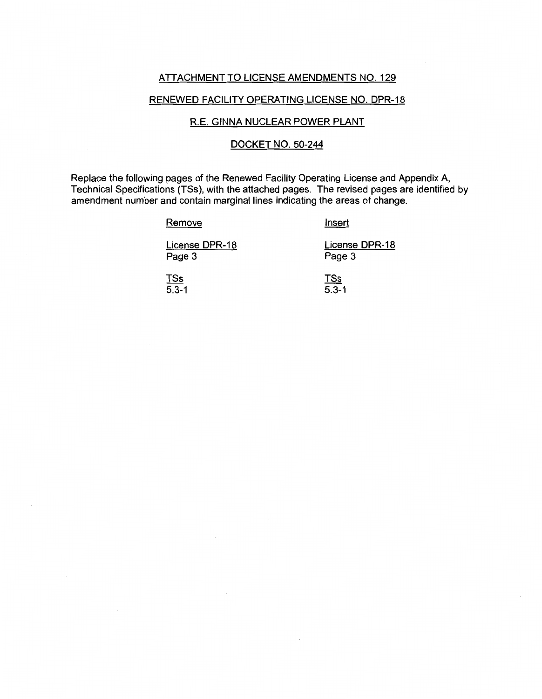#### ATTACHMENT TO LICENSE AMENDMENTS NO. 129

#### RENEWED FACILITY OPERATING LICENSE NO. DPR-18

#### R.E. GINNA NUCLEAR POWER PLANT

### DOCKET NO. 50-244

Replace the following pages of the Renewed Facility Operating License and Appendix A, Technical Specifications (TSs), with the attached pages. The revised pages are identified by amendment number and contain marginal lines indicating the areas of change.

#### Remove

Insert

License DPR-18 Page 3

License DPR-18 Page 3

TSs  $5.3 - 1$ 

TSs  $\overline{5.3-1}$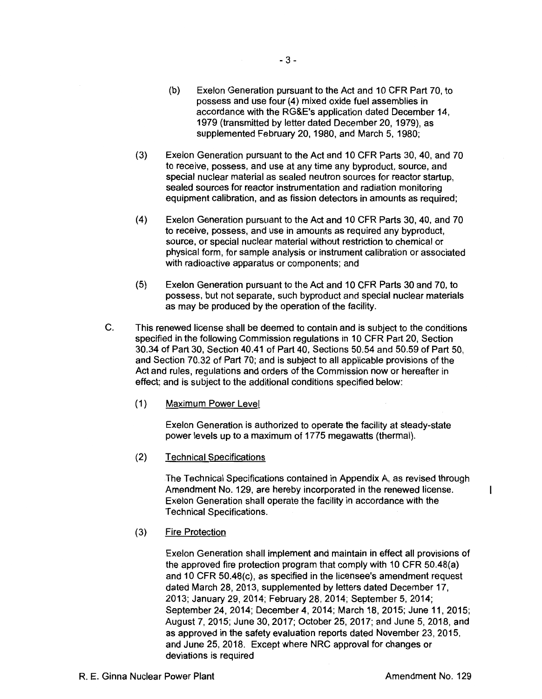- (b) Exelon Generation pursuant to the Act and 10 CFR Part 70, to possess and use four (4) mixed oxide fuel assemblies in accordance with the RG&E's application dated December 14, 1979 (transmitted by letter dated December 20, 1979), as supplemented February 20, 1980, and March 5, 1980;
- (3) Exelon Generation pursuant to the Act and 10 CFR Parts 30, 40, and 70 to receive, possess, and use at any time any byproduct, source, and special nuclear material as sealed neutron sources for reactor startup, sealed sources for reactor instrumentation and radiation monitoring equipment calibration, and as fission detectors in amounts as required;
- (4) Exelon Generation pursuant to the Act and 10 CFR Parts 30, 40, and 70 to receive, possess, and use in amounts as required any byproduct, source, or special nuclear material without restriction to chemical or physical form, for sample analysis or instrument calibration or associated with radioactive apparatus or components; and
- (5) Exelon Generation pursuant to the Act and 10 CFR Parts 30 and 70, to possess, but not separate, such byproduct and special nuclear materials as may be produced by the operation of the facility.
- C. This renewed license shall be deemed to contain and is subject to the conditions specified in the following Commission regulations in 10 CFR Part 20, Section 30.34 of Part 30, Section 40.41 of Part 40, Sections 50.54 and 50.59 of Part 50, and Section 70.32 of Part 70; and is subject to all applicable provisions of the Act and rules, regulations and orders of the Commission now or hereafter in effect; and is subject to the additional conditions specified below:
	- (1) Maximum Power Level

Exelon Generation is authorized to operate the facility at steady-state power levels up to a maximum of 1775 megawatts (thermal).

(2) Technical Specifications

The Technical Specifications contained in Appendix A, as revised through Amendment No. 129, are hereby incorporated in the renewed license. Exelon Generation shall operate the facility in accordance with the Technical Specifications.

(3) Fire Protection

> Exelon Generation shall implement and maintain in effect all provisions of the approved fire protection program that comply with 10 CFR 50.48(a) and 10 CFR 50.48(c), as specified in the licensee's amendment request dated March 28, 2013, supplemented by letters dated December 17, 2013; January 29, 2014; February 28, 2014; September 5, 2014; September 24, 2014; December 4, 2014; March 18, 2015; June 11, 2015; August 7, 2015; June 30, 2017; October 25, 2017; and June 5, 2018, and as approved in the safety evaluation reports dated November 23, 2015, and June 25, 2018. Except where NRC approval for changes or deviations is required

 $\mathsf{I}$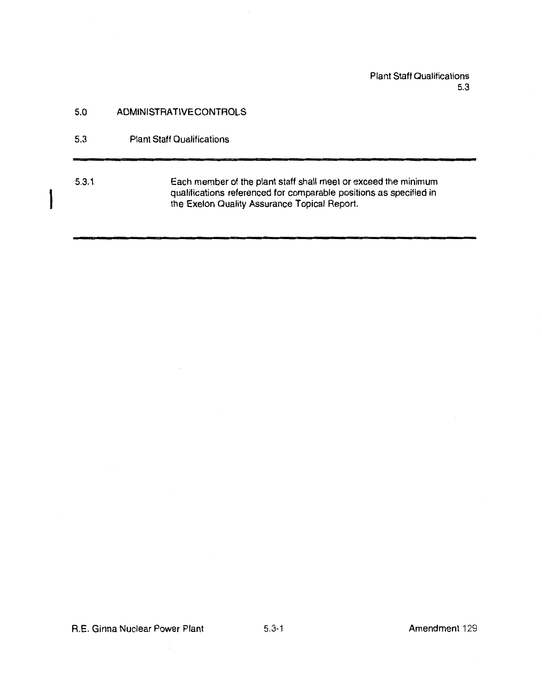## Plant Staff Qualifications 5.3

## 5.0 ADMINISTRATIVE CONTROLS

5.3 Plant Staff Qualifications

I

# 5.3.1 Each member of the plant staff shall meet or exceed the minimum qualifications referenced for comparable positions as specified in the Exelon Quality Assurance Topical Report.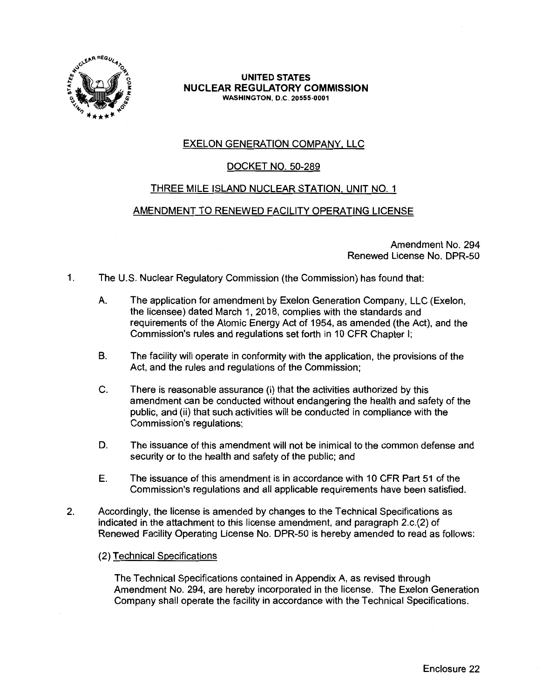

#### **UNITED STATES NUCLEAR REGULATORY COMMISSION WASHINGTON,** D.C. **20555-0001**

# EXELON GENERATION COMPANY, LLC

# DOCKET NO. 50-289

## THREE MILE ISLAND NUCLEAR STATION, UNIT NO. 1

## AMENDMENT TO RENEWED FACILITY OPERATING LICENSE

Amendment No. 294 Renewed License No. DPR-50

- 1. The U.S. Nuclear Regulatory Commission (the Commission) has found that:
	- A. The application for amendment by Exelon Generation Company, LLC (Exelon, the licensee) dated March 1, 2018, complies with the standards and requirements of the Atomic Energy Act of 1954, as amended (the Act), and the Commission's rules and regulations set forth in 10 CFR Chapter I;
	- B. The facility will operate in conformity with the application, the provisions of the Act, and the rules and regulations of the Commission;
	- C. There is reasonable assurance (i) that the activities authorized by this amendment can be conducted without endangering the health and safety of the public, and (ii) that such activities will be conducted in compliance with the Commission's regulations;
	- D. The issuance of this amendment will not be inimical to the common defense and security or to the health and safety of the public; and
	- E. The issuance of this amendment is in accordance with 10 CFR Part 51 of the Commission's regulations and all applicable requirements have been satisfied.
- 2. Accordingly, the license is amended by changes to the Technical Specifications as indicated in the attachment to this license amendment, and paragraph 2.c.(2) of Renewed Facility Operating License No. DPR-50 is hereby amended to read as follows:
	- (2) Technical Specifications

The Technical Specifications contained in Appendix A, as revised through Amendment No. 294, are hereby incorporated in the license. The Exelon Generation Company shall operate the facility in accordance with the Technical Specifications.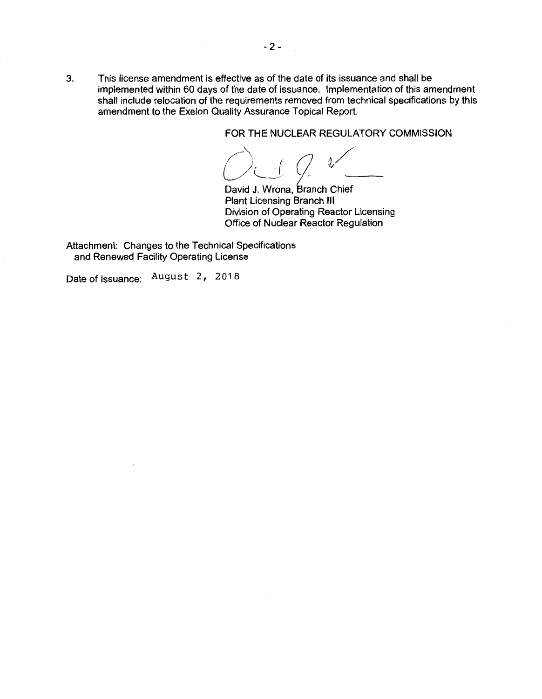3. This license amendment is effective as of the date of its issuance and shall be implemented within 60 days of the date of issuance. Implementation of this amendment shall include relocation of the requirements removed from technical specifications by this amendment to the Exelon Quality Assurance Topical Report.

FOR THE NUCLEAR REGULATORY COMMISSION

 $\rightarrow$   $\rightarrow$   $\rightarrow$ / ) *-(* <sup>~</sup>i L/~-- ,.

David J. Wrona, Branch Chief Plant Licensing Branch Ill Division of Operating Reactor Licensing Office of Nuclear Reactor Regulation

Attachment: Changes to the Technical Specifications and Renewed Facility Operating License

Date of Issuance: August 2, 2018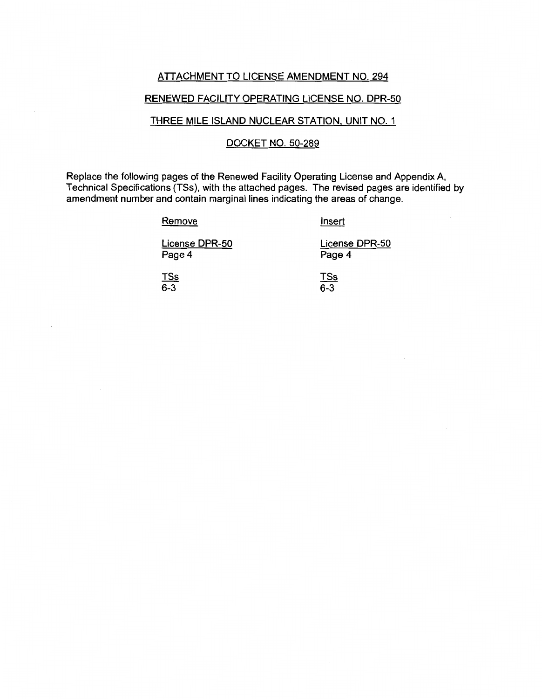#### ATTACHMENT TO LICENSE AMENDMENT NO. 294

## RENEWED FACILITY OPERATING LICENSE NO. DPR-50

### THREE MILE ISLAND NUCLEAR STATION, UNIT NO. 1

#### DOCKET NO. 50-289

Replace the following pages of the Renewed Facility Operating License and Appendix A, Technical Specifications (TSs), with the attached pages. The revised pages are identified by amendment number and contain marginal lines indicating the areas of change.

**Remove** 

Insert

License DPR-50 Page 4

License DPR-50 Page 4

<u>TSs</u> 6-3

TSs 6-3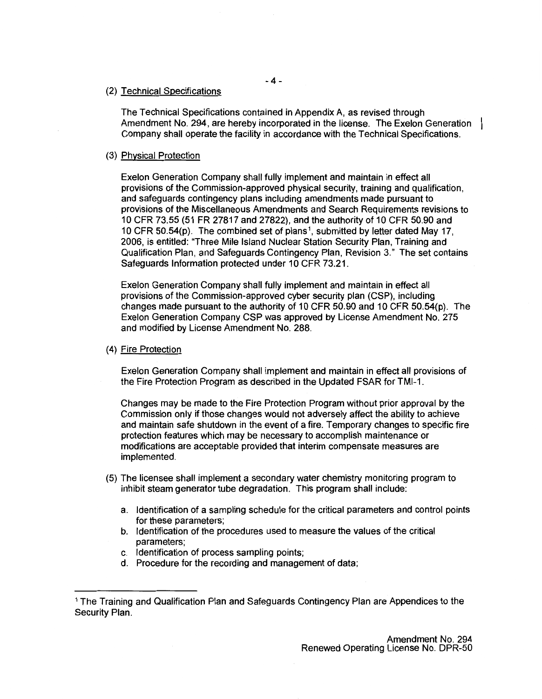#### (2) Technical Specifications

The Technical Specifications contained in Appendix A, as revised through Amendment No. 294, are hereby incorporated in the license. The Exelon Generation Company shall operate the facility in accordance with the Technical Specifications.

#### (3) Physical Protection

Exelon Generation Company shall fully implement and maintain in effect all provisions of the Commission-approved physical security, training and qualification, and safeguards contingency plans including amendments made pursuant to provisions of the Miscellaneous Amendments and Search Requirements revisions to 10 CFR 73.55 (51 FR 27817 and 27822), and the authority of 10 CFR 50.90 and 10 CFR 50.54(p). The combined set of plans 1, submitted by letter dated May 17, 2006, is entitled: "Three Mile Island Nuclear Station Security Plan, Training and Qualification Plan, and Safeguards Contingency Plan, Revision 3." The set contains Safeguards Information protected under 10 CFR 73.21.

Exelon Generation Company shall fully implement and maintain in effect all provisions of the Commission-approved cyber security plan (CSP}, including changes made pursuant to the authority of 10 CFR 50.90 and 10 CFR 50.54(p). The Exelon Generation Company CSP was approved by License Amendment No. 275 and modified by License Amendment No. 288.

#### (4) Fire Protection

Exelon Generation Company shall implement and maintain in effect all provisions of the Fire Protection Program as described in the Updated FSAR for TMl-1.

Changes may be made to the Fire Protection Program without prior approval by the Commission only if those changes would not adversely affect the ability to achieve and maintain safe shutdown in the event of a fire. Temporary changes to specific fire protection features which may be necessary to accomplish maintenance or modifications are acceptable provided that interim compensate measures are implemented.

- (5) The licensee shall implement a secondary water chemistry monitoring program to inhibit steam generator tube degradation. This program shall include:
	- a. Identification of a sampling schedule for the critical parameters and control points for these parameters;
	- b. Identification of the procedures used to measure the values of the critical parameters;
	- c. Identification of process sampling points;
	- d. Procedure for the recording and management of data;

<sup>1</sup>The Training and Qualification Plan and Safeguards Contingency Plan are Appendices to the Security Plan.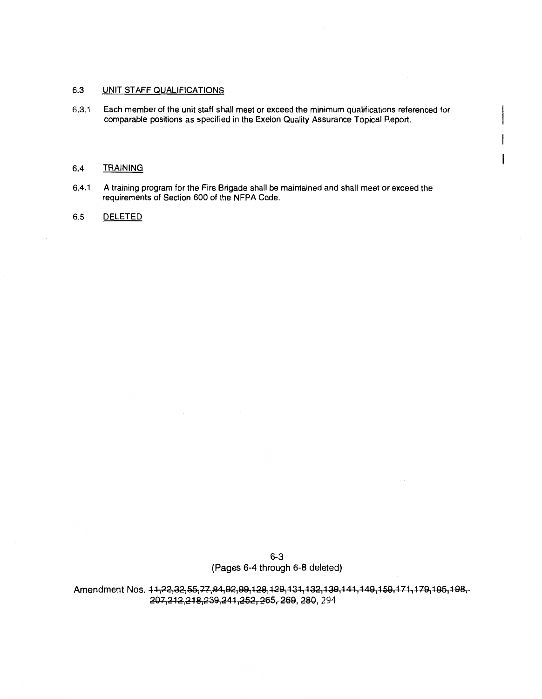#### 6.3 UNIT STAFF QUALIFICATIONS

6.3.1 Each member of the unit staff shall meet or exceed the minimum qualifications referenced for comparable positions as specified in the Exelon Quality Assurance Topical Report.

ł

#### 6.4 TRAINING

6.4.1 A training program for the Fire Brigade shall be maintained and shall meet or exceed the requirements of Section 600 of the NFPA Code.

#### 6.5 DELETED

6-3 (Pages 6-4 through 6-8 deleted)

Amendment Nos. 44;22;32;55;77;84;92;99;128;129;131;132;139;141;149;159;171,179;195,198;-207,212,218,239,241,252, 265, 269, 280, 294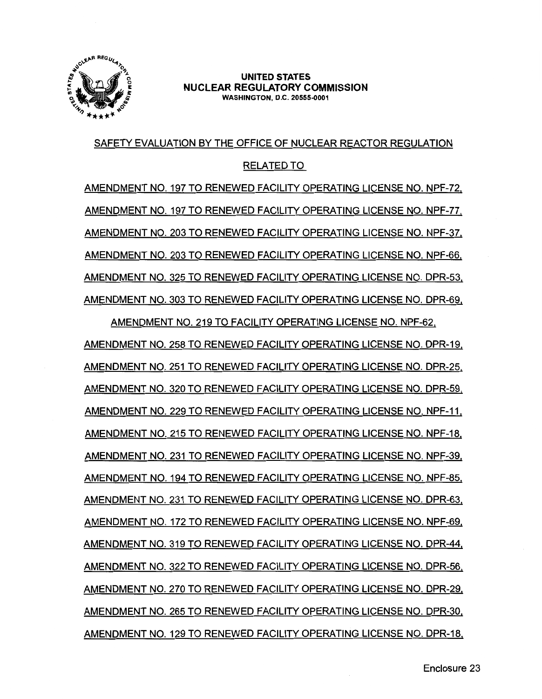

#### **UNITED STATES NUCLEAR REGULATORY COMMISSION WASHINGTON,** D.C. **20555-0001**

# SAFETY EVALUATION BY THE OFFICE OF NUCLEAR REACTOR REGULATION

# RELATED TO

AMENDMENT NO. 197 TO RENEWED FACILITY OPERATING LICENSE NO. NPF-72, AMENDMENT NO. 197 TO RENEWED FACILITY OPERATING LICENSE NO. NPF-77, AMENDMENT NO. 203 TO RENEWED FACILITY OPERATING LICENSE NO. NPF-37, AMENDMENT NO. 203 TO RENEWED FACILITY OPERATING LICENSE NO. NPF-66. AMENDMENT NO. 325 TO RENEWED FACILITY OPERATING LICENSE NO. DPR-53, AMENDMENT NO. 303 TO RENEWED FACILITY OPERATING LICENSE NO. DPR-69,

AMENDMENT NO. 219 TO FACILITY OPERATING LICENSE NO. NPF-62, AMENDMENT NO. 258 TO RENEWED FACILITY OPERATING LICENSE NO. DPR-19, AMENDMENT NO. 251 TO RENEWED FACILITY OPERATING LICENSE NO. DPR-25, AMENDMENT NO. 320 TO RENEWED FACILITY OPERATING LICENSE NO. DPR-59, AMENDMENT NO. 229 TO RENEWED FACILITY OPERATING LICENSE NO. NPF-11, AMENDMENT NO. 215 TO RENEWED FACILITY OPERATING LICENSE NO. NPF-18, AMENDMENT NO. 231 TO RENEWED FACILITY OPERATING LICENSE NO. NPF-39, AMENDMENT NO. 194 TO RENEWED FACILITY OPERATING LICENSE NO. NPF-85, AMENDMENT NO. 231 TO RENEWED FACILITY OPERATING LICENSE NO. DPR-63, AMENDMENT NO. 172 TO RENEWED FACILITY OPERATING LICENSE NO. NPF-69, AMENDMENT NO. 319 TO RENEWED FACILITY OPERATING LICENSE NO. DPR-44, AMENDMENT NO. 322 TO RENEWED FACILITY OPERATING LICENSE NO. DPR-56, AMENDMENT NO. 270 TO RENEWED FACILITY OPERATING LICENSE NO. DPR-29, AMENDMENT NO. 265 TO RENEWED FACILITY OPERATING LICENSE NO. DPR-30, AMENDMENT NO. 129 TO RENEWED FACILITY OPERATING LICENSE NO. DPR-18,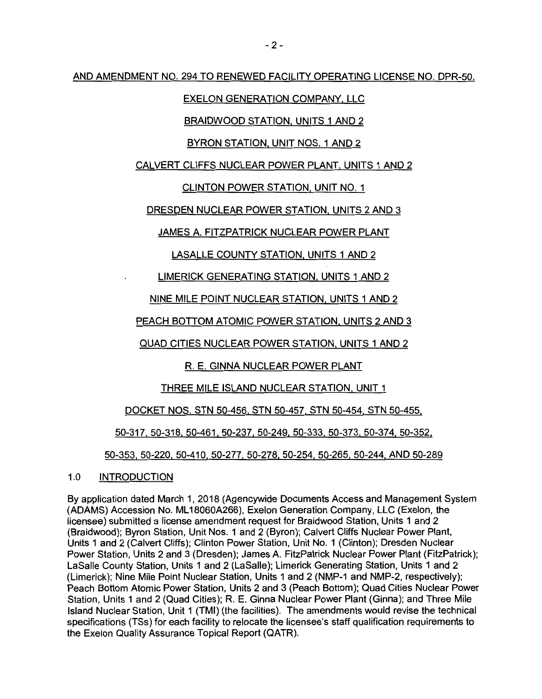AND AMENDMENT NO. 294 TO RENEWED FACILITY OPERATING LICENSE NO. DPR-50.

# EXELON GENERATION COMPANY, LLC

# BRAIDWOOD STATION, UNITS 1 AND 2

# BYRON STATION, UNIT NOS. 1 AND 2

# CALVERT CLIFFS NUCLEAR POWER PLANT, UNITS 1 AND 2

# CLINTON POWER STATION, UNIT NO. 1

DRESDEN NUCLEAR POWER STATION, UNITS 2 AND 3

JAMES A. FITZPATRICK NUCLEAR POWER PLANT

# LASALLE COUNTY STATION, UNITS 1 AND 2

# LIMERICK GENERATING STATION, UNITS 1 AND 2

# NINE MILE POINT NUCLEAR STATION, UNITS 1 AND 2

# PEACH BOTTOM ATOMIC POWER STATION, UNITS 2 AND 3

# QUAD CITIES NUCLEAR POWER STATION, UNITS 1 AND 2

# R. E. GINNA NUCLEAR POWER PLANT

# THREE MILE ISLAND NUCLEAR STATION, UNIT 1

# DOCKET NOS. STN 50-456, STN 50-457, STN 50-454, STN 50-455,

# 50-317, 50-318, 50-461, 50-237, 50-249, 50-333, 50-373, 50-374, 50-352,

# 50-353, 50-220, 50-410, 50-277, 50-278, 50-254, 50-265, 50-244, AND 50-289

# 1.0 INTRODUCTION

By application dated March 1, 2018 (Agencywide Documents Access and Management System (ADAMS) Accession No. ML 18060A266), Exelon Generation Company, LLC (Exelon, the licensee) submitted a license amendment request for Braidwood Station, Units 1 and 2 (Braidwood); Byron Station, Unit Nos. 1 and 2 (Byron); Calvert Cliffs Nuclear Power Plant, Units 1 and 2 (Calvert Cliffs); Clinton Power Station, Unit No. 1 (Clinton); Dresden Nuclear Power Station, Units 2 and 3 (Dresden); James A. FitzPatrick Nuclear Power Plant (FitzPatrick); LaSalle County Station, Units 1 and 2 (LaSalle); Limerick Generating Station, Units 1 and 2 (Limerick); Nine Mile Point Nuclear Station, Units 1 and 2 (NMP-1 and NMP-2, respectively); Peach Bottom Atomic Power Station, Units 2 and 3 (Peach Bottom); Quad Cities Nuclear Power Station, Units 1 and 2 (Quad Cities); R. E. Ginna Nuclear Power Plant (Ginna); and Three Mile Island Nuclear Station, Unit 1 (TMI) (the facilities). The amendments would revise the technical specifications (TSs) for each facility to relocate the licensee's staff qualification requirements to the Exelon Quality Assurance Topical Report (QATR).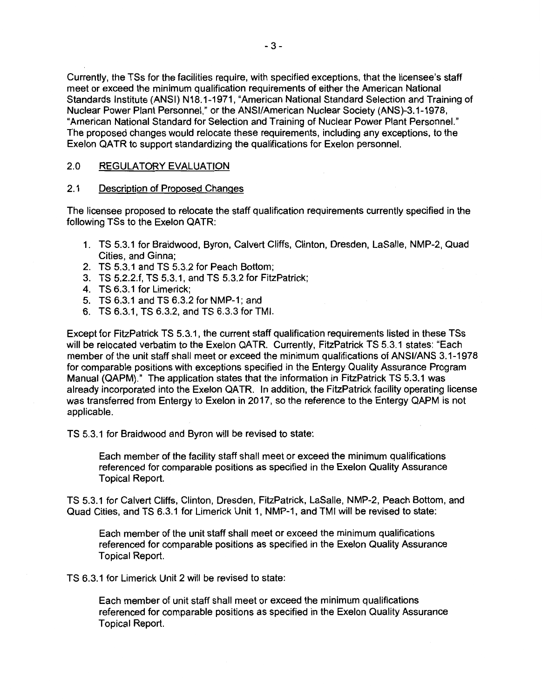Currently, the TSs for the facilities require, with specified exceptions, that the licensee's staff meet or exceed the minimum qualification requirements of either the American National Standards Institute (ANSI) N18.1-1971, "American National Standard Selection and Training of Nuclear Power Plant Personnel," or the ANSI/American Nuclear Society (ANS)-3.1-1978, "American National Standard for Selection and Training of Nuclear Power Plant Personnel." The proposed changes would relocate these requirements, including any exceptions, to the Exelon QATR to support standardizing the qualifications for Exelon personnel.

#### 2.0 REGULATORY EVALUATION

#### 2.1 Description of Proposed Changes

The licensee proposed to relocate the staff qualification requirements currently specified in the following TSs to the Exelon QATR:

- 1. TS 5.3.1 for Braidwood, Byron, Calvert Cliffs, Clinton, Dresden, LaSalle, NMP-2, Quad Cities, and Ginna;
- 2. TS 5.3.1 and TS 5.3.2 for Peach Bottom;
- 3. TS 5.2.2.f, TS 5.3.1, and TS 5.3.2 for FitzPatrick;
- 4. TS 6.3.1 for Limerick;
- 5. TS 6.3.1 and TS 6.3.2 for NMP-1; and
- 6. TS 6.3.1, TS 6.3.2, and TS 6.3.3 for TMI.

Except for FitzPatrick TS 5.3.1, the current staff qualification requirements listed in these TSs will be relocated verbatim to the Exelon QATR. Currently, FitzPatrick TS 5.3.1 states: "Each member of the unit staff shall meet or exceed the minimum qualifications of ANSI/ANS 3.1-1978 for comparable positions with exceptions specified in the Entergy Quality Assurance Program Manual (QAPM)." The application states that the information in FitzPatrick TS 5.3.1 was already incorporated into the Exelon QATR. In addition, the FitzPatrick facility operating license was transferred from Entergy to Exelon in 2017, so the reference to the Entergy QAPM is not applicable.

TS 5.3.1 for Braidwood and Byron will be revised to state:

Each member of the facility staff shall meet or exceed the minimum qualifications referenced for comparable positions as specified in the Exelon Quality Assurance Topical Report.

TS 5.3.1 for Calvert Cliffs, Clinton, Dresden, FitzPatrick, LaSalle, NMP-2, Peach Bottom, and Quad Cities, and TS 6.3.1 for Limerick Unit 1, NMP-1, and TMI will be revised to state:

Each member of the unit staff shall meet or exceed the minimum qualifications referenced for comparable positions as specified in the Exelon Quality Assurance Topical Report.

TS 6.3.1 for Limerick Unit 2 will be revised to state:

Each member of unit staff shall meet or exceed the minimum qualifications referenced for comparable positions as specified in the Exelon Quality Assurance Topical Report.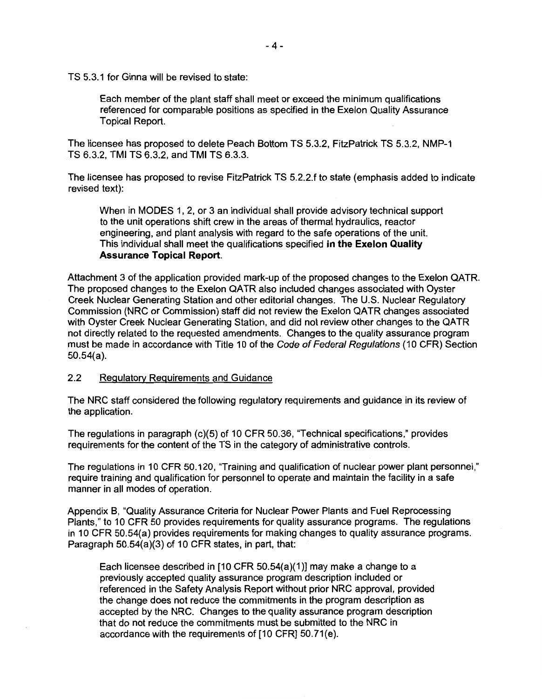TS 5.3.1 for Ginna will be revised to state:

Each member of the plant staff shall meet or exceed the minimum qualifications referenced for comparable positions as specified in the Exelon Quality Assurance Topical Report.

The licensee has proposed to delete Peach Bottom TS 5.3.2, FitzPatrick TS 5.3.2, NMP-1 TS 6.3.2, TMI TS 6.3.2, and TMI TS 6.3.3.

The licensee has proposed to revise FitzPatrick TS 5.2.2.f to state (emphasis added to indicate revised text):

When in MODES 1, 2, or 3 an individual shall provide advisory technical support to the unit operations shift crew in the areas of thermal hydraulics, reactor engineering, and plant analysis with regard to the safe operations of the unit. This individual shall meet the qualifications specified **in the Exelon Quality Assurance Topical Report.** 

Attachment 3 of the application provided mark-up of the proposed changes to the Exelon QATR. The proposed changes to the Exelon QATR also included changes associated with Oyster Creek Nuclear Generating Station and other editorial changes. The U.S. Nuclear Regulatory Commission (NRC or Commission) staff did not review the Exelon QATR changes associated with Oyster Creek Nuclear Generating Station, and did not review other changes to the QATR not directly related to the requested amendments. Changes to the quality assurance program must be made in accordance with Title 10 of the Code of Federal Regulations (10 CFR) Section 50.54(a).

#### **2.2** Regulatory Requirements and Guidance

The NRC staff considered the following regulatory requirements and guidance in its review of the application.

The regulations in paragraph (c)(5) of 10 CFR 50.36, "Technical specifications," provides requirements for the content of the TS in the category of administrative controls.

The regulations in 10 CFR 50.120, "Training and qualification of nuclear power plant personnel," require training and qualification for personnel to operate and maintain the facility in a safe manner in all modes of operation.

Appendix B, "Quality Assurance Criteria for Nuclear Power Plants and Fuel Reprocessing Plants," to 10 CFR 50 provides requirements for quality assurance programs. The regulations in 10 CFR 50.54(a) provides requirements for making changes to quality assurance programs. Paragraph 50.54(a)(3) of 10 CFR states, in part, that:

Each licensee described in [10 CFR 50.54(a)(1)] may make a change to a previously accepted quality assurance program description included or referenced in the Safety Analysis Report without prior NRC approval, provided the change does not reduce the commitments in the program description as accepted by the NRC. Changes to the quality assurance program description that do not reduce the commitments must be submitted to the NRC in accordance with the requirements of [10 CFR] 50.71(e).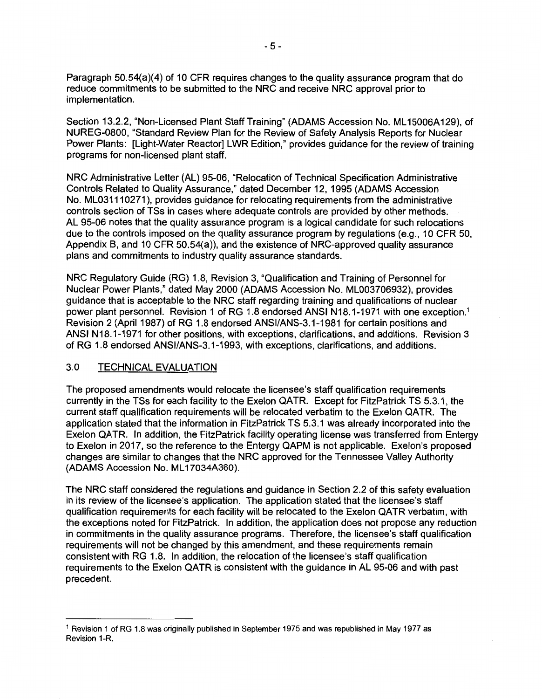Paragraph 50.54(a)(4) of 10 CFR requires changes to the quality assurance program that do reduce commitments to be submitted to the NRC and receive NRC approval prior to implementation.

Section 13.2.2, "Non-Licensed Plant Staff Training" (ADAMS Accession No. ML15006A129), of NUREG-0800, "Standard Review Plan for the Review of Safety Analysis Reports for Nuclear Power Plants: [Light-Water Reactor] LWR Edition," provides guidance for the review of training programs for non-licensed plant staff.

NRC Administrative Letter (AL) 95-06, "Relocation of Technical Specification Administrative Controls Related to Quality Assurance," dated December 12, 1995 (ADAMS Accession No. ML031110271 ), provides guidance for relocating requirements from the administrative controls section of TSs in cases where adequate controls are provided by other methods. AL 95-06 notes that the quality assurance program is a logical candidate for such relocations due to the controls imposed on the quality assurance program by regulations (e.g., 10 CFR 50, Appendix B, and 10 CFR 50.54(a)), and the existence of NRG-approved quality assurance plans and commitments to industry quality assurance standards.

NRC Regulatory Guide (RG) 1.8, Revision 3, "Qualification and Training of Personnel for Nuclear Power Plants," dated May 2000 (ADAMS Accession No. ML003706932), provides guidance that is acceptable to the NRC staff regarding training and qualifications of nuclear power plant personnel. Revision 1 of RG 1.8 endorsed ANSI N18.1-1971 with one exception.<sup>1</sup> Revision 2 (April 1987) of RG 1.8 endorsed ANSI/ANS-3.1-1981 for certain positions and ANSI N18.1-1971 for other positions, with exceptions, clarifications, and additions. Revision 3 of RG 1.8 endorsed ANSI/ANS-3.1-1993, with exceptions, clarifications, and additions.

## 3.0 TECHNICAL EVALUATION

The proposed amendments would relocate the licensee's staff qualification requirements currently in the TSs for each facility to the Exelon QATR. Except for FitzPatrick TS 5.3.1, the current staff qualification requirements will be relocated verbatim to the Exelon QATR. The application stated that the information in FitzPatrick TS 5.3.1 was already incorporated into the Exelon QATR. In addition, the FitzPatrick facility operating license was transferred from Entergy to Exelon in 2017, so the reference to the Entergy QAPM is not applicable. Exelon's proposed changes are similar to changes that the NRC approved for the Tennessee Valley Authority (ADAMS Accession No. ML 17034A360).

The NRC staff considered the regulations and guidance in Section 2.2 of this safety evaluation in its review of the licensee's application. The application stated that the licensee's staff qualification requirements for each facility will be relocated to the Exelon QATR verbatim, with the exceptions noted for FitzPatrick. In addition, the application does not propose any reduction in commitments in the quality assurance programs. Therefore, the licensee's staff qualification requirements will not be changed by this amendment, and these requirements remain consistent with RG 1.8. In addition, the relocation of the licensee's staff qualification requirements to the Exelon QATR is consistent with the guidance in AL 95-06 and with past precedent.

<sup>&</sup>lt;sup>1</sup> Revision 1 of RG 1.8 was originally published in September 1975 and was republished in May 1977 as Revision 1-R.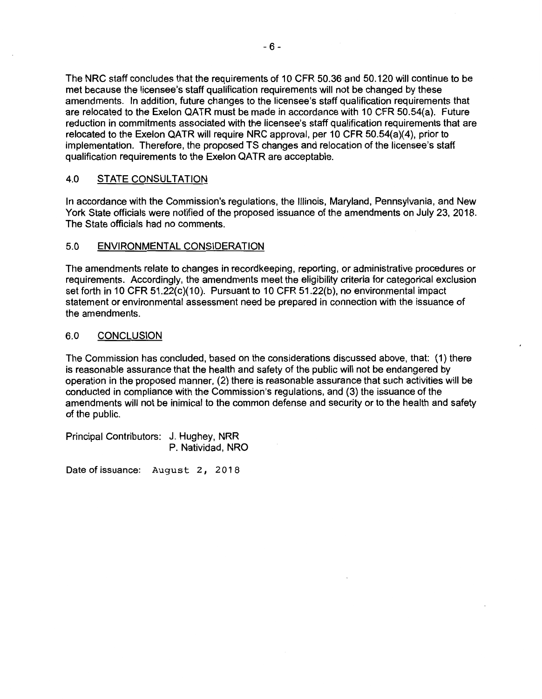The NRC staff concludes that the requirements of 10 CFR 50.36 and 50.120 will continue to be met because the licensee's staff qualification requirements will not be changed by these amendments. In addition, future changes to the licensee's staff qualification requirements that are relocated to the Exelon QATR must be made in accordance with 10 CFR 50.54(a). Future reduction in commitments associated with the licensee's staff qualification requirements that are relocated to the Exelon QATR will require NRC approval, per 10 CFR 50.54(a)(4), prior to implementation. Therefore, the proposed TS changes and relocation of the licensee's staff qualification requirements to the Exelon QATR are acceptable.

# 4.0 STATE CONSULTATION

In accordance with the Commission's regulations, the Illinois, Maryland, Pennsylvania, and New York State officials were notified of the proposed issuance of the amendments on July 23, 2018. The State officials had no comments.

## 5.0 ENVIRONMENTAL CONSIDERATION

The amendments relate to changes in recordkeeping, reporting, or administrative procedures or requirements. Accordingly, the amendments meet the eligibility criteria for categorical exclusion set forth in 10 CFR 51.22(c)(10). Pursuant to 10 CFR 51.22(b), no environmental impact statement or environmental assessment need be prepared in connection with the issuance of the amendments.

## 6.0 CONCLUSION

The Commission has concluded, based on the considerations discussed above, that: (1) there is reasonable assurance that the health and safety of the public will not be endangered by operation in the proposed manner, (2) there is reasonable assurance that such activities will be conducted in compliance with the Commission's regulations, and (3) the issuance of the amendments will not be inimical to the common defense and security or to the health and safety of the public.

Principal Contributors: J. Hughey, NRR P. Natividad, NRO

Date of issuance: August 2, 2018